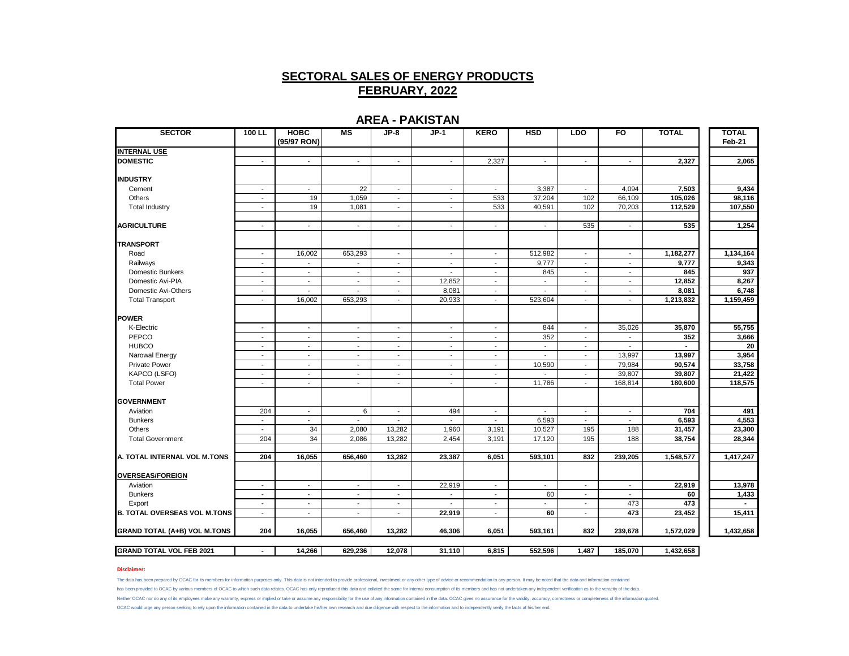### **AREA - PAKISTAN**

| <b>SECTOR</b>                       | $100$ LL                 | <b>HOBC</b><br>(95/97 RON) | M <sub>S</sub>           | JP-8                        | $JP-1$                   | <b>KERO</b>              | <b>HSD</b>               | <b>LDO</b>               | F <sub>O</sub>           | <b>TOTAL</b> | <b>TOTAL</b><br>Feb-21 |
|-------------------------------------|--------------------------|----------------------------|--------------------------|-----------------------------|--------------------------|--------------------------|--------------------------|--------------------------|--------------------------|--------------|------------------------|
| <b>INTERNAL USE</b>                 |                          |                            |                          |                             |                          |                          |                          |                          |                          |              |                        |
| <b>DOMESTIC</b>                     | $\sim$                   | $\overline{\phantom{a}}$   | $\blacksquare$           | $\sim$                      | $\sim$                   | 2,327                    | $\sim$                   | $\blacksquare$           | $\sim$                   | 2,327        | 2,065                  |
| <b>INDUSTRY</b>                     |                          |                            |                          |                             |                          |                          |                          |                          |                          |              |                        |
| Cement                              | $\sim$                   | $\blacksquare$             | 22                       | $\mathcal{L}_{\mathcal{A}}$ | $\sim$                   | $\sim$                   | 3,387                    | $\sim$                   | 4,094                    | 7,503        | 9,434                  |
| Others                              | $\overline{\phantom{a}}$ | 19                         | 1,059                    | $\blacksquare$              | $\overline{\phantom{a}}$ | 533                      | 37,204                   | 102                      | 66,109                   | 105,026      | 98,116                 |
| <b>Total Industry</b>               | $\overline{\phantom{a}}$ | 19                         | 1,081                    | $\blacksquare$              | $\blacksquare$           | 533                      | 40,591                   | 102                      | 70,203                   | 112,529      | 107,550                |
| <b>AGRICULTURE</b>                  | $\sim$                   | $\mathbf{r}$               | $\mathbf{r}$             | $\mathcal{L}$               | $\mathbf{r}$             | $\overline{\phantom{a}}$ | $\sim$                   | 535                      | $\blacksquare$           | 535          | 1,254                  |
| <b>TRANSPORT</b>                    |                          |                            |                          |                             |                          |                          |                          |                          |                          |              |                        |
| Road                                | $\sim$                   | 16,002                     | 653,293                  | $\sim$                      | $\sim$                   | $\sim$                   | 512,982                  | $\blacksquare$           | $\sim$                   | 1,182,277    | 1,134,164              |
| Railways                            | $\sim$                   | $\blacksquare$             | $\overline{\phantom{a}}$ | $\sim$                      | $\sim$                   | $\blacksquare$           | 9,777                    | $\overline{\phantom{a}}$ | $\sim$                   | 9,777        | 9,343                  |
| Domestic Bunkers                    | $\overline{\phantom{a}}$ | $\overline{\phantom{a}}$   | $\overline{\phantom{a}}$ | $\overline{\phantom{a}}$    | $\overline{\phantom{a}}$ | $\overline{\phantom{a}}$ | 845                      | $\overline{\phantom{a}}$ | $\sim$                   | 845          | 937                    |
| Domestic Avi-PIA                    | $\sim$                   | $\blacksquare$             | ٠                        | $\blacksquare$              | 12,852                   | $\blacksquare$           | $\overline{\phantom{a}}$ | $\overline{\phantom{a}}$ | $\overline{\phantom{a}}$ | 12,852       | 8,267                  |
| Domestic Avi-Others                 | $\sim$                   | $\overline{\phantom{a}}$   | $\overline{\phantom{a}}$ | $\blacksquare$              | 8,081                    | $\overline{\phantom{a}}$ | $\sim$                   | $\sim$                   | $\sim$                   | 8,081        | 6,748                  |
| <b>Total Transport</b>              | $\sim$                   | 16,002                     | 653,293                  | $\mathcal{L}$               | 20,933                   | $\overline{\phantom{a}}$ | 523,604                  | $\mathbf{r}$             | $\blacksquare$           | 1,213,832    | 1,159,459              |
| <b>IPOWER</b>                       |                          |                            |                          |                             |                          |                          |                          |                          |                          |              |                        |
| K-Electric                          | $\overline{\phantom{a}}$ | $\overline{\phantom{a}}$   | $\overline{\phantom{a}}$ | $\sim$                      | $\sim$                   | $\overline{\phantom{a}}$ | 844                      | $\overline{\phantom{a}}$ | 35,026                   | 35,870       | 55,755                 |
| PEPCO                               | $\overline{\phantom{a}}$ | $\sim$                     | $\overline{\phantom{a}}$ | $\sim$                      | $\overline{\phantom{a}}$ | $\sim$                   | 352                      | $\sim$                   | $\sim$                   | 352          | 3,666                  |
| <b>HUBCO</b>                        | $\sim$                   | $\sim$                     | $\sim$                   | $\blacksquare$              | $\sim$                   | $\overline{\phantom{a}}$ | $\sim$                   | $\sim$                   | $\overline{a}$           | $\sim$       | 20                     |
| Narowal Energy                      | $\sim$                   | $\overline{\phantom{a}}$   | $\overline{a}$           | $\overline{\phantom{a}}$    | $\sim$                   | $\sim$                   | $\overline{a}$           | $\mathbf{r}$             | 13,997                   | 13,997       | 3,954                  |
| <b>Private Power</b>                | $\overline{\phantom{a}}$ | $\tilde{\phantom{a}}$      | $\sim$                   | $\blacksquare$              | $\overline{\phantom{a}}$ | $\overline{\phantom{a}}$ | 10,590                   | $\sim$                   | 79,984                   | 90,574       | 33,758                 |
| KAPCO (LSFO)                        | $\sim$                   | $\overline{\phantom{a}}$   | $\sim$                   | $\sim$                      | $\sim$                   | $\overline{\phantom{a}}$ |                          | $\overline{\phantom{a}}$ | 39,807                   | 39,807       | 21,422                 |
| <b>Total Power</b>                  | $\sim$                   | $\sim$                     | $\mathbf{r}$             | $\sim$                      | $\sim$                   | $\overline{\phantom{a}}$ | 11,786                   | $\sim$                   | 168,814                  | 180,600      | 118,575                |
| <b>GOVERNMENT</b>                   |                          |                            |                          |                             |                          |                          |                          |                          |                          |              |                        |
| Aviation                            | 204                      | $\sim$                     | 6                        | $\sim$                      | 494                      | $\sim$                   | $\sim$                   | $\sim$                   | $\sim$                   | 704          | 491                    |
| <b>Bunkers</b>                      | $\sim$                   | $\sim$                     | $\sim$                   | $\sim$                      | $\sim$                   | $\blacksquare$           | 6,593                    | $\sim$                   | $\sim$                   | 6,593        | 4,553                  |
| <b>Others</b>                       | $\sim$                   | 34                         | 2,080                    | 13,282                      | 1,960                    | 3,191                    | 10,527                   | 195                      | 188                      | 31,457       | 23,300                 |
| <b>Total Government</b>             | 204                      | 34                         | 2,086                    | 13,282                      | 2,454                    | 3,191                    | 17,120                   | 195                      | 188                      | 38,754       | 28,344                 |
| A. TOTAL INTERNAL VOL M.TONS        | 204                      | 16,055                     | 656,460                  | 13,282                      | 23,387                   | 6,051                    | 593,101                  | 832                      | 239,205                  | 1,548,577    | 1,417,247              |
| <b>OVERSEAS/FOREIGN</b>             |                          |                            |                          |                             |                          |                          |                          |                          |                          |              |                        |
| Aviation                            | $\sim$                   | $\sim$                     | $\sim$                   | $\sim$                      | 22,919                   | $\overline{\phantom{a}}$ | $\sim$                   | $\sim$                   | $\sim$                   | 22,919       | 13,978                 |
| <b>Bunkers</b>                      | $\overline{\phantom{a}}$ | $\overline{\phantom{a}}$   | $\blacksquare$           | $\sim$                      | $\tilde{\phantom{a}}$    | $\overline{\phantom{a}}$ | 60                       | $\overline{\phantom{a}}$ | $\overline{\phantom{a}}$ | 60           | 1,433                  |
| Export                              | $\mathbf{r}$             | $\sim$                     | $\sim$                   | $\mathcal{L}$               | $\overline{a}$           | $\overline{\phantom{a}}$ | $\overline{a}$           | $\mathbf{r}$             | 473                      | 473          |                        |
| <b>B. TOTAL OVERSEAS VOL M.TONS</b> | $\mathbf{r}$             | $\blacksquare$             | $\overline{\phantom{a}}$ | $\overline{\phantom{a}}$    | 22,919                   | $\sim$                   | 60                       | $\mathbf{r}$             | 473                      | 23,452       | 15,411                 |
| <b>GRAND TOTAL (A+B) VOL M.TONS</b> | 204                      | 16,055                     | 656,460                  | 13,282                      | 46,306                   | 6,051                    | 593,161                  | 832                      | 239,678                  | 1,572,029    | 1,432,658              |
| <b>GRAND TOTAL VOL FEB 2021</b>     | $\blacksquare$           | 14,266                     | 629,236                  | 12,078                      | 31,110                   | 6,815                    | 552,596                  | 1,487                    | 185,070                  | 1,432,658    |                        |
|                                     |                          |                            |                          |                             |                          |                          |                          |                          |                          |              |                        |

### **Disclaimer:**

The data has been prepared by OCAC for its members for information purposes only. This data is not intended to provide professional, investment or any other type of advice or recommendation to any person. It may be noted t has been provided to OCAC by various members of OCAC to which such data relates. OCAC has only reproduced this data and collated the same for internal consumption of its members and has not undertaken any independent verif Neither OCAC nor do any of its employees make any warranty, express or implied or take or assume any responsibility for the use of any information contained in the data. OCAC gives no assurance for the validity, accuracy, OCAC would urge any person seeking to rely upon the information contained in the data to undertake his/her own research and due diligence with respect to the information and to independently verify the facts at his/her end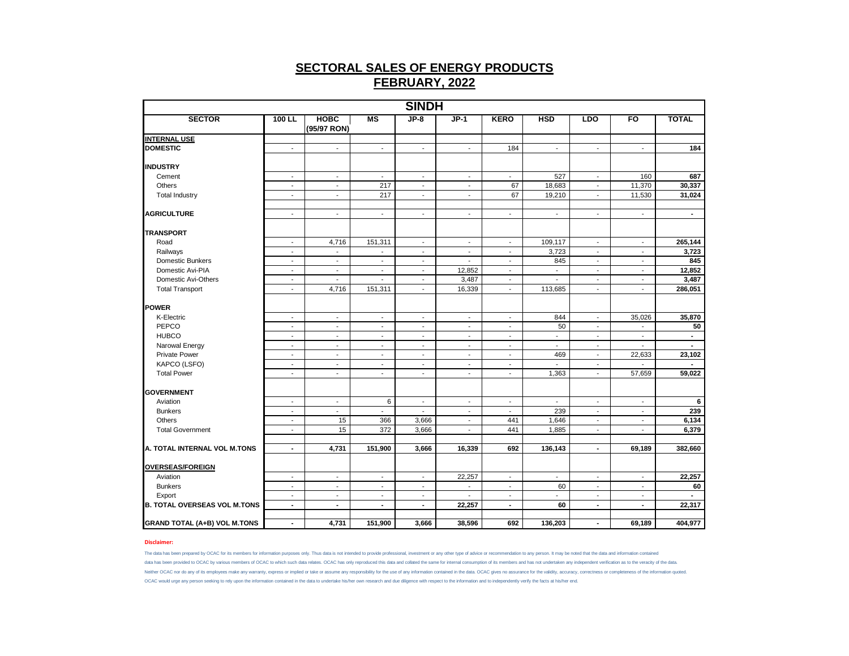| <b>SINDH</b>                        |                          |                          |                          |                          |                          |                          |                          |                          |                          |                |  |
|-------------------------------------|--------------------------|--------------------------|--------------------------|--------------------------|--------------------------|--------------------------|--------------------------|--------------------------|--------------------------|----------------|--|
| <b>SECTOR</b>                       | $100$ LL                 | новс<br>(95/97 RON)      | MS                       | $JP-8$                   | $JP-1$                   | <b>KERO</b>              | <b>HSD</b>               | <b>LDO</b>               | FO                       | <b>TOTAL</b>   |  |
| <b>INTERNAL USE</b>                 |                          |                          |                          |                          |                          |                          |                          |                          |                          |                |  |
| <b>DOMESTIC</b>                     | $\blacksquare$           | $\blacksquare$           | $\blacksquare$           | $\blacksquare$           | $\blacksquare$           | 184                      | $\overline{\phantom{a}}$ | $\blacksquare$           | $\blacksquare$           | 184            |  |
| <b>INDUSTRY</b>                     |                          |                          |                          |                          |                          |                          |                          |                          |                          |                |  |
| Cement                              | $\overline{\phantom{a}}$ | $\overline{\phantom{a}}$ | $\blacksquare$           | $\blacksquare$           | $\overline{\phantom{a}}$ | $\overline{\phantom{a}}$ | 527                      | $\overline{\phantom{a}}$ | 160                      | 687            |  |
| Others                              | $\blacksquare$           | $\blacksquare$           | 217                      | $\overline{\phantom{a}}$ | $\blacksquare$           | 67                       | 18,683                   | $\overline{\phantom{a}}$ | 11,370                   | 30,337         |  |
| <b>Total Industry</b>               | $\sim$                   | $\sim$                   | 217                      | $\blacksquare$           | $\blacksquare$           | 67                       | 19,210                   | $\overline{\phantom{a}}$ | 11,530                   | 31,024         |  |
| <b>AGRICULTURE</b>                  | $\blacksquare$           | $\blacksquare$           | $\blacksquare$           | $\blacksquare$           | $\blacksquare$           | $\blacksquare$           | $\overline{\phantom{a}}$ | $\blacksquare$           | $\overline{\phantom{a}}$ | $\blacksquare$ |  |
| <b>TRANSPORT</b>                    |                          |                          |                          |                          |                          |                          |                          |                          |                          |                |  |
| Road                                | $\overline{\phantom{a}}$ | 4,716                    | 151,311                  | $\overline{\phantom{a}}$ | $\blacksquare$           | $\overline{\phantom{a}}$ | 109,117                  | $\overline{\phantom{a}}$ | $\blacksquare$           | 265,144        |  |
| Railways                            | $\overline{\phantom{a}}$ | $\overline{\phantom{a}}$ | $\overline{\phantom{a}}$ | $\overline{\phantom{a}}$ | $\overline{\phantom{a}}$ | $\overline{\phantom{a}}$ | 3,723                    | $\overline{\phantom{a}}$ | $\overline{\phantom{a}}$ | 3,723          |  |
| <b>Domestic Bunkers</b>             | $\overline{\phantom{a}}$ | $\overline{\phantom{a}}$ | $\overline{\phantom{a}}$ | $\sim$                   | $\blacksquare$           | $\blacksquare$           | 845                      | $\overline{\phantom{a}}$ | $\overline{\phantom{a}}$ | 845            |  |
| Domestic Avi-PIA                    | $\overline{\phantom{a}}$ | $\blacksquare$           | $\blacksquare$           | $\overline{\phantom{a}}$ | 12,852                   | $\overline{\phantom{a}}$ | $\blacksquare$           | $\overline{\phantom{a}}$ | $\sim$                   | 12,852         |  |
| Domestic Avi-Others                 | $\overline{\phantom{a}}$ | $\blacksquare$           | $\blacksquare$           | $\overline{\phantom{a}}$ | 3,487                    | $\overline{\phantom{a}}$ | ٠                        | $\overline{\phantom{a}}$ | $\overline{\phantom{a}}$ | 3,487          |  |
| <b>Total Transport</b>              | $\blacksquare$           | 4,716                    | 151,311                  | $\blacksquare$           | 16,339                   | $\blacksquare$           | 113,685                  | $\overline{\phantom{a}}$ | $\blacksquare$           | 286,051        |  |
| <b>POWER</b>                        |                          |                          |                          |                          |                          |                          |                          |                          |                          |                |  |
| K-Electric                          | $\overline{\phantom{a}}$ | $\overline{\phantom{a}}$ | $\overline{\phantom{a}}$ | $\overline{\phantom{a}}$ | $\overline{\phantom{a}}$ | $\overline{\phantom{a}}$ | 844                      | $\overline{\phantom{a}}$ | 35,026                   | 35,870         |  |
| PEPCO                               | $\overline{\phantom{a}}$ | $\overline{\phantom{a}}$ | $\overline{\phantom{a}}$ | $\overline{\phantom{a}}$ | $\overline{\phantom{a}}$ | $\overline{\phantom{a}}$ | 50                       | $\overline{\phantom{a}}$ | $\overline{\phantom{a}}$ | 50             |  |
| <b>HUBCO</b>                        | $\blacksquare$           | $\blacksquare$           | $\blacksquare$           | $\overline{\phantom{a}}$ | $\blacksquare$           | $\overline{a}$           | $\overline{\phantom{a}}$ | $\blacksquare$           | $\blacksquare$           | $\sim$         |  |
| Narowal Energy                      | $\blacksquare$           | $\blacksquare$           | $\blacksquare$           | $\blacksquare$           | $\blacksquare$           | $\blacksquare$           | $\blacksquare$           | $\blacksquare$           | $\overline{a}$           |                |  |
| <b>Private Power</b>                | $\overline{\phantom{a}}$ | $\overline{\phantom{a}}$ | $\overline{\phantom{a}}$ | $\overline{\phantom{a}}$ | $\overline{\phantom{a}}$ | $\overline{\phantom{a}}$ | 469                      | $\overline{\phantom{a}}$ | 22,633                   | 23,102         |  |
| KAPCO (LSFO)                        | $\overline{\phantom{a}}$ | $\overline{\phantom{a}}$ | $\overline{\phantom{a}}$ | $\sim$                   | $\overline{a}$           | $\sim$                   | $\overline{\phantom{a}}$ | $\sim$                   | $\overline{\phantom{a}}$ | $\sim$         |  |
| <b>Total Power</b>                  | $\sim$                   | $\sim$                   | $\sim$                   | $\blacksquare$           | $\blacksquare$           | $\blacksquare$           | 1,363                    | $\sim$                   | 57,659                   | 59,022         |  |
| <b>GOVERNMENT</b>                   |                          |                          |                          |                          |                          |                          |                          |                          |                          |                |  |
| Aviation                            | $\sim$                   | $\sim$                   | 6                        | $\blacksquare$           | $\sim$                   | $\overline{\phantom{a}}$ | $\blacksquare$           | $\sim$                   | $\sim$                   | 6              |  |
| <b>Bunkers</b>                      | $\sim$                   | $\overline{\phantom{a}}$ | $\overline{\phantom{a}}$ | $\blacksquare$           | $\blacksquare$           | $\blacksquare$           | 239                      | $\overline{\phantom{a}}$ | $\sim$                   | 239            |  |
| <b>Others</b>                       | $\overline{\phantom{a}}$ | 15                       | 366                      | 3,666                    | $\blacksquare$           | 441                      | 1,646                    | $\overline{a}$           | $\blacksquare$           | 6,134          |  |
| <b>Total Government</b>             | $\sim$                   | 15                       | 372                      | 3,666                    | $\blacksquare$           | 441                      | 1,885                    | $\overline{\phantom{a}}$ | $\sim$                   | 6,379          |  |
|                                     |                          |                          |                          |                          |                          |                          |                          |                          |                          |                |  |
| A. TOTAL INTERNAL VOL M.TONS        | $\blacksquare$           | 4,731                    | 151,900                  | 3,666                    | 16,339                   | 692                      | 136,143                  | $\blacksquare$           | 69,189                   | 382,660        |  |
| <b>OVERSEAS/FOREIGN</b>             |                          |                          |                          |                          |                          |                          |                          |                          |                          |                |  |
| Aviation                            | $\blacksquare$           | $\blacksquare$           | $\blacksquare$           | $\mathbf{r}$             | 22,257                   | $\blacksquare$           | $\blacksquare$           | $\mathbf{r}$             | $\blacksquare$           | 22,257         |  |
| <b>Bunkers</b>                      | $\overline{\phantom{a}}$ | $\overline{\phantom{a}}$ | $\overline{\phantom{a}}$ | $\overline{\phantom{a}}$ | $\overline{\phantom{a}}$ | $\overline{\phantom{a}}$ | 60                       | $\overline{\phantom{a}}$ | $\overline{\phantom{a}}$ | 60             |  |
| Export                              | $\sim$                   | $\overline{\phantom{a}}$ | $\overline{\phantom{a}}$ | $\sim$                   | $\overline{\phantom{a}}$ | $\overline{\phantom{a}}$ | ÷.                       | $\overline{\phantom{a}}$ | $\overline{\phantom{a}}$ |                |  |
| <b>B. TOTAL OVERSEAS VOL M.TONS</b> | $\sim$                   | $\blacksquare$           | $\blacksquare$           | $\blacksquare$           | 22,257                   | $\blacksquare$           | 60                       | $\blacksquare$           | $\blacksquare$           | 22,317         |  |
| <b>GRAND TOTAL (A+B) VOL M.TONS</b> | $\blacksquare$           | 4,731                    | 151,900                  | 3,666                    | 38,596                   | 692                      | 136,203                  | $\blacksquare$           | 69,189                   | 404,977        |  |

### **Disclaimer:**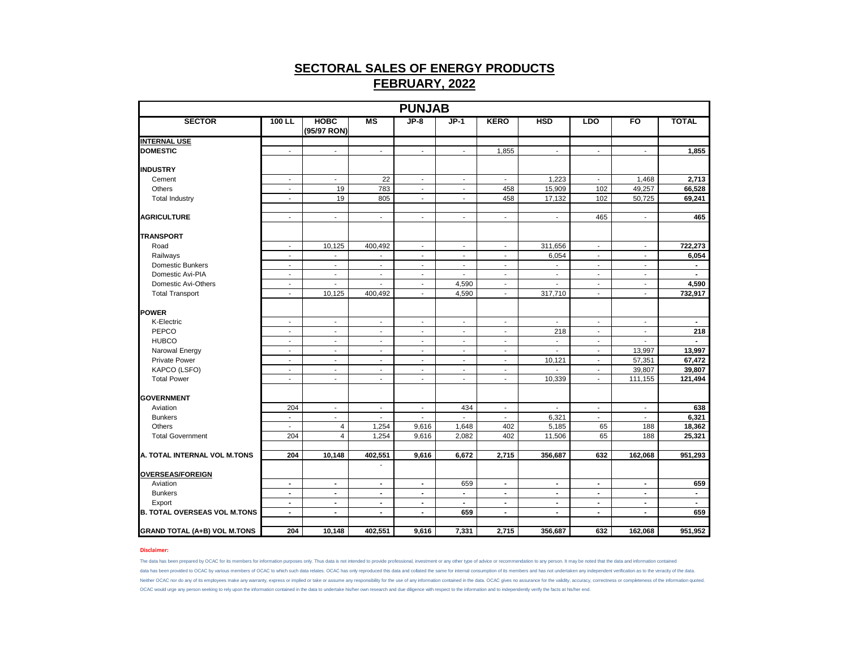| <b>SECTOR</b><br>$JP-8$<br>$JP-1$<br><b>HSD</b><br>FO<br>100 LL<br><b>HOBC</b><br>MS<br><b>KERO</b><br><b>LDO</b><br>(95/97 RON)                                                                                                                               | <b>TOTAL</b>   |
|----------------------------------------------------------------------------------------------------------------------------------------------------------------------------------------------------------------------------------------------------------------|----------------|
|                                                                                                                                                                                                                                                                |                |
| <b>INTERNAL USE</b>                                                                                                                                                                                                                                            |                |
| <b>DOMESTIC</b><br>1,855<br>$\sim$<br>$\sim$<br>$\overline{\phantom{a}}$<br>$\overline{\phantom{a}}$<br>$\overline{\phantom{a}}$<br>$\overline{\phantom{a}}$<br>$\sim$<br>$\overline{\phantom{a}}$                                                             | 1,855          |
| <b>INDUSTRY</b>                                                                                                                                                                                                                                                |                |
| 22<br>1,223<br>1,468<br>Cement<br>$\blacksquare$<br>$\blacksquare$<br>$\sim$<br>$\blacksquare$<br>$\overline{\phantom{a}}$<br>$\sim$                                                                                                                           | 2,713          |
| 49,257<br>Others<br>19<br>783<br>458<br>15,909<br>102<br>$\blacksquare$<br>$\sim$<br>$\blacksquare$                                                                                                                                                            | 66,528         |
| 19<br>805<br>458<br>17,132<br>102<br>50,725<br><b>Total Industry</b><br>$\sim$<br>$\sim$<br>$\blacksquare$                                                                                                                                                     | 69,241         |
| <b>AGRICULTURE</b><br>465<br>$\sim$<br>$\sim$<br>$\sim$<br>$\overline{\phantom{a}}$<br>$\blacksquare$<br>$\overline{\phantom{a}}$<br>$\sim$<br>$\sim$                                                                                                          | 465            |
| <b>TRANSPORT</b>                                                                                                                                                                                                                                               |                |
| Road<br>10,125<br>400,492<br>311,656<br>$\overline{\phantom{a}}$<br>$\overline{\phantom{a}}$<br>$\overline{\phantom{a}}$<br>$\overline{\phantom{a}}$<br>$\overline{\phantom{a}}$<br>$\overline{\phantom{a}}$                                                   | 722,273        |
| Railways<br>6,054<br>$\mathcal{L}$<br>$\blacksquare$<br>$\blacksquare$<br>$\blacksquare$<br>$\blacksquare$<br>$\sim$<br>$\sim$<br>$\blacksquare$                                                                                                               | 6,054          |
| Domestic Bunkers<br>$\sim$<br>$\sim$<br>$\mathbf{r}$<br>$\sim$<br>$\overline{\phantom{a}}$<br>$\sim$<br>$\sim$<br>$\mathbf{r}$<br>$\sim$                                                                                                                       | $\blacksquare$ |
| Domestic Avi-PIA<br>$\overline{\phantom{a}}$<br>$\overline{\phantom{a}}$<br>$\blacksquare$<br>$\blacksquare$<br>$\blacksquare$<br>$\blacksquare$<br>$\blacksquare$<br>$\blacksquare$                                                                           |                |
| 4,590<br>Domestic Avi-Others<br>$\overline{\phantom{a}}$<br>$\sim$<br>$\sim$<br>$\blacksquare$<br>$\overline{\phantom{a}}$<br>$\overline{\phantom{a}}$<br>$\sim$<br>$\sim$                                                                                     | 4,590          |
| 10,125<br>4,590<br>317,710<br><b>Total Transport</b><br>400,492<br>$\overline{\phantom{a}}$<br>$\overline{\phantom{a}}$<br>$\overline{\phantom{a}}$<br>$\blacksquare$<br>$\blacksquare$                                                                        | 732,917        |
|                                                                                                                                                                                                                                                                |                |
| <b>POWER</b>                                                                                                                                                                                                                                                   |                |
| K-Electric<br>$\blacksquare$<br>$\sim$<br>$\overline{\phantom{a}}$<br>$\overline{\phantom{a}}$<br>$\sim$<br>$\sim$<br>$\sim$<br>$\overline{\phantom{a}}$<br>$\overline{\phantom{a}}$                                                                           | $\sim$         |
| PEPCO<br>218<br>$\mathbf{r}$<br>$\sim$<br>$\overline{a}$<br>$\overline{\phantom{a}}$<br>$\mathbf{r}$<br>$\mathbf{r}$<br>$\overline{a}$<br>$\sim$                                                                                                               | 218            |
| <b>HUBCO</b><br>$\overline{\phantom{a}}$<br>$\overline{\phantom{a}}$<br>$\overline{\phantom{a}}$<br>$\overline{\phantom{a}}$<br>$\overline{\phantom{a}}$<br>$\overline{\phantom{a}}$<br>$\overline{\phantom{a}}$<br>$\overline{\phantom{a}}$<br>$\blacksquare$ | $\blacksquare$ |
| 13,997<br>Narowal Energy<br>$\overline{\phantom{a}}$<br>$\blacksquare$<br>$\blacksquare$<br>$\overline{\phantom{a}}$<br>$\overline{\phantom{a}}$<br>$\overline{\phantom{a}}$<br>$\overline{\phantom{a}}$<br>$\overline{\phantom{a}}$                           | 13,997         |
| <b>Private Power</b><br>57,351<br>10,121<br>$\mathbf{r}$<br>$\sim$<br>$\mathbf{r}$<br>$\mathcal{L}_{\mathcal{A}}$<br>$\mathbf{r}$<br>$\overline{\phantom{a}}$<br>$\sim$                                                                                        | 67,472         |
| KAPCO (LSFO)<br>39,807<br>$\overline{\phantom{a}}$<br>$\overline{\phantom{a}}$<br>$\overline{\phantom{a}}$<br>$\overline{\phantom{a}}$<br>$\overline{\phantom{a}}$<br>$\overline{\phantom{m}}$<br>$\overline{\phantom{a}}$                                     | 39,807         |
| 111,155<br><b>Total Power</b><br>10,339<br>$\blacksquare$<br>$\blacksquare$<br>$\blacksquare$<br>$\blacksquare$<br>$\sim$<br>$\sim$<br>$\blacksquare$                                                                                                          | 121,494        |
| <b>GOVERNMENT</b>                                                                                                                                                                                                                                              |                |
| 434<br>Aviation<br>204<br>$\blacksquare$<br>$\overline{\phantom{a}}$<br>$\overline{\phantom{a}}$<br>$\overline{\phantom{a}}$<br>$\blacksquare$<br>$\overline{\phantom{a}}$<br>$\blacksquare$                                                                   | 638            |
| <b>Bunkers</b><br>6,321<br>$\blacksquare$<br>$\overline{\phantom{a}}$<br>$\sim$<br>$\sim$<br>$\overline{\phantom{a}}$<br>$\sim$<br>$\sim$<br>$\overline{\phantom{a}}$                                                                                          | 6,321          |
| Others<br>1,254<br>9,616<br>1,648<br>402<br>5,185<br>65<br>188<br>4<br>$\sim$                                                                                                                                                                                  | 18,362         |
| 65<br>$\overline{4}$<br>1,254<br>9,616<br>2,082<br>11,506<br>188<br><b>Total Government</b><br>204<br>402                                                                                                                                                      | 25,321         |
|                                                                                                                                                                                                                                                                |                |
| 204<br>10.148<br>9,616<br>2,715<br>A. TOTAL INTERNAL VOL M.TONS<br>402,551<br>6,672<br>356,687<br>632<br>162.068                                                                                                                                               | 951,293        |
| <b>OVERSEAS/FOREIGN</b>                                                                                                                                                                                                                                        |                |
| 659<br>Aviation<br>$\blacksquare$<br>$\blacksquare$<br>$\blacksquare$<br>$\blacksquare$<br>$\blacksquare$<br>$\blacksquare$<br>$\blacksquare$<br>$\sim$                                                                                                        | 659            |
| <b>Bunkers</b><br>$\blacksquare$<br>$\mathbf{r}$<br>$\blacksquare$<br>$\blacksquare$<br>$\blacksquare$<br>$\blacksquare$<br>$\blacksquare$<br>$\blacksquare$<br>$\blacksquare$                                                                                 | $\mathbf{r}$   |
| Export<br>$\blacksquare$<br>$\blacksquare$<br>$\blacksquare$<br>$\blacksquare$<br>$\blacksquare$<br>$\overline{\phantom{a}}$<br>$\blacksquare$<br>$\blacksquare$<br>$\blacksquare$                                                                             | $\blacksquare$ |
| 659<br><b>B. TOTAL OVERSEAS VOL M.TONS</b><br>$\blacksquare$<br>$\blacksquare$<br>$\blacksquare$<br>$\blacksquare$<br>$\blacksquare$<br>$\blacksquare$<br>$\blacksquare$<br>$\blacksquare$                                                                     | 659            |
| 204<br>10,148<br>402,551<br>7,331<br>2,715<br>356,687<br><b>GRAND TOTAL (A+B) VOL M.TONS</b><br>9,616<br>632<br>162,068                                                                                                                                        | 951,952        |

### **Disclaimer:**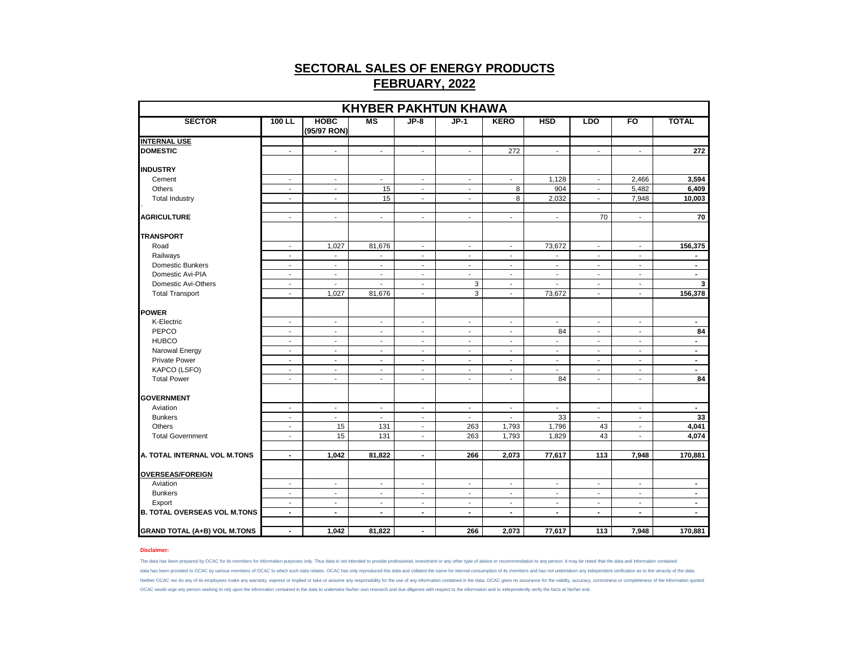| <b>KHYBER PAKHTUN KHAWA</b>         |                          |                            |                          |                          |                          |                          |                          |                          |                          |                |  |  |
|-------------------------------------|--------------------------|----------------------------|--------------------------|--------------------------|--------------------------|--------------------------|--------------------------|--------------------------|--------------------------|----------------|--|--|
| <b>SECTOR</b>                       | 100 LL                   | <b>HOBC</b><br>(95/97 RON) | <b>MS</b>                | $JP-8$                   | $JP-1$                   | <b>KERO</b>              | <b>HSD</b>               | <b>LDO</b>               | FO                       | <b>TOTAL</b>   |  |  |
| <b>INTERNAL USE</b>                 |                          |                            |                          |                          |                          |                          |                          |                          |                          |                |  |  |
| <b>DOMESTIC</b>                     | $\sim$                   | $\sim$                     | $\sim$                   | $\blacksquare$           | $\sim$                   | 272                      | $\blacksquare$           | $\blacksquare$           | $\mathbf{r}$             | 272            |  |  |
|                                     |                          |                            |                          |                          |                          |                          |                          |                          |                          |                |  |  |
| <b>INDUSTRY</b>                     |                          |                            |                          |                          |                          |                          |                          |                          |                          |                |  |  |
| Cement                              | $\sim$                   | $\sim$                     | $\sim$                   | $\sim$                   | $\sim$                   | $\sim$                   | 1,128                    | $\sim$                   | 2,466                    | 3,594          |  |  |
| Others                              | $\sim$                   | $\blacksquare$             | 15                       | $\blacksquare$           | $\blacksquare$           | 8                        | 904                      | $\sim$                   | 5,482                    | 6,409          |  |  |
| <b>Total Industry</b>               | $\sim$                   | $\blacksquare$             | 15                       | $\blacksquare$           | $\blacksquare$           | 8                        | 2,032                    | $\blacksquare$           | 7,948                    | 10,003         |  |  |
| <b>AGRICULTURE</b>                  | $\sim$                   | $\blacksquare$             | $\sim$                   | $\blacksquare$           | $\blacksquare$           | $\blacksquare$           | $\blacksquare$           | 70                       | $\blacksquare$           | 70             |  |  |
| <b>TRANSPORT</b>                    |                          |                            |                          |                          |                          |                          |                          |                          |                          |                |  |  |
| Road                                | $\overline{\phantom{a}}$ | 1,027                      | 81,676                   | $\overline{\phantom{a}}$ | $\overline{\phantom{a}}$ | $\blacksquare$           | 73,672                   | $\overline{\phantom{a}}$ | $\overline{\phantom{a}}$ | 156,375        |  |  |
| Railways                            | $\blacksquare$           | $\mathbf{r}$               | $\mathbf{r}$             | $\blacksquare$           | $\mathbf{r}$             | $\overline{\phantom{a}}$ | $\blacksquare$           | $\blacksquare$           | $\sim$                   | $\blacksquare$ |  |  |
| Domestic Bunkers                    | $\sim$                   | $\overline{\phantom{a}}$   | $\sim$                   | $\blacksquare$           | $\blacksquare$           | $\sim$                   | $\overline{\phantom{a}}$ | $\sim$                   | $\blacksquare$           | $\blacksquare$ |  |  |
| Domestic Avi-PIA                    | $\sim$                   | $\blacksquare$             | $\overline{\phantom{a}}$ | $\blacksquare$           | $\blacksquare$           | $\blacksquare$           | $\blacksquare$           | $\sim$                   | $\overline{\phantom{a}}$ | $\sim$         |  |  |
| Domestic Avi-Others                 | $\sim$                   | $\blacksquare$             | $\sim$                   | $\blacksquare$           | 3                        | $\blacksquare$           | $\blacksquare$           | $\sim$                   | $\blacksquare$           | 3              |  |  |
| <b>Total Transport</b>              | $\sim$                   | 1,027                      | 81,676                   | $\blacksquare$           | 3                        | $\blacksquare$           | 73,672                   | $\blacksquare$           | $\overline{\phantom{a}}$ | 156,378        |  |  |
|                                     |                          |                            |                          |                          |                          |                          |                          |                          |                          |                |  |  |
| <b>POWER</b>                        |                          |                            |                          |                          |                          |                          |                          |                          |                          |                |  |  |
| K-Electric                          | $\blacksquare$           | $\overline{\phantom{a}}$   | $\blacksquare$           | $\overline{\phantom{a}}$ | $\overline{\phantom{a}}$ | $\overline{\phantom{a}}$ | $\blacksquare$           | $\blacksquare$           | $\overline{\phantom{a}}$ | $\blacksquare$ |  |  |
| PEPCO                               | $\overline{\phantom{a}}$ | $\overline{\phantom{a}}$   | $\overline{\phantom{a}}$ | $\overline{\phantom{a}}$ | $\overline{\phantom{a}}$ | $\overline{\phantom{a}}$ | 84                       | $\blacksquare$           | $\overline{\phantom{a}}$ | 84             |  |  |
| <b>HUBCO</b>                        | $\blacksquare$           | $\overline{\phantom{a}}$   | $\sim$                   | $\overline{\phantom{a}}$ | $\overline{\phantom{a}}$ | $\blacksquare$           | $\sim$                   | $\overline{\phantom{a}}$ | $\overline{\phantom{a}}$ | $\blacksquare$ |  |  |
| Narowal Energy                      | $\sim$                   | $\sim$                     | $\sim$                   | $\sim$                   | $\overline{\phantom{a}}$ | $\blacksquare$           | $\sim$                   | $\sim$                   | $\sim$                   | $\sim$         |  |  |
| <b>Private Power</b>                | $\sim$                   | $\blacksquare$             | $\sim$                   | $\blacksquare$           | $\sim$                   | $\blacksquare$           | $\sim$                   | $\blacksquare$           | $\blacksquare$           | $\sim$         |  |  |
| KAPCO (LSFO)                        | $\overline{\phantom{a}}$ | $\overline{\phantom{a}}$   | $\overline{\phantom{a}}$ | $\overline{\phantom{a}}$ | $\overline{\phantom{a}}$ | $\blacksquare$           | $\overline{\phantom{a}}$ | $\overline{\phantom{a}}$ | $\overline{\phantom{a}}$ | $\blacksquare$ |  |  |
| <b>Total Power</b>                  | $\sim$                   | $\overline{\phantom{a}}$   | $\overline{\phantom{a}}$ | $\blacksquare$           | $\overline{\phantom{a}}$ | $\blacksquare$           | 84                       | $\sim$                   | $\sim$                   | 84             |  |  |
| <b>GOVERNMENT</b>                   |                          |                            |                          |                          |                          |                          |                          |                          |                          |                |  |  |
| Aviation                            | $\overline{\phantom{a}}$ | $\overline{\phantom{a}}$   | $\overline{\phantom{a}}$ | $\overline{\phantom{a}}$ | $\overline{\phantom{a}}$ | $\blacksquare$           | $\overline{\phantom{a}}$ | $\blacksquare$           | $\overline{\phantom{a}}$ | $\blacksquare$ |  |  |
| <b>Bunkers</b>                      | $\sim$                   | $\sim$                     | $\sim$                   | $\overline{\phantom{a}}$ | $\sim$                   | $\blacksquare$           | 33                       | $\blacksquare$           | $\overline{\phantom{a}}$ | 33             |  |  |
| Others                              | $\blacksquare$           | 15                         | 131                      | $\blacksquare$           | 263                      | 1,793                    | 1,796                    | 43                       | $\blacksquare$           | 4,041          |  |  |
| <b>Total Government</b>             | $\blacksquare$           | 15                         | 131                      | $\overline{\phantom{a}}$ | 263                      | 1,793                    | 1,829                    | 43                       | $\blacksquare$           | 4,074          |  |  |
| A. TOTAL INTERNAL VOL M.TONS        | $\blacksquare$           | 1,042                      | 81,822                   | $\blacksquare$           | 266                      | 2,073                    | 77,617                   | 113                      | 7,948                    | 170,881        |  |  |
|                                     |                          |                            |                          |                          |                          |                          |                          |                          |                          |                |  |  |
| <b>OVERSEAS/FOREIGN</b>             |                          |                            |                          |                          |                          |                          |                          |                          |                          |                |  |  |
| Aviation                            | $\sim$                   | $\overline{\phantom{a}}$   | $\sim$                   | $\overline{\phantom{a}}$ | $\sim$                   | $\blacksquare$           | $\overline{\phantom{a}}$ | $\sim$                   | $\overline{\phantom{a}}$ | $\blacksquare$ |  |  |
| <b>Bunkers</b>                      | $\mathbf{r}$             | $\mathbf{r}$               | $\sim$                   | $\overline{a}$           | $\sim$                   | $\sim$                   | $\sim$                   | $\sim$                   | $\overline{\phantom{a}}$ | $\blacksquare$ |  |  |
| Export                              | $\blacksquare$           | $\blacksquare$             | $\overline{\phantom{a}}$ | $\blacksquare$           | $\overline{\phantom{a}}$ | $\blacksquare$           | $\blacksquare$           | $\blacksquare$           | $\overline{\phantom{a}}$ | $\blacksquare$ |  |  |
| <b>B. TOTAL OVERSEAS VOL M.TONS</b> | $\blacksquare$           | $\sim$                     | $\blacksquare$           | $\blacksquare$           | $\sim$                   | $\blacksquare$           | $\blacksquare$           | $\sim$                   | $\blacksquare$           | $\blacksquare$ |  |  |
| <b>GRAND TOTAL (A+B) VOL M.TONS</b> | $\blacksquare$           | 1,042                      | 81,822                   | $\blacksquare$           | 266                      | 2,073                    | 77,617                   | 113                      | 7,948                    | 170,881        |  |  |

### **Disclaimer:**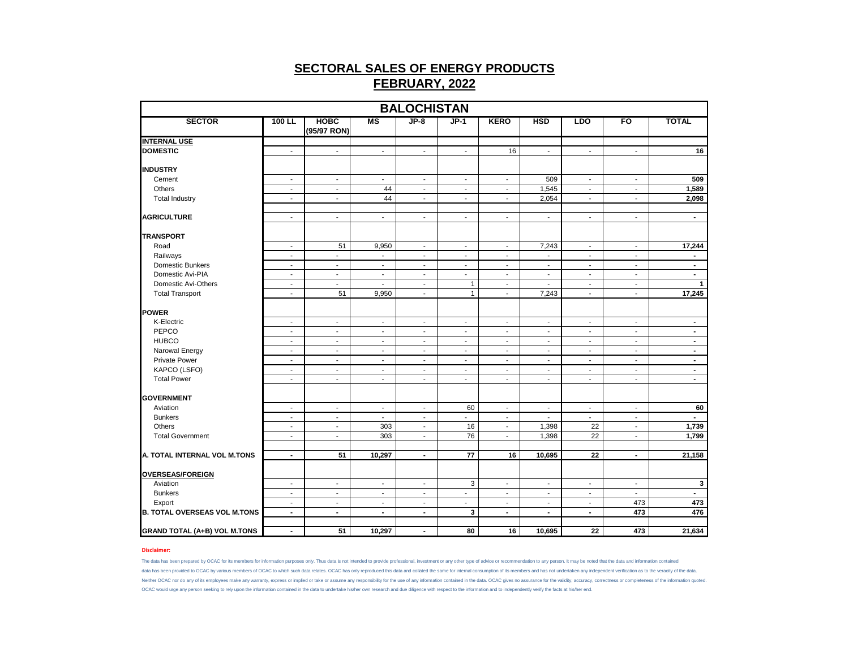| <b>BALOCHISTAN</b>                  |                          |                            |                          |                          |                          |                          |                          |                          |                          |                |  |  |
|-------------------------------------|--------------------------|----------------------------|--------------------------|--------------------------|--------------------------|--------------------------|--------------------------|--------------------------|--------------------------|----------------|--|--|
| <b>SECTOR</b>                       | 100 LL                   | <b>HOBC</b><br>(95/97 RON) | MS                       | $JP-8$                   | $JP-1$                   | <b>KERO</b>              | <b>HSD</b>               | <b>LDO</b>               | FO                       | <b>TOTAL</b>   |  |  |
| <b>INTERNAL USE</b>                 |                          |                            |                          |                          |                          |                          |                          |                          |                          |                |  |  |
| <b>DOMESTIC</b>                     | $\blacksquare$           | $\blacksquare$             | $\mathcal{L}$            | ÷.                       | $\mathbf{r}$             | 16                       | $\mathbf{r}$             | $\blacksquare$           | $\overline{a}$           | 16             |  |  |
| <b>INDUSTRY</b>                     |                          |                            |                          |                          |                          |                          |                          |                          |                          |                |  |  |
| Cement                              | $\overline{\phantom{a}}$ | $\blacksquare$             | $\sim$                   | $\blacksquare$           | $\sim$                   | $\blacksquare$           | 509                      | $\blacksquare$           | $\blacksquare$           | 509            |  |  |
| Others                              | $\overline{\phantom{a}}$ | $\overline{\phantom{a}}$   | 44                       | $\overline{\phantom{a}}$ | $\sim$                   | $\overline{\phantom{a}}$ | 1,545                    | $\blacksquare$           | $\blacksquare$           | 1,589          |  |  |
| <b>Total Industry</b>               | $\overline{\phantom{a}}$ | $\overline{\phantom{a}}$   | 44                       | $\overline{\phantom{a}}$ | $\overline{\phantom{a}}$ | $\overline{\phantom{a}}$ | 2,054                    | $\blacksquare$           | $\overline{\phantom{a}}$ | 2,098          |  |  |
| <b>AGRICULTURE</b>                  | $\mathbf{r}$             | $\mathbf{r}$               | $\mathbf{r}$             | $\blacksquare$           | $\blacksquare$           | $\sim$                   | $\blacksquare$           | $\blacksquare$           | $\blacksquare$           | $\blacksquare$ |  |  |
| <b>TRANSPORT</b>                    |                          |                            |                          |                          |                          |                          |                          |                          |                          |                |  |  |
| Road                                | $\overline{\phantom{a}}$ | 51                         | 9,950                    | $\sim$                   | $\sim$                   | $\sim$                   | 7,243                    | $\sim$                   | $\overline{\phantom{a}}$ | 17,244         |  |  |
| Railways                            | $\overline{\phantom{a}}$ | $\blacksquare$             | $\blacksquare$           | $\sim$                   | $\mathbf{r}$             | $\sim$                   | $\blacksquare$           | $\blacksquare$           | $\blacksquare$           | $\blacksquare$ |  |  |
| Domestic Bunkers                    | $\overline{\phantom{a}}$ | $\overline{\phantom{a}}$   | $\overline{\phantom{a}}$ | $\overline{\phantom{a}}$ | $\blacksquare$           | $\overline{\phantom{a}}$ | $\overline{\phantom{a}}$ | $\overline{\phantom{a}}$ | $\overline{\phantom{a}}$ | $\blacksquare$ |  |  |
| Domestic Avi-PIA                    | $\sim$                   | $\sim$                     | $\sim$                   | $\blacksquare$           | $\overline{\phantom{a}}$ | $\overline{\phantom{a}}$ | $\overline{\phantom{a}}$ | $\overline{\phantom{a}}$ | $\overline{\phantom{a}}$ | $\blacksquare$ |  |  |
| Domestic Avi-Others                 | $\sim$                   | $\blacksquare$             | $\sim$                   | $\sim$                   | $\mathbf{1}$             | $\sim$                   | $\sim$                   | $\blacksquare$           | $\sim$                   | $\mathbf{1}$   |  |  |
| <b>Total Transport</b>              | $\overline{\phantom{a}}$ | 51                         | 9,950                    | $\overline{\phantom{a}}$ | $\mathbf{1}$             | $\sim$                   | 7,243                    | $\blacksquare$           | $\blacksquare$           | 17,245         |  |  |
|                                     |                          |                            |                          |                          |                          |                          |                          |                          |                          |                |  |  |
| POWER                               |                          |                            |                          |                          |                          |                          |                          |                          |                          |                |  |  |
| K-Electric                          | $\blacksquare$           | $\mathbf{r}$               | $\sim$                   | $\mathbf{r}$             | $\mathbf{r}$             | $\mathbf{r}$             | $\blacksquare$           | $\mathbf{r}$             | $\sim$                   | $\sim$         |  |  |
| PEPCO                               | $\overline{\phantom{a}}$ | $\overline{\phantom{a}}$   | $\overline{\phantom{a}}$ | $\overline{\phantom{a}}$ | $\blacksquare$           | $\overline{\phantom{a}}$ | $\overline{\phantom{a}}$ | $\overline{\phantom{a}}$ | $\overline{\phantom{a}}$ | $\blacksquare$ |  |  |
| <b>HUBCO</b>                        | $\sim$                   | $\sim$                     | $\sim$                   | $\sim$                   | $\sim$                   | $\sim$                   | $\sim$                   | $\sim$                   | $\sim$                   | $\blacksquare$ |  |  |
| Narowal Energy                      | $\overline{\phantom{a}}$ | $\overline{\phantom{a}}$   | $\sim$                   | $\overline{\phantom{a}}$ | $\blacksquare$           | $\overline{\phantom{a}}$ | $\overline{\phantom{a}}$ | $\overline{\phantom{a}}$ | $\overline{\phantom{a}}$ | $\blacksquare$ |  |  |
| <b>Private Power</b>                | $\overline{\phantom{a}}$ | $\overline{\phantom{a}}$   | $\blacksquare$           | $\blacksquare$           | $\mathbf{r}$             | $\sim$                   | $\blacksquare$           | $\blacksquare$           | $\blacksquare$           | $\blacksquare$ |  |  |
| KAPCO (LSFO)                        | $\overline{\phantom{a}}$ | $\overline{\phantom{a}}$   | $\overline{\phantom{a}}$ | $\overline{\phantom{a}}$ | $\overline{\phantom{a}}$ | $\blacksquare$           | $\overline{\phantom{a}}$ | $\overline{\phantom{a}}$ | $\blacksquare$           | $\blacksquare$ |  |  |
| <b>Total Power</b>                  | $\overline{\phantom{a}}$ | $\sim$                     | $\overline{\phantom{a}}$ | $\blacksquare$           | $\sim$                   | $\blacksquare$           | $\overline{\phantom{a}}$ | $\blacksquare$           | $\sim$                   | $\blacksquare$ |  |  |
| <b>GOVERNMENT</b>                   |                          |                            |                          |                          |                          |                          |                          |                          |                          |                |  |  |
| Aviation                            | $\blacksquare$           | $\blacksquare$             | $\sim$                   | $\blacksquare$           | 60                       | $\blacksquare$           | $\blacksquare$           | $\blacksquare$           | $\sim$                   | 60             |  |  |
| <b>Bunkers</b>                      | $\overline{\phantom{a}}$ | $\blacksquare$             | $\sim$                   | $\overline{\phantom{a}}$ | $\blacksquare$           | $\sim$                   | $\overline{\phantom{a}}$ | $\overline{\phantom{a}}$ | $\overline{\phantom{a}}$ | $\blacksquare$ |  |  |
| Others                              | $\overline{\phantom{a}}$ | $\overline{\phantom{a}}$   | 303                      | $\overline{\phantom{a}}$ | 16                       | $\sim$                   | 1,398                    | 22                       | $\overline{\phantom{a}}$ | 1,739          |  |  |
| <b>Total Government</b>             | $\overline{\phantom{a}}$ | $\overline{\phantom{a}}$   | 303                      | $\overline{\phantom{a}}$ | 76                       | $\overline{\phantom{a}}$ | 1,398                    | $\overline{22}$          | $\overline{\phantom{a}}$ | 1,799          |  |  |
| A. TOTAL INTERNAL VOL M.TONS        | $\blacksquare$           | 51                         | 10,297                   | $\blacksquare$           | 77                       | 16                       | 10,695                   | 22                       | $\blacksquare$           | 21,158         |  |  |
| <b>OVERSEAS/FOREIGN</b>             |                          |                            |                          |                          |                          |                          |                          |                          |                          |                |  |  |
| Aviation                            | $\overline{\phantom{a}}$ | $\overline{\phantom{a}}$   | $\overline{\phantom{a}}$ | $\sim$                   | 3                        | $\sim$                   | $\overline{\phantom{a}}$ | $\overline{\phantom{a}}$ | $\overline{\phantom{a}}$ | 3              |  |  |
| <b>Bunkers</b>                      | $\overline{\phantom{a}}$ | $\overline{\phantom{a}}$   | $\blacksquare$           | $\sim$                   | $\blacksquare$           | $\sim$                   | $\blacksquare$           | $\blacksquare$           | $\blacksquare$           | $\mathbf{r}$   |  |  |
| Export                              | $\overline{\phantom{a}}$ | $\overline{\phantom{a}}$   | $\overline{\phantom{a}}$ | $\overline{\phantom{a}}$ | $\overline{\phantom{a}}$ | $\overline{\phantom{a}}$ | $\overline{\phantom{a}}$ | $\overline{\phantom{a}}$ | 473                      | 473            |  |  |
| <b>B. TOTAL OVERSEAS VOL M.TONS</b> | $\blacksquare$           | $\blacksquare$             | $\sim$                   | $\blacksquare$           | 3                        | $\overline{\phantom{a}}$ | $\blacksquare$           | $\blacksquare$           | 473                      | 476            |  |  |
|                                     |                          |                            |                          |                          |                          |                          |                          |                          |                          |                |  |  |
| <b>GRAND TOTAL (A+B) VOL M.TONS</b> | $\blacksquare$           | 51                         | $\overline{10,297}$      | $\blacksquare$           | 80                       | 16                       | 10,695                   | 22                       | 473                      | 21,634         |  |  |

### **Disclaimer:**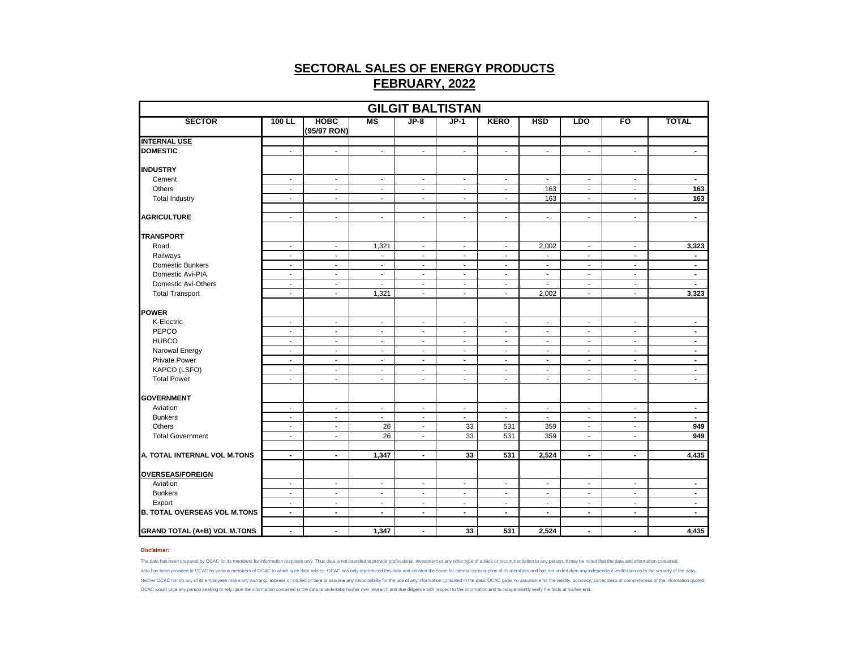| <b>GILGIT BALTISTAN</b>             |                          |                            |                          |                          |                          |                          |                          |                          |                          |                |  |  |  |
|-------------------------------------|--------------------------|----------------------------|--------------------------|--------------------------|--------------------------|--------------------------|--------------------------|--------------------------|--------------------------|----------------|--|--|--|
| <b>SECTOR</b>                       | 100 LL                   | <b>HOBC</b><br>(95/97 RON) | <b>MS</b>                | $JP-8$                   | $JP-1$                   | <b>KERO</b>              | <b>HSD</b>               | <b>LDO</b>               | FO                       | <b>TOTAL</b>   |  |  |  |
| <b>INTERNAL USE</b>                 |                          |                            |                          |                          |                          |                          |                          |                          |                          |                |  |  |  |
| <b>DOMESTIC</b>                     | $\sim$                   | $\blacksquare$             | $\blacksquare$           | $\overline{\phantom{a}}$ | $\blacksquare$           | $\sim$                   | $\overline{\phantom{a}}$ | $\overline{\phantom{a}}$ | $\blacksquare$           | $\sim$         |  |  |  |
| <b>INDUSTRY</b>                     |                          |                            |                          |                          |                          |                          |                          |                          |                          |                |  |  |  |
| Cement                              | $\sim$                   | $\blacksquare$             | $\blacksquare$           | $\blacksquare$           | $\blacksquare$           | $\sim$                   | $\overline{\phantom{a}}$ | $\sim$                   | $\sim$                   | $\sim$         |  |  |  |
| Others                              | $\sim$                   | $\sim$                     | $\blacksquare$           | $\sim$                   | $\blacksquare$           | $\sim$                   | 163                      | $\overline{\phantom{a}}$ | $\overline{\phantom{a}}$ | 163            |  |  |  |
| <b>Total Industry</b>               | $\sim$                   | $\sim$                     | $\sim$                   | $\sim$                   | $\overline{a}$           | $\sim$                   | 163                      | $\blacksquare$           | $\blacksquare$           | 163            |  |  |  |
|                                     |                          |                            |                          |                          |                          |                          |                          |                          |                          |                |  |  |  |
| <b>AGRICULTURE</b>                  | $\sim$                   | $\overline{\phantom{a}}$   | $\overline{\phantom{a}}$ | $\overline{\phantom{a}}$ | $\overline{\phantom{a}}$ | $\sim$                   | $\overline{\phantom{a}}$ | $\overline{\phantom{a}}$ | $\overline{\phantom{a}}$ | $\blacksquare$ |  |  |  |
| <b>TRANSPORT</b>                    |                          |                            |                          |                          |                          |                          |                          |                          |                          |                |  |  |  |
| Road                                | $\sim$                   | $\sim$                     | 1,321                    | $\overline{\phantom{a}}$ | $\overline{\phantom{a}}$ | $\blacksquare$           | 2,002                    | $\overline{\phantom{a}}$ | $\overline{\phantom{a}}$ | 3,323          |  |  |  |
| Railways                            | $\blacksquare$           | $\sim$                     | $\blacksquare$           | $\overline{\phantom{a}}$ | $\sim$                   | $\sim$                   | $\overline{\phantom{a}}$ | $\sim$                   | $\blacksquare$           | $\sim$         |  |  |  |
| Domestic Bunkers                    | $\sim$                   | $\overline{\phantom{a}}$   | $\overline{\phantom{a}}$ | $\overline{\phantom{a}}$ | $\overline{\phantom{a}}$ | $\sim$                   | $\overline{\phantom{a}}$ | $\overline{\phantom{a}}$ | $\overline{\phantom{a}}$ | $\blacksquare$ |  |  |  |
| Domestic Avi-PIA                    | $\blacksquare$           | $\blacksquare$             | $\blacksquare$           | $\blacksquare$           | $\sim$                   | $\blacksquare$           | $\blacksquare$           | $\sim$                   | $\sim$                   | $\blacksquare$ |  |  |  |
| Domestic Avi-Others                 | $\blacksquare$           | $\blacksquare$             | $\blacksquare$           | $\blacksquare$           | $\blacksquare$           | $\sim$                   | $\blacksquare$           | $\blacksquare$           | $\blacksquare$           | $\sim$         |  |  |  |
| <b>Total Transport</b>              | $\blacksquare$           | $\sim$                     | 1,321                    | $\blacksquare$           | $\sim$                   | $\sim$                   | 2,002                    | $\blacksquare$           | $\blacksquare$           | 3,323          |  |  |  |
| <b>POWER</b>                        |                          |                            |                          |                          |                          |                          |                          |                          |                          |                |  |  |  |
| K-Electric                          | $\blacksquare$           | $\blacksquare$             | $\overline{\phantom{a}}$ | $\overline{\phantom{a}}$ | $\overline{\phantom{a}}$ | $\sim$                   | $\overline{\phantom{a}}$ | $\overline{\phantom{a}}$ | $\overline{\phantom{a}}$ | $\blacksquare$ |  |  |  |
| PEPCO                               | $\overline{\phantom{a}}$ | $\overline{\phantom{a}}$   | $\overline{\phantom{a}}$ | $\overline{\phantom{a}}$ | $\overline{\phantom{a}}$ | $\sim$                   | $\overline{\phantom{a}}$ | $\overline{\phantom{a}}$ | $\overline{\phantom{a}}$ | $\blacksquare$ |  |  |  |
| <b>HUBCO</b>                        | $\sim$                   | $\mathbf{r}$               | $\mathbf{r}$             | $\overline{\phantom{a}}$ | $\overline{\phantom{a}}$ | $\blacksquare$           | $\sim$                   | $\blacksquare$           | $\overline{\phantom{a}}$ | $\blacksquare$ |  |  |  |
| Narowal Energy                      | $\sim$                   | $\sim$                     | $\sim$                   | $\blacksquare$           | $\blacksquare$           | $\sim$                   | $\blacksquare$           | $\blacksquare$           | $\overline{\phantom{a}}$ | $\blacksquare$ |  |  |  |
| Private Power                       | $\blacksquare$           | $\mathcal{L}$              | $\mathbf{r}$             | $\blacksquare$           | $\blacksquare$           | $\mathbf{r}$             | $\sim$                   | $\blacksquare$           | $\mathbf{r}$             | $\blacksquare$ |  |  |  |
| KAPCO (LSFO)                        | $\overline{\phantom{a}}$ | $\blacksquare$             | $\overline{\phantom{a}}$ | $\overline{\phantom{a}}$ | $\overline{\phantom{a}}$ | $\overline{\phantom{a}}$ | $\blacksquare$           | $\overline{\phantom{a}}$ | $\overline{\phantom{a}}$ | $\blacksquare$ |  |  |  |
| <b>Total Power</b>                  | $\sim$                   | $\blacksquare$             | $\blacksquare$           | $\overline{\phantom{a}}$ | $\blacksquare$           | $\overline{\phantom{a}}$ | $\overline{\phantom{a}}$ | $\blacksquare$           | $\blacksquare$           | $\sim$         |  |  |  |
|                                     |                          |                            |                          |                          |                          |                          |                          |                          |                          |                |  |  |  |
| <b>GOVERNMENT</b>                   |                          |                            |                          |                          |                          |                          |                          |                          |                          |                |  |  |  |
| Aviation                            | $\overline{\phantom{a}}$ | $\overline{a}$             | $\overline{\phantom{a}}$ | $\overline{\phantom{a}}$ | $\overline{\phantom{a}}$ | $\blacksquare$           | $\overline{\phantom{a}}$ | $\overline{\phantom{a}}$ | $\overline{\phantom{a}}$ | $\blacksquare$ |  |  |  |
| <b>Bunkers</b>                      | $\sim$                   | $\sim$                     | $\sim$                   | $\overline{\phantom{a}}$ | $\blacksquare$           | $\sim$                   | $\overline{\phantom{a}}$ | $\sim$                   | $\sim$                   | $\sim$         |  |  |  |
| Others                              | $\blacksquare$           | $\blacksquare$             | 26                       | $\overline{\phantom{a}}$ | 33                       | 531                      | 359                      | $\blacksquare$           | $\blacksquare$           | 949            |  |  |  |
| <b>Total Government</b>             | $\blacksquare$           | $\blacksquare$             | 26                       | $\overline{\phantom{a}}$ | 33                       | 531                      | 359                      | $\overline{\phantom{a}}$ | $\overline{\phantom{a}}$ | 949            |  |  |  |
| A. TOTAL INTERNAL VOL M.TONS        | $\blacksquare$           | $\blacksquare$             | 1,347                    | $\blacksquare$           | 33                       | 531                      | 2,524                    | $\blacksquare$           | $\blacksquare$           | 4,435          |  |  |  |
|                                     |                          |                            |                          |                          |                          |                          |                          |                          |                          |                |  |  |  |
| <b>OVERSEAS/FOREIGN</b>             |                          |                            |                          |                          |                          |                          |                          |                          |                          |                |  |  |  |
| Aviation                            | $\sim$                   | $\overline{\phantom{a}}$   | $\overline{\phantom{a}}$ | $\overline{\phantom{a}}$ | $\overline{\phantom{a}}$ | $\sim$                   | $\overline{\phantom{a}}$ | $\overline{\phantom{a}}$ | $\overline{\phantom{a}}$ | $\blacksquare$ |  |  |  |
| <b>Bunkers</b>                      | $\mathbf{r}$             | $\mathbf{r}$               | $\mathbf{r}$             | $\sim$                   | $\mathbf{r}$             | $\sim$                   | $\overline{a}$           | $\mathbf{r}$             | $\mathbf{r}$             | $\sim$         |  |  |  |
| Export                              | $\blacksquare$           | $\blacksquare$             | $\blacksquare$           | $\overline{\phantom{a}}$ | $\blacksquare$           | $\blacksquare$           | $\overline{\phantom{a}}$ | $\overline{\phantom{a}}$ | $\blacksquare$           | $\blacksquare$ |  |  |  |
| <b>B. TOTAL OVERSEAS VOL M.TONS</b> | $\blacksquare$           | $\blacksquare$             | $\blacksquare$           | $\blacksquare$           | $\blacksquare$           | $\blacksquare$           | $\blacksquare$           | $\blacksquare$           | $\blacksquare$           | $\blacksquare$ |  |  |  |
| <b>GRAND TOTAL (A+B) VOL M.TONS</b> | $\blacksquare$           | $\blacksquare$             | 1,347                    | $\overline{\phantom{a}}$ | 33                       | 531                      | 2,524                    | $\blacksquare$           | $\blacksquare$           | 4,435          |  |  |  |

#### **Disclaimer:**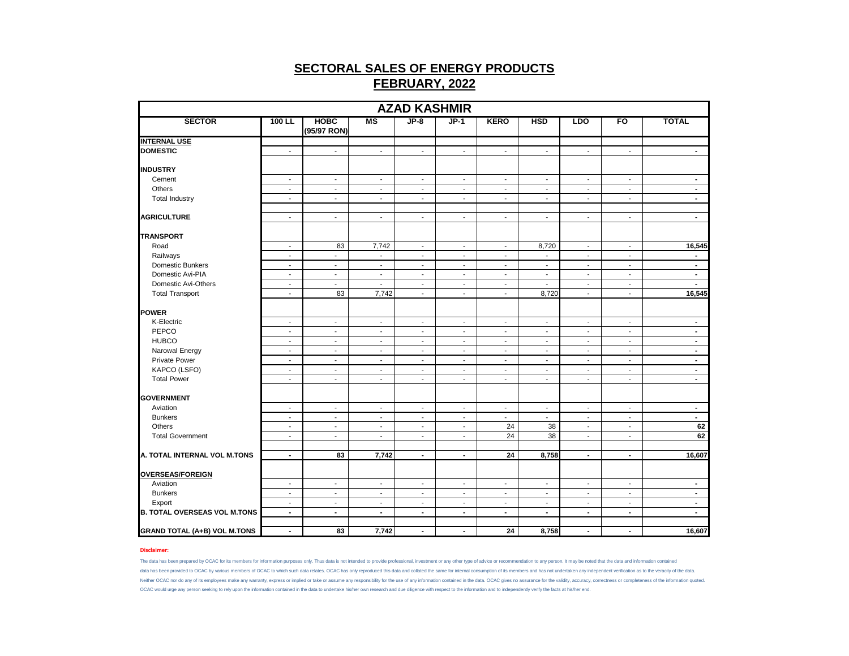| <b>AZAD KASHMIR</b>                 |                          |                            |                             |                          |                          |                          |                          |                          |                          |                |  |  |
|-------------------------------------|--------------------------|----------------------------|-----------------------------|--------------------------|--------------------------|--------------------------|--------------------------|--------------------------|--------------------------|----------------|--|--|
| <b>SECTOR</b>                       | $100$ LL                 | <b>HOBC</b><br>(95/97 RON) | <b>MS</b>                   | $JP-8$                   | $JP-1$                   | <b>KERO</b>              | <b>HSD</b>               | <b>LDO</b>               | FO                       | <b>TOTAL</b>   |  |  |
| <b>INTERNAL USE</b>                 |                          |                            |                             |                          |                          |                          |                          |                          |                          |                |  |  |
| <b>DOMESTIC</b>                     | $\sim$                   | $\mathbf{r}$               | $\mathcal{L}^{\mathcal{A}}$ | $\mathcal{L}$            | $\mathbf{r}$             | $\mathcal{L}$            | $\mathbf{r}$             | $\sim$                   | $\blacksquare$           | $\sim$         |  |  |
| <b>INDUSTRY</b>                     |                          |                            |                             |                          |                          |                          |                          |                          |                          |                |  |  |
| Cement                              | $\sim$                   | $\sim$                     | $\sim$                      | $\sim$                   | $\sim$                   | $\blacksquare$           | $\sim$                   | $\sim$                   | $\blacksquare$           | $\blacksquare$ |  |  |
| Others                              | $\sim$                   | $\sim$                     | $\sim$                      | $\sim$                   | $\blacksquare$           | $\blacksquare$           | $\overline{\phantom{a}}$ | $\sim$                   | $\sim$                   | $\blacksquare$ |  |  |
| <b>Total Industry</b>               | $\blacksquare$           | $\blacksquare$             | $\blacksquare$              | $\blacksquare$           | $\overline{\phantom{a}}$ | $\blacksquare$           | $\overline{a}$           | $\blacksquare$           | $\blacksquare$           | $\sim$         |  |  |
| <b>AGRICULTURE</b>                  | $\mathbf{r}$             | $\mathbf{r}$               | $\blacksquare$              | $\mathbf{r}$             | $\sim$                   | $\mathbf{r}$             | $\mathbf{r}$             | $\blacksquare$           | $\blacksquare$           | $\sim$         |  |  |
| <b>TRANSPORT</b>                    |                          |                            |                             |                          |                          |                          |                          |                          |                          |                |  |  |
| Road                                | $\sim$                   | 83                         | 7,742                       | $\sim$                   | $\overline{\phantom{a}}$ | $\blacksquare$           | 8,720                    | $\overline{\phantom{a}}$ | $\overline{\phantom{a}}$ | 16,545         |  |  |
| Railways                            | $\sim$                   | $\mathcal{L}$              | $\overline{a}$              | $\mathbf{r}$             | $\sim$                   | $\mathbf{r}$             | $\overline{\phantom{a}}$ | $\mathcal{L}$            | $\blacksquare$           | $\sim$         |  |  |
| Domestic Bunkers                    | $\sim$                   | $\overline{\phantom{a}}$   | $\overline{\phantom{a}}$    | $\blacksquare$           | $\overline{\phantom{a}}$ | $\blacksquare$           | $\blacksquare$           | $\overline{\phantom{a}}$ | $\overline{\phantom{a}}$ | $\blacksquare$ |  |  |
| Domestic Avi-PIA                    | $\overline{\phantom{a}}$ | $\overline{\phantom{a}}$   | $\sim$                      | $\overline{\phantom{a}}$ | $\overline{\phantom{a}}$ | $\sim$                   | $\overline{\phantom{a}}$ | $\sim$                   | $\overline{\phantom{a}}$ | $\blacksquare$ |  |  |
| Domestic Avi-Others                 | $\sim$                   | $\sim$                     | $\sim$                      | $\sim$                   | $\sim$                   | $\overline{\phantom{a}}$ | $\sim$                   | $\sim$                   | $\sim$                   | $\sim$         |  |  |
| <b>Total Transport</b>              | $\blacksquare$           | 83                         | 7,742                       | $\blacksquare$           | $\blacksquare$           | $\blacksquare$           | 8,720                    | $\blacksquare$           | $\sim$                   | 16,545         |  |  |
| POWER                               |                          |                            |                             |                          |                          |                          |                          |                          |                          |                |  |  |
| K-Electric                          | $\sim$                   | $\blacksquare$             | $\blacksquare$              | $\mathbf{r}$             | $\sim$                   | $\blacksquare$           | $\sim$                   | $\blacksquare$           | $\sim$                   | $\blacksquare$ |  |  |
| PEPCO                               | $\overline{\phantom{a}}$ | $\overline{\phantom{a}}$   | $\overline{\phantom{a}}$    | $\blacksquare$           | $\overline{\phantom{a}}$ | $\overline{\phantom{a}}$ | $\overline{\phantom{a}}$ | $\overline{\phantom{a}}$ | $\overline{\phantom{a}}$ | $\blacksquare$ |  |  |
| <b>HUBCO</b>                        | $\sim$                   | $\sim$                     | $\sim$                      | $\sim$                   | $\overline{\phantom{a}}$ | $\sim$                   | $\sim$                   | $\sim$                   | $\sim$                   | $\sim$         |  |  |
| Narowal Energy                      | $\sim$                   | $\sim$                     | $\overline{\phantom{a}}$    | $\sim$                   | $\sim$                   | $\blacksquare$           | $\overline{\phantom{a}}$ | $\sim$                   | $\sim$                   | $\blacksquare$ |  |  |
| <b>Private Power</b>                | $\mathbf{r}$             | $\mathbf{r}$               | $\blacksquare$              | $\blacksquare$           | $\blacksquare$           | $\blacksquare$           | $\mathbf{r}$             | $\sim$                   | $\blacksquare$           | $\blacksquare$ |  |  |
| KAPCO (LSFO)                        | $\blacksquare$           | $\blacksquare$             | $\blacksquare$              | $\blacksquare$           | $\blacksquare$           | $\blacksquare$           | $\blacksquare$           | $\blacksquare$           | $\blacksquare$           | $\sim$         |  |  |
| <b>Total Power</b>                  | $\overline{\phantom{a}}$ | $\sim$                     | $\sim$                      | $\sim$                   | $\overline{\phantom{a}}$ | $\sim$                   | $\blacksquare$           | $\sim$                   | $\blacksquare$           | $\blacksquare$ |  |  |
| <b>GOVERNMENT</b>                   |                          |                            |                             |                          |                          |                          |                          |                          |                          |                |  |  |
| Aviation                            | $\sim$                   | $\blacksquare$             | $\blacksquare$              | $\blacksquare$           | $\blacksquare$           | $\blacksquare$           | ÷,                       | $\blacksquare$           | $\blacksquare$           | $\blacksquare$ |  |  |
| <b>Bunkers</b>                      | $\sim$                   | $\blacksquare$             | $\overline{\phantom{a}}$    | $\blacksquare$           | $\blacksquare$           | $\sim$                   | $\blacksquare$           | $\sim$                   | $\overline{\phantom{a}}$ | $\sim$         |  |  |
| Others                              | $\sim$                   | $\sim$                     | $\sim$                      | $\sim$                   | $\blacksquare$           | 24                       | 38                       | $\sim$                   | $\sim$                   | 62             |  |  |
| <b>Total Government</b>             | $\overline{\phantom{a}}$ | $\overline{\phantom{a}}$   | $\overline{\phantom{a}}$    | $\overline{\phantom{a}}$ | $\overline{\phantom{a}}$ | 24                       | $\overline{38}$          | $\overline{\phantom{a}}$ | $\overline{\phantom{a}}$ | 62             |  |  |
|                                     |                          |                            |                             |                          |                          |                          |                          |                          |                          |                |  |  |
| A. TOTAL INTERNAL VOL M.TONS        | $\sim$                   | 83                         | 7,742                       | $\blacksquare$           | $\blacksquare$           | 24                       | 8,758                    | $\blacksquare$           | $\blacksquare$           | 16,607         |  |  |
| <b>OVERSEAS/FOREIGN</b>             |                          |                            |                             |                          |                          |                          |                          |                          |                          |                |  |  |
| Aviation                            | $\sim$                   | $\sim$                     | $\overline{\phantom{a}}$    | $\sim$                   | $\sim$                   | $\blacksquare$           | $\sim$                   | $\sim$                   | $\sim$                   | $\blacksquare$ |  |  |
| <b>Bunkers</b>                      | $\blacksquare$           | $\blacksquare$             | $\blacksquare$              | $\blacksquare$           | $\blacksquare$           | $\blacksquare$           | $\sim$                   | $\sim$                   | $\sim$                   | $\blacksquare$ |  |  |
| Export                              | $\sim$                   | $\overline{\phantom{a}}$   | $\overline{\phantom{a}}$    | $\blacksquare$           | $\overline{\phantom{a}}$ | $\overline{\phantom{a}}$ | $\overline{\phantom{a}}$ | $\overline{\phantom{a}}$ | $\overline{\phantom{a}}$ | $\blacksquare$ |  |  |
| <b>B. TOTAL OVERSEAS VOL M.TONS</b> | $\blacksquare$           | $\blacksquare$             | $\blacksquare$              | $\sim$                   | $\blacksquare$           | $\blacksquare$           | $\blacksquare$           | $\blacksquare$           | $\blacksquare$           | $\blacksquare$ |  |  |
| <b>GRAND TOTAL (A+B) VOL M.TONS</b> | $\blacksquare$           | 83                         | 7,742                       | $\blacksquare$           | $\blacksquare$           | 24                       | 8,758                    | $\blacksquare$           | $\blacksquare$           | 16,607         |  |  |

### **Disclaimer:**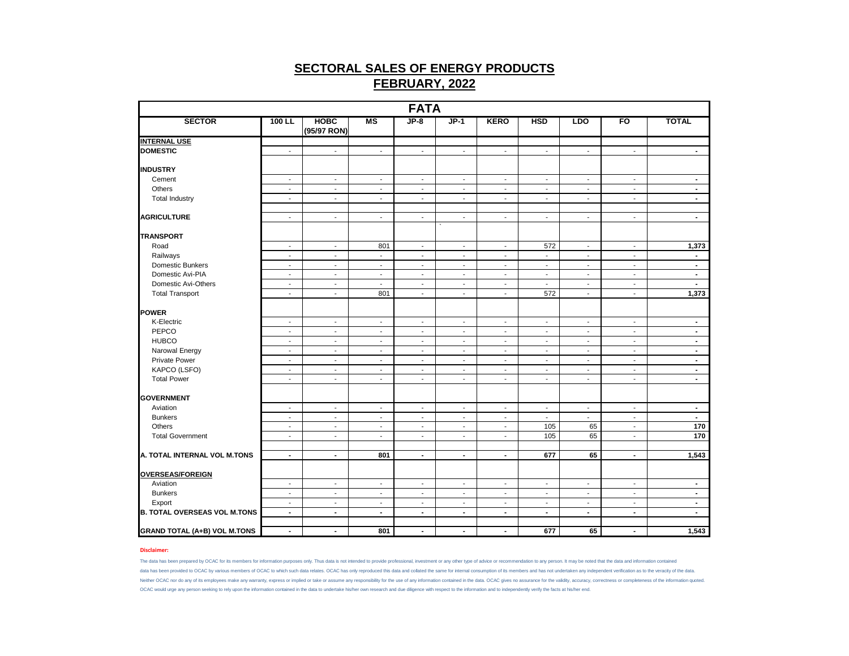| <b>FATA</b>                         |                          |                            |                                            |                          |                                 |                                          |                                          |                          |                                    |                          |  |  |
|-------------------------------------|--------------------------|----------------------------|--------------------------------------------|--------------------------|---------------------------------|------------------------------------------|------------------------------------------|--------------------------|------------------------------------|--------------------------|--|--|
| <b>SECTOR</b>                       | $100$ LL                 | <b>HOBC</b><br>(95/97 RON) | <b>MS</b>                                  | $JP-8$                   | $JP-1$                          | <b>KERO</b>                              | <b>HSD</b>                               | <b>LDO</b>               | FO                                 | <b>TOTAL</b>             |  |  |
| <b>INTERNAL USE</b>                 |                          |                            |                                            |                          |                                 |                                          |                                          |                          |                                    |                          |  |  |
| <b>DOMESTIC</b>                     | $\sim$                   | $\sim$                     | $\overline{\phantom{a}}$                   | $\sim$                   | $\sim$                          | $\overline{\phantom{a}}$                 | $\overline{\phantom{a}}$                 | $\sim$                   | $\overline{\phantom{a}}$           | $\blacksquare$           |  |  |
| <b>INDUSTRY</b>                     |                          |                            |                                            |                          |                                 |                                          |                                          |                          |                                    |                          |  |  |
| Cement                              | $\blacksquare$           | $\sim$                     | $\overline{\phantom{a}}$                   | $\sim$                   | $\blacksquare$                  | $\overline{\phantom{a}}$                 | $\blacksquare$                           | $\sim$                   | $\sim$                             | $\sim$                   |  |  |
| Others                              | $\blacksquare$           | $\blacksquare$             | $\blacksquare$                             | $\overline{\phantom{a}}$ | $\blacksquare$                  | $\overline{\phantom{a}}$                 | $\overline{a}$                           | $\sim$                   | $\sim$                             | $\sim$                   |  |  |
| <b>Total Industry</b>               | $\sim$                   | $\sim$                     | $\overline{\phantom{a}}$                   | $\blacksquare$           | $\overline{a}$                  | $\blacksquare$                           | $\sim$                                   | $\sim$                   | $\sim$                             | $\sim$                   |  |  |
| <b>AGRICULTURE</b>                  | $\sim$                   | $\sim$                     | $\overline{\phantom{a}}$                   | $\sim$                   | $\overline{\phantom{a}}$        | $\overline{\phantom{a}}$                 | $\overline{\phantom{a}}$                 | $\overline{\phantom{a}}$ | $\overline{\phantom{a}}$           | $\sim$                   |  |  |
| <b>TRANSPORT</b>                    |                          |                            |                                            |                          |                                 |                                          |                                          |                          |                                    |                          |  |  |
| Road                                | $\overline{\phantom{a}}$ | $\sim$                     | 801                                        | $\sim$                   | $\sim$                          | $\sim$                                   | 572                                      | $\sim$                   | $\sim$                             | 1,373                    |  |  |
| Railways                            | $\sim$                   | $\sim$                     | $\blacksquare$                             | $\sim$                   | $\sim$                          | $\blacksquare$                           | $\blacksquare$                           | $\sim$                   | $\sim$                             | $\sim$                   |  |  |
| Domestic Bunkers                    | $\overline{\phantom{a}}$ | $\sim$                     | $\overline{\phantom{a}}$                   | $\overline{\phantom{a}}$ | $\overline{\phantom{a}}$        | $\blacksquare$                           | $\blacksquare$                           | $\sim$                   | $\overline{\phantom{a}}$           | $\blacksquare$           |  |  |
| Domestic Avi-PIA                    | $\blacksquare$           | $\blacksquare$             | $\overline{\phantom{a}}$                   | $\blacksquare$           | $\blacksquare$                  | $\blacksquare$                           | ÷,                                       | $\sim$                   | $\blacksquare$                     | $\sim$                   |  |  |
| Domestic Avi-Others                 | $\sim$                   | $\sim$                     | $\blacksquare$                             | $\sim$                   | $\blacksquare$                  | $\overline{\phantom{a}}$                 | $\blacksquare$                           | $\blacksquare$           | $\sim$                             | $\sim$                   |  |  |
| <b>Total Transport</b>              | $\sim$                   | $\mathbf{r}$               | 801                                        | $\blacksquare$           | $\tilde{\phantom{a}}$           | $\mathbf{r}$                             | 572                                      | $\blacksquare$           | $\blacksquare$                     | 1,373                    |  |  |
| POWER                               |                          |                            |                                            |                          |                                 |                                          |                                          |                          |                                    |                          |  |  |
| K-Electric                          | $\blacksquare$           | $\sim$                     | $\overline{\phantom{a}}$                   | $\blacksquare$           | $\overline{\phantom{a}}$        | $\overline{\phantom{a}}$                 | $\blacksquare$                           | $\blacksquare$           | $\overline{\phantom{a}}$           | $\blacksquare$           |  |  |
| PEPCO                               | $\overline{\phantom{a}}$ | $\blacksquare$             | $\overline{\phantom{a}}$                   | $\sim$                   | $\overline{\phantom{a}}$        | $\overline{\phantom{a}}$                 | $\overline{\phantom{a}}$                 | $\sim$                   | $\overline{\phantom{a}}$           | $\blacksquare$           |  |  |
| <b>HUBCO</b>                        | $\overline{\phantom{a}}$ | $\blacksquare$             | $\overline{\phantom{a}}$                   | $\overline{\phantom{a}}$ | $\overline{\phantom{a}}$        | $\overline{\phantom{a}}$                 | $\blacksquare$                           | $\blacksquare$           | $\overline{\phantom{a}}$           | $\blacksquare$           |  |  |
| Narowal Energy                      | $\sim$                   | $\sim$                     | $\overline{\phantom{a}}$                   | $\sim$                   | $\blacksquare$                  | $\sim$                                   | $\sim$                                   | $\sim$                   | $\sim$                             | $\sim$                   |  |  |
| <b>Private Power</b>                | $\mathbf{r}$             | $\mathbf{r}$               | $\mathbf{r}$                               | $\blacksquare$           | $\tilde{\phantom{a}}$           | $\blacksquare$                           | $\mathbf{r}$                             | $\mathcal{L}$            | $\mathbf{r}$                       | $\blacksquare$           |  |  |
| KAPCO (LSFO)                        | $\blacksquare$           | $\blacksquare$             | $\overline{\phantom{a}}$                   | $\overline{\phantom{a}}$ | $\blacksquare$                  | $\overline{\phantom{a}}$                 | $\overline{a}$                           | $\blacksquare$           | $\overline{\phantom{a}}$           | $\blacksquare$           |  |  |
| <b>Total Power</b>                  | $\overline{\phantom{a}}$ | $\sim$                     | $\overline{\phantom{a}}$                   | $\sim$                   | $\overline{\phantom{a}}$        | $\sim$                                   | $\overline{\phantom{a}}$                 | $\sim$                   | $\sim$                             | $\sim$                   |  |  |
| <b>GOVERNMENT</b>                   |                          |                            |                                            |                          |                                 |                                          |                                          |                          |                                    |                          |  |  |
| Aviation                            | $\overline{\phantom{a}}$ | $\overline{\phantom{a}}$   | $\overline{\phantom{a}}$                   | $\overline{\phantom{a}}$ | $\overline{\phantom{a}}$        | $\overline{\phantom{a}}$                 | $\overline{\phantom{a}}$                 | $\blacksquare$           | $\overline{\phantom{a}}$           | $\blacksquare$           |  |  |
| <b>Bunkers</b>                      | $\sim$                   | $\sim$                     | $\overline{\phantom{a}}$                   | $\sim$                   | $\sim$                          | $\overline{\phantom{a}}$                 | $\sim$                                   | $\sim$                   | $\sim$                             | $\sim$                   |  |  |
| Others                              | $\blacksquare$           | $\sim$                     | $\overline{\phantom{a}}$                   | $\blacksquare$           | $\blacksquare$                  | $\overline{\phantom{a}}$                 | 105                                      | 65                       | $\blacksquare$                     | 170                      |  |  |
| <b>Total Government</b>             | $\blacksquare$           | $\blacksquare$             | $\overline{\phantom{a}}$                   | $\overline{\phantom{a}}$ | $\overline{\phantom{a}}$        | $\overline{\phantom{a}}$                 | 105                                      | 65                       | $\overline{\phantom{a}}$           | 170                      |  |  |
| A. TOTAL INTERNAL VOL M.TONS        | $\blacksquare$           | $\blacksquare$             | 801                                        | $\blacksquare$           | $\blacksquare$                  | $\blacksquare$                           | 677                                      | 65                       | $\blacksquare$                     | 1,543                    |  |  |
| <b>OVERSEAS/FOREIGN</b>             |                          |                            |                                            |                          |                                 |                                          |                                          |                          |                                    |                          |  |  |
| Aviation                            |                          |                            |                                            |                          |                                 |                                          |                                          |                          |                                    |                          |  |  |
| <b>Bunkers</b>                      | $\sim$<br>$\blacksquare$ | $\sim$<br>$\mathbf{r}$     | $\overline{\phantom{a}}$<br>$\blacksquare$ | $\sim$<br>$\mathbf{r}$   | $\sim$<br>$\tilde{\phantom{a}}$ | $\overline{\phantom{a}}$<br>$\mathbf{r}$ | $\overline{\phantom{a}}$<br>$\mathbf{r}$ | $\sim$<br>$\mathcal{L}$  | $\overline{\phantom{a}}$<br>$\sim$ | $\sim$<br>$\blacksquare$ |  |  |
| Export                              | $\blacksquare$           | $\blacksquare$             | $\blacksquare$                             | $\blacksquare$           | $\overline{\phantom{a}}$        | $\overline{\phantom{a}}$                 | $\blacksquare$                           | $\blacksquare$           | $\blacksquare$                     | $\blacksquare$           |  |  |
| <b>B. TOTAL OVERSEAS VOL M.TONS</b> | $\blacksquare$           | $\blacksquare$             | $\blacksquare$                             | $\blacksquare$           | $\blacksquare$                  | $\blacksquare$                           | $\blacksquare$                           | $\sim$                   | $\blacksquare$                     | $\sim$                   |  |  |
|                                     |                          |                            |                                            |                          |                                 |                                          |                                          |                          |                                    |                          |  |  |
| <b>GRAND TOTAL (A+B) VOL M.TONS</b> | $\blacksquare$           | $\sim$                     | 801                                        | $\blacksquare$           | $\blacksquare$                  | $\blacksquare$                           | 677                                      | 65                       | $\blacksquare$                     | 1,543                    |  |  |

### **Disclaimer:**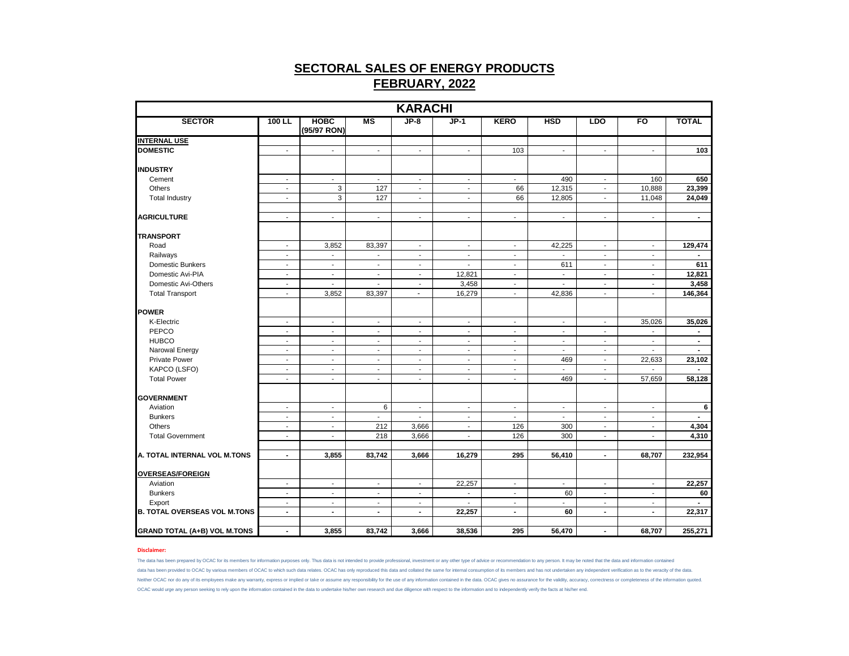| <b>KARACHI</b>                      |                          |                            |                          |                             |                          |                          |                          |                             |                          |                |  |
|-------------------------------------|--------------------------|----------------------------|--------------------------|-----------------------------|--------------------------|--------------------------|--------------------------|-----------------------------|--------------------------|----------------|--|
| <b>SECTOR</b>                       | $100$ LL                 | <b>HOBC</b><br>(95/97 RON) | $\overline{\mathsf{MS}}$ | $JP-8$                      | $JP-1$                   | <b>KERO</b>              | <b>HSD</b>               | LDO                         | F <sub>O</sub>           | <b>TOTAL</b>   |  |
| <b>INTERNAL USE</b>                 |                          |                            |                          |                             |                          |                          |                          |                             |                          |                |  |
| <b>DOMESTIC</b>                     | $\blacksquare$           | $\overline{\phantom{a}}$   | $\blacksquare$           | $\overline{\phantom{a}}$    | $\overline{\phantom{a}}$ | 103                      | $\overline{\phantom{a}}$ | $\blacksquare$              | $\blacksquare$           | 103            |  |
| <b>INDUSTRY</b>                     |                          |                            |                          |                             |                          |                          |                          |                             |                          |                |  |
| Cement                              | $\overline{\phantom{a}}$ | $\overline{\phantom{a}}$   | $\overline{\phantom{a}}$ | $\blacksquare$              | $\overline{\phantom{a}}$ | $\overline{\phantom{a}}$ | 490                      | $\blacksquare$              | 160                      | 650            |  |
| Others                              | $\blacksquare$           | 3                          | 127                      | $\sim$                      | $\blacksquare$           | 66                       | 12,315                   | $\sim$                      | 10,888                   | 23,399         |  |
| <b>Total Industry</b>               | $\mathbf{r}$             | 3                          | 127                      | $\mathcal{L}^{\mathcal{A}}$ | $\mathbf{r}$             | 66                       | 12,805                   | $\mathcal{L}$               | 11,048                   | 24,049         |  |
|                                     |                          |                            |                          |                             |                          |                          |                          |                             |                          |                |  |
| <b>AGRICULTURE</b>                  | $\blacksquare$           | $\blacksquare$             | $\blacksquare$           | $\overline{\phantom{a}}$    | $\blacksquare$           | $\blacksquare$           | $\blacksquare$           | $\blacksquare$              | $\sim$                   | $\blacksquare$ |  |
| <b>TRANSPORT</b>                    |                          |                            |                          |                             |                          |                          |                          |                             |                          |                |  |
| Road                                | $\overline{\phantom{a}}$ | 3,852                      | 83,397                   | $\blacksquare$              | $\overline{\phantom{a}}$ | $\overline{\phantom{a}}$ | 42,225                   | $\overline{\phantom{a}}$    | $\blacksquare$           | 129,474        |  |
| Railways                            | $\sim$                   | $\overline{\phantom{a}}$   | $\blacksquare$           | $\sim$                      | $\sim$                   | $\sim$                   | $\blacksquare$           | $\sim$                      | $\sim$                   | $\blacksquare$ |  |
| <b>Domestic Bunkers</b>             | $\overline{\phantom{a}}$ | $\blacksquare$             | $\blacksquare$           | $\blacksquare$              | $\blacksquare$           | $\blacksquare$           | 611                      | $\blacksquare$              | $\sim$                   | 611            |  |
| Domestic Avi-PIA                    | $\overline{a}$           | $\ddot{\phantom{a}}$       | $\sim$                   | $\mathbf{r}$                | 12,821                   | $\mathbf{r}$             | L.                       | $\mathbf{r}$                | $\sim$                   | 12,821         |  |
| Domestic Avi-Others                 | $\blacksquare$           | $\blacksquare$             | $\blacksquare$           | $\blacksquare$              | 3,458                    | $\overline{\phantom{a}}$ | $\overline{\phantom{a}}$ | $\blacksquare$              | $\blacksquare$           | 3,458          |  |
| <b>Total Transport</b>              | $\overline{a}$           | 3,852                      | 83,397                   | $\mathbf{r}$                | 16,279                   | $\sim$                   | 42,836                   | ÷.                          | $\sim$                   | 146,364        |  |
| <b>POWER</b>                        |                          |                            |                          |                             |                          |                          |                          |                             |                          |                |  |
| K-Electric                          | $\blacksquare$           | $\overline{\phantom{a}}$   | $\overline{\phantom{a}}$ | $\overline{\phantom{a}}$    | $\overline{\phantom{a}}$ | $\overline{\phantom{a}}$ | $\overline{\phantom{a}}$ | $\overline{\phantom{a}}$    | 35,026                   | 35,026         |  |
| PEPCO                               | $\blacksquare$           | $\overline{\phantom{a}}$   | $\mathbf{r}$             | $\blacksquare$              | $\overline{\phantom{a}}$ | $\blacksquare$           | $\overline{\phantom{a}}$ | $\mathcal{L}_{\mathcal{A}}$ | $\mathbf{r}$             | $\blacksquare$ |  |
| <b>HUBCO</b>                        | $\blacksquare$           | $\overline{\phantom{a}}$   | $\blacksquare$           | $\overline{\phantom{a}}$    | $\blacksquare$           | $\blacksquare$           | $\blacksquare$           | $\blacksquare$              | $\overline{\phantom{a}}$ | $\blacksquare$ |  |
| Narowal Energy                      | $\blacksquare$           | $\blacksquare$             | $\blacksquare$           | $\overline{\phantom{a}}$    | $\blacksquare$           | $\blacksquare$           | $\blacksquare$           | $\blacksquare$              | $\blacksquare$           | $\sim$         |  |
| <b>Private Power</b>                | $\sim$                   | $\blacksquare$             | $\blacksquare$           | $\blacksquare$              | $\blacksquare$           | $\sim$                   | 469                      | $\sim$                      | 22,633                   | 23,102         |  |
| KAPCO (LSFO)                        | $\blacksquare$           | $\blacksquare$             | $\blacksquare$           | $\blacksquare$              | $\blacksquare$           | $\blacksquare$           | ÷,                       | $\sim$                      | $\overline{a}$           | $\blacksquare$ |  |
| <b>Total Power</b>                  | $\blacksquare$           | $\blacksquare$             | $\blacksquare$           | $\blacksquare$              | $\blacksquare$           | $\blacksquare$           | 469                      | $\mathbf{r}$                | 57,659                   | 58,128         |  |
|                                     |                          |                            |                          |                             |                          |                          |                          |                             |                          |                |  |
| <b>GOVERNMENT</b>                   |                          |                            |                          |                             |                          |                          |                          |                             |                          |                |  |
| Aviation                            | $\overline{\phantom{a}}$ | $\overline{\phantom{a}}$   | 6                        | $\sim$                      | $\blacksquare$           | $\sim$                   | $\overline{\phantom{a}}$ | $\blacksquare$              | $\sim$                   | 6              |  |
| <b>Bunkers</b>                      | $\overline{\phantom{a}}$ | $\overline{\phantom{a}}$   | $\blacksquare$           | $\overline{\phantom{a}}$    | $\overline{\phantom{a}}$ | $\overline{\phantom{a}}$ | $\overline{\phantom{a}}$ | $\blacksquare$              | $\overline{\phantom{a}}$ | $\blacksquare$ |  |
| Others                              | $\blacksquare$           | $\blacksquare$             | 212                      | 3,666                       | $\blacksquare$           | 126                      | 300                      | $\sim$                      | $\overline{\phantom{a}}$ | 4,304          |  |
| <b>Total Government</b>             | $\blacksquare$           | $\sim$                     | 218                      | 3,666                       | $\blacksquare$           | 126                      | 300                      | $\sim$                      | $\mathbf{r}$             | 4,310          |  |
| A. TOTAL INTERNAL VOL M.TONS        | $\blacksquare$           | 3,855                      | 83,742                   | 3,666                       | 16,279                   | 295                      | 56,410                   | $\blacksquare$              | 68,707                   | 232,954        |  |
|                                     |                          |                            |                          |                             |                          |                          |                          |                             |                          |                |  |
| <b>OVERSEAS/FOREIGN</b>             |                          |                            |                          |                             |                          |                          |                          |                             |                          |                |  |
| Aviation                            | $\blacksquare$           | $\overline{\phantom{a}}$   | $\blacksquare$           | $\overline{\phantom{a}}$    | 22,257                   | $\overline{\phantom{a}}$ | $\blacksquare$           | $\overline{\phantom{a}}$    | $\overline{\phantom{a}}$ | 22,257         |  |
| <b>Bunkers</b>                      | $\blacksquare$           | $\overline{\phantom{a}}$   | $\overline{\phantom{a}}$ | $\sim$                      | $\overline{\phantom{a}}$ | $\overline{\phantom{a}}$ | 60                       | $\sim$                      | $\sim$                   | 60             |  |
| Export                              | $\blacksquare$           | $\blacksquare$             | $\blacksquare$           | $\blacksquare$              | $\overline{\phantom{a}}$ | $\blacksquare$           |                          | $\blacksquare$              | $\sim$                   |                |  |
| <b>B. TOTAL OVERSEAS VOL M.TONS</b> | $\blacksquare$           | $\blacksquare$             | $\blacksquare$           | $\blacksquare$              | 22,257                   | $\blacksquare$           | 60                       | $\blacksquare$              | $\blacksquare$           | 22,317         |  |
| <b>GRAND TOTAL (A+B) VOL M.TONS</b> | $\blacksquare$           | 3,855                      | 83,742                   | 3,666                       | 38,536                   | 295                      | 56,470                   | $\blacksquare$              | 68,707                   | 255,271        |  |

### **Disclaimer:**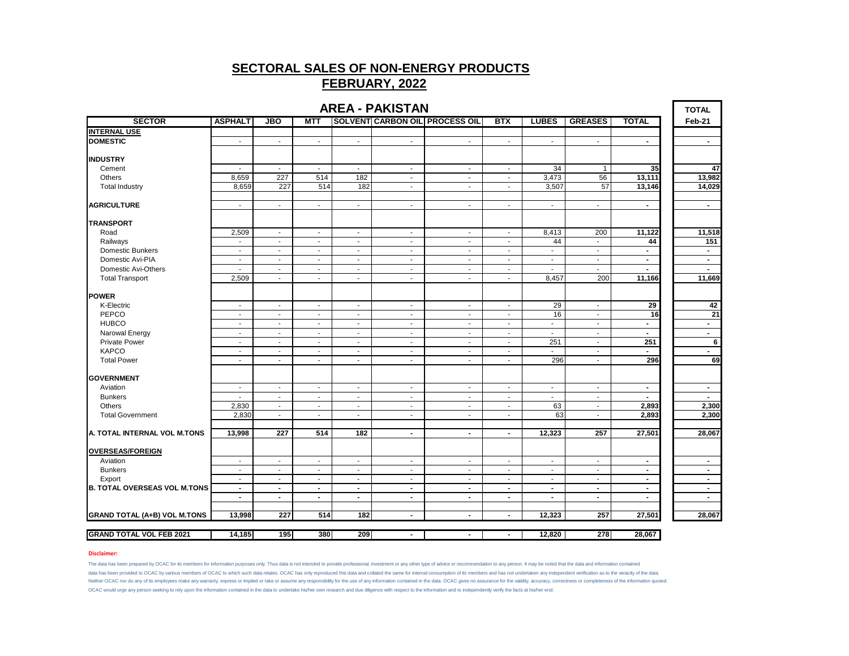| <b>AREA - PAKISTAN</b><br><b>TOTAL</b> |                          |                          |                |                          |                |                                |                          |                          |                |                          |                |
|----------------------------------------|--------------------------|--------------------------|----------------|--------------------------|----------------|--------------------------------|--------------------------|--------------------------|----------------|--------------------------|----------------|
| <b>SECTOR</b>                          | <b>ASPHALT</b>           | <b>JBO</b>               | <b>MTT</b>     |                          |                | SOLVENT CARBON OIL PROCESS OIL | <b>BTX</b>               | <b>LUBES</b>             | <b>GREASES</b> | <b>TOTAL</b>             | Feb-21         |
| <b>INTERNAL USE</b>                    |                          |                          |                |                          |                |                                |                          |                          |                |                          |                |
| <b>DOMESTIC</b>                        | $\overline{\phantom{a}}$ | $\blacksquare$           | $\blacksquare$ | $\overline{\phantom{a}}$ | $\blacksquare$ | $\overline{\phantom{a}}$       | $\overline{\phantom{a}}$ | $\blacksquare$           | $\blacksquare$ | $\blacksquare$           | $\blacksquare$ |
| <b>INDUSTRY</b>                        |                          |                          |                |                          |                |                                |                          |                          |                |                          |                |
| Cement                                 | $\overline{\phantom{a}}$ | $\sim$                   | $\sim$         | $\blacksquare$           | $\sim$         | $\sim$                         | $\overline{\phantom{a}}$ | 34                       | $\overline{1}$ | 35                       | 47             |
| Others                                 | 8,659                    | 227                      | 514            | 182                      | $\sim$         | $\sim$                         | $\blacksquare$           | 3,473                    | 56             | 13,111                   | 13,982         |
| <b>Total Industry</b>                  | 8,659                    | 227                      | 514            | 182                      | $\sim$         | $\blacksquare$                 | $\overline{\phantom{a}}$ | 3,507                    | 57             | 13,146                   | 14,029         |
| <b>AGRICULTURE</b>                     | $\blacksquare$           | $\sim$                   | $\sim$         | $\sim$                   | $\sim$         | $\sim$                         | $\blacksquare$           | $\sim$                   | $\blacksquare$ | $\blacksquare$           | $\sim$         |
| <b>TRANSPORT</b>                       |                          |                          |                |                          |                |                                |                          |                          |                |                          |                |
| Road                                   | 2,509                    | $\sim$                   | $\blacksquare$ | $\blacksquare$           | $\sim$         | $\blacksquare$                 | $\overline{a}$           | 8,413                    | 200            | 11,122                   | 11,518         |
| Railways                               | $\overline{\phantom{a}}$ | $\sim$                   | $\sim$         | $\sim$                   | $\sim$         | $\overline{\phantom{a}}$       | $\overline{\phantom{a}}$ | 44                       | $\sim$         | 44                       | 151            |
| Domestic Bunkers                       | $\sim$                   | $\overline{\phantom{a}}$ | $\sim$         | $\sim$                   | $\sim$         | $\sim$                         | $\overline{\phantom{a}}$ | $\overline{\phantom{a}}$ | $\sim$         | $\blacksquare$           | $\sim$         |
| Domestic Avi-PIA                       | $\blacksquare$           | $\sim$                   | $\sim$         | $\sim$                   | $\sim$         | $\sim$                         | $\blacksquare$           | $\sim$                   | $\sim$         | $\sim$                   | $\sim$         |
| Domestic Avi-Others                    | $\blacksquare$           | $\blacksquare$           | $\blacksquare$ | $\overline{\phantom{a}}$ | $\sim$         | $\blacksquare$                 | $\blacksquare$           | $\blacksquare$           | $\sim$         | $\blacksquare$           | $\blacksquare$ |
| <b>Total Transport</b>                 | 2,509                    | $\sim$                   | ÷              | $\mathbf{r}$             | $\sim$         | $\blacksquare$                 | $\sim$                   | 8,457                    | 200            | 11,166                   | 11,669         |
| <b>POWER</b>                           |                          |                          |                |                          |                |                                |                          |                          |                |                          |                |
| K-Electric                             | $\overline{\phantom{a}}$ | $\overline{\phantom{a}}$ | $\blacksquare$ | $\overline{\phantom{a}}$ | $\sim$         | $\sim$                         | $\overline{\phantom{a}}$ | 29                       | $\sim$         | 29                       | 42             |
| PEPCO                                  | $\blacksquare$           | $\overline{\phantom{a}}$ | $\sim$         | $\blacksquare$           | $\sim$         | $\blacksquare$                 | $\overline{a}$           | 16                       | $\blacksquare$ | 16                       | 21             |
| <b>HUBCO</b>                           | $\sim$                   | $\sim$                   | $\sim$         | $\sim$                   | $\sim$         | $\sim$                         | $\blacksquare$           | $\blacksquare$           | $\sim$         | $\blacksquare$           | $\sim$         |
| Narowal Energy                         | $\sim$                   | $\overline{\phantom{a}}$ | $\sim$         | $\mathbf{r}$             | $\sim$         | $\blacksquare$                 | $\overline{\phantom{a}}$ | $\overline{\phantom{a}}$ | $\sim$         | $\overline{\phantom{a}}$ | $\blacksquare$ |
| <b>Private Power</b>                   | $\blacksquare$           | $\sim$                   | $\sim$         | $\sim$                   | $\sim$         | $\sim$                         | $\sim$                   | 251                      | $\sim$         | 251                      | 6              |
| <b>KAPCO</b>                           | $\overline{\phantom{a}}$ | $\blacksquare$           | $\blacksquare$ | $\blacksquare$           | $\sim$         | $\blacksquare$                 | $\blacksquare$           | $\blacksquare$           | $\sim$         | $\blacksquare$           | $\blacksquare$ |
| <b>Total Power</b>                     | $\blacksquare$           | $\sim$                   | $\sim$         | $\sim$                   | $\sim$         | $\overline{\phantom{a}}$       | $\sim$                   | 296                      | $\sim$         | 296                      | 69             |
| <b>GOVERNMENT</b>                      |                          |                          |                |                          |                |                                |                          |                          |                |                          |                |
| Aviation                               | $\blacksquare$           | $\blacksquare$           | $\sim$         | $\overline{\phantom{a}}$ | $\blacksquare$ | $\overline{\phantom{a}}$       | $\overline{\phantom{a}}$ | $\overline{\phantom{a}}$ | $\sim$         | $\blacksquare$           | $\blacksquare$ |
| <b>Bunkers</b>                         |                          | $\overline{\phantom{a}}$ | $\sim$         | $\blacksquare$           | $\sim$         | $\overline{\phantom{a}}$       | $\blacksquare$           | $\blacksquare$           | $\sim$         |                          |                |
| Others                                 | 2,830                    | $\overline{\phantom{a}}$ | $\sim$         | $\sim$                   | $\sim$         | $\overline{\phantom{a}}$       | $\overline{\phantom{a}}$ | 63                       | $\sim$         | 2,893                    | 2,300          |
| <b>Total Government</b>                | 2,830                    | $\blacksquare$           | $\sim$         | $\blacksquare$           | $\sim$         | $\blacksquare$                 | $\overline{\phantom{a}}$ | 63                       | $\sim$         | 2,893                    | 2,300          |
| A. TOTAL INTERNAL VOL M.TONS           | 13,998                   | 227                      | 514            | 182                      | $\blacksquare$ | $\blacksquare$                 | $\blacksquare$           | 12,323                   | 257            | 27,501                   | 28,067         |
| <b>OVERSEAS/FOREIGN</b>                |                          |                          |                |                          |                |                                |                          |                          |                |                          |                |
| Aviation                               | $\overline{\phantom{a}}$ | $\overline{\phantom{a}}$ | $\blacksquare$ | $\overline{\phantom{a}}$ | $\sim$         | $\overline{\phantom{a}}$       | $\overline{\phantom{a}}$ | $\sim$                   | $\sim$         | $\blacksquare$           | $\blacksquare$ |
| <b>Bunkers</b>                         | $\overline{\phantom{a}}$ | $\overline{\phantom{a}}$ | $\blacksquare$ | $\overline{\phantom{a}}$ | $\sim$         | $\overline{\phantom{a}}$       | $\frac{1}{2}$            | $\overline{\phantom{a}}$ | $\sim$         | $\blacksquare$           | $\blacksquare$ |
| Export                                 | $\sim$                   | $\overline{\phantom{a}}$ | $\sim$         | $\blacksquare$           | $\sim$         | $\blacksquare$                 | $\overline{a}$           | $\blacksquare$           | $\sim$         | $\blacksquare$           | $\blacksquare$ |
| <b>B. TOTAL OVERSEAS VOL M.TONS</b>    | $\blacksquare$           | $\blacksquare$           | $\blacksquare$ | $\blacksquare$           | $\blacksquare$ | $\blacksquare$                 | $\blacksquare$           | $\blacksquare$           | $\sim$         | $\blacksquare$           | $\sim$         |
|                                        | $\blacksquare$           | $\blacksquare$           | $\blacksquare$ | $\blacksquare$           | $\blacksquare$ | $\blacksquare$                 | $\blacksquare$           | $\blacksquare$           | $\blacksquare$ | $\blacksquare$           | $\overline{a}$ |
| <b>GRAND TOTAL (A+B) VOL M.TONS</b>    | 13,998                   | 227                      | 514            | 182                      | $\blacksquare$ | $\blacksquare$                 | $\blacksquare$           | 12,323                   | 257            | 27,501                   | 28,067         |
| <b>GRAND TOTAL VOL FEB 2021</b>        | 14,185                   | 195                      | 380            | 209                      | $\blacksquare$ |                                | $\blacksquare$           | 12,820                   | 278            | 28,067                   |                |
|                                        |                          |                          |                |                          |                |                                |                          |                          |                |                          |                |

# **AREA - PAKISTAN**

### **Disclaimer:**

The data has been prepared by OCAC for its members for information purposes only. Thus data is not intended to provide provide professional, investment or any other type of advice or recommendation to any person. It may be Neither OCAC nor do any of its employees make any warranty, express or implied or take or assume any responsibility for the use of any information contained in the data. OCAC gives no assurance for the validity, accuracy, data has been provided to OCAC by various members of OCAC to which such data relates. OCAC has only reproduced this data and collated the same for internal consumption of its members and has not undertaken any independent

OCAC would urge any person seeking to rely upon the information contained in the data to undertake his/her own research and due diligence with respect to the information and to independently verify the facts at his/her end.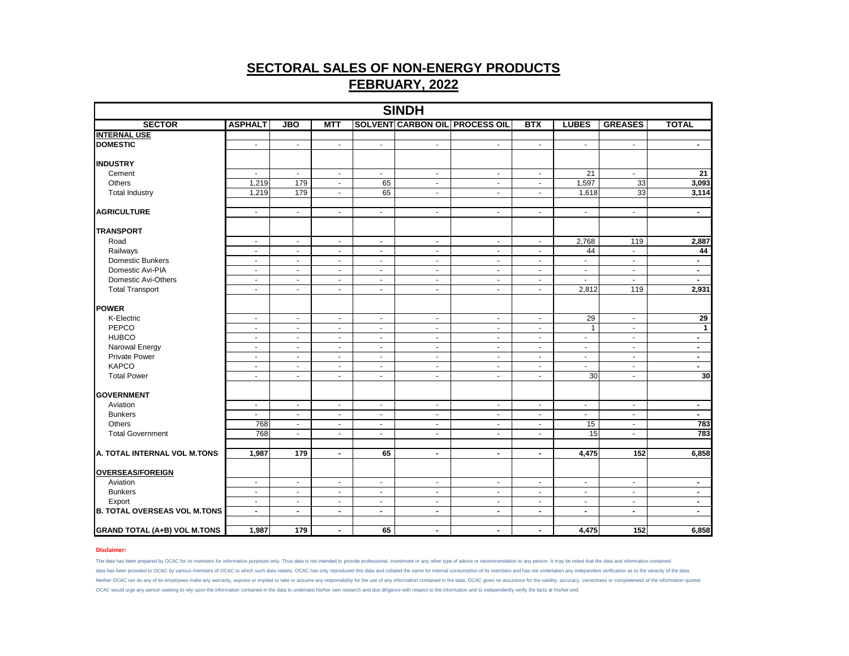| <b>SINDH</b>                         |                            |                                  |                                |                            |                                  |                                       |                            |                                  |                                |                    |  |  |
|--------------------------------------|----------------------------|----------------------------------|--------------------------------|----------------------------|----------------------------------|---------------------------------------|----------------------------|----------------------------------|--------------------------------|--------------------|--|--|
| <b>SECTOR</b>                        | <b>ASPHALT</b>             | <b>JBO</b>                       | <b>MTT</b>                     |                            |                                  | <b>SOLVENT CARBON OIL PROCESS OIL</b> | <b>BTX</b>                 | <b>LUBES</b>                     | <b>GREASES</b>                 | <b>TOTAL</b>       |  |  |
| <b>INTERNAL USE</b>                  |                            |                                  |                                |                            |                                  |                                       |                            |                                  |                                |                    |  |  |
| <b>DOMESTIC</b>                      | $\sim$                     | $\blacksquare$                   | $\blacksquare$                 | $\omega$                   | $\blacksquare$                   | $\mathbb{Z}^{\mathbb{Z}}$             | $\omega$                   | $\blacksquare$                   | $\sim$                         | $\sim$             |  |  |
|                                      |                            |                                  |                                |                            |                                  |                                       |                            |                                  |                                |                    |  |  |
| <b>INDUSTRY</b>                      |                            |                                  |                                |                            |                                  |                                       |                            |                                  |                                |                    |  |  |
| Cement                               | $\Delta$                   | $\sim$                           | $\blacksquare$                 | $\sim$                     | $\blacksquare$                   | $\mathbf{r}$                          | $\omega$                   | $\overline{21}$                  | $\sim$                         | $\overline{21}$    |  |  |
| Others                               | 1,219                      | 179                              | $\overline{\phantom{a}}$       | 65                         | $\blacksquare$                   | $\blacksquare$                        | $\blacksquare$             | 1,597                            | 33                             | 3,093              |  |  |
| <b>Total Industry</b>                | 1,219                      | 179                              | $\tilde{\phantom{a}}$          | 65                         | ÷,                               | ä,                                    | ä,                         | 1,618                            | 33                             | 3,114              |  |  |
| <b>AGRICULTURE</b>                   | $\blacksquare$             | $\blacksquare$                   | $\blacksquare$                 | $\blacksquare$             | $\blacksquare$                   | $\blacksquare$                        | $\blacksquare$             | $\blacksquare$                   | $\blacksquare$                 | $\blacksquare$     |  |  |
|                                      |                            |                                  |                                |                            |                                  |                                       |                            |                                  |                                |                    |  |  |
| <b>TRANSPORT</b>                     |                            |                                  |                                |                            |                                  |                                       |                            |                                  |                                |                    |  |  |
| Road                                 | $\sim$                     | $\blacksquare$                   | $\blacksquare$                 | $\blacksquare$             | $\blacksquare$                   | $\blacksquare$                        | $\blacksquare$             | 2,768                            | 119                            | 2,887              |  |  |
| Railways                             | $\blacksquare$             | $\blacksquare$                   | $\blacksquare$                 | $\sim$                     | $\blacksquare$                   | $\blacksquare$                        | $\blacksquare$             | 44                               | $\omega$                       | 44                 |  |  |
| Domestic Bunkers                     | $\blacksquare$             | $\sim$                           | $\blacksquare$                 | $\sim$                     | $\blacksquare$                   | $\sim$                                | $\blacksquare$             | $\blacksquare$                   | $\blacksquare$                 | $\sim$             |  |  |
| Domestic Avi-PIA                     | $\sim$                     | $\blacksquare$                   | $\blacksquare$                 | $\sim$                     | $\blacksquare$                   | $\omega$                              | $\omega$                   | $\blacksquare$                   | $\blacksquare$                 | $\sim$             |  |  |
| Domestic Avi-Others                  | $\blacksquare$             | $\overline{\phantom{a}}$         | $\blacksquare$                 | $\blacksquare$             | $\blacksquare$                   | $\blacksquare$                        | $\blacksquare$             | $\blacksquare$                   | $\omega$                       | $\sim$             |  |  |
| <b>Total Transport</b>               | $\blacksquare$             | $\blacksquare$                   | $\blacksquare$                 | $\sim$                     | $\blacksquare$                   | $\blacksquare$                        | $\blacksquare$             | 2,812                            | 119                            | 2,931              |  |  |
| <b>POWER</b>                         |                            |                                  |                                |                            |                                  |                                       |                            |                                  |                                |                    |  |  |
|                                      |                            |                                  |                                |                            |                                  |                                       |                            |                                  |                                |                    |  |  |
| K-Electric<br>PEPCO                  | $\blacksquare$             | $\blacksquare$                   | $\blacksquare$                 | $\blacksquare$             | $\blacksquare$                   | $\bullet$                             | $\blacksquare$             | 29<br>$\mathbf{1}$               | $\bullet$                      | 29<br>$\mathbf{1}$ |  |  |
| <b>HUBCO</b>                         | $\blacksquare$<br>$\Delta$ | $\blacksquare$<br>$\blacksquare$ | $\blacksquare$<br>$\mathbf{r}$ | $\blacksquare$<br>$\omega$ | $\blacksquare$<br>$\blacksquare$ | $\blacksquare$<br>$\blacksquare$      | $\blacksquare$<br>$\omega$ | $\omega$                         | $\blacksquare$<br>$\mathbf{r}$ | $\sim$             |  |  |
|                                      |                            |                                  |                                |                            |                                  |                                       |                            |                                  |                                |                    |  |  |
| Narowal Energy                       | $\sim$                     | $\overline{\phantom{a}}$         | $\sim$                         | $\sim$                     | $\blacksquare$                   | $\sim$                                | $\sim$                     | $\blacksquare$                   | $\sim$                         | $\sim$             |  |  |
| <b>Private Power</b><br><b>KAPCO</b> | $\sim$<br>$\sim$           | $\blacksquare$<br>$\sim$         | $\blacksquare$<br>$\mathbf{r}$ | $\blacksquare$<br>$\sim$   | $\blacksquare$<br>$\blacksquare$ | $\mathbf{r}$<br>$\sim$                | $\blacksquare$<br>$\sim$   | $\blacksquare$<br>$\blacksquare$ | $\blacksquare$<br>$\sim$       | $\sim$<br>$\sim$   |  |  |
|                                      |                            |                                  |                                |                            |                                  |                                       |                            |                                  |                                | 30                 |  |  |
| <b>Total Power</b>                   | $\blacksquare$             | $\blacksquare$                   | $\blacksquare$                 | $\sim$                     | $\blacksquare$                   | $\blacksquare$                        | $\blacksquare$             | 30                               | $\blacksquare$                 |                    |  |  |
| <b>GOVERNMENT</b>                    |                            |                                  |                                |                            |                                  |                                       |                            |                                  |                                |                    |  |  |
| Aviation                             | $\blacksquare$             | $\blacksquare$                   | $\blacksquare$                 | $\blacksquare$             | $\blacksquare$                   | $\bullet$                             | $\blacksquare$             | $\blacksquare$                   | $\sim$                         | $\sim$             |  |  |
| <b>Bunkers</b>                       | $\sim$                     | $\blacksquare$                   | $\blacksquare$                 | $\sim$                     | $\sim$                           | $\blacksquare$                        | $\blacksquare$             | $\blacksquare$                   | $\overline{\phantom{a}}$       | $\sim$             |  |  |
| Others                               | 768                        | $\mathbf{r}$                     | $\mathbf{u}$                   | $\sim$                     | $\omega$                         | $\omega$                              | $\omega$                   | 15                               | $\omega$                       | 783                |  |  |
| <b>Total Government</b>              | 768                        | $\sim$                           | $\blacksquare$                 | $\bullet$                  | $\blacksquare$                   | $\bullet$                             | $\blacksquare$             | 15                               | $\sim$                         | 783                |  |  |
|                                      |                            |                                  |                                |                            |                                  |                                       |                            |                                  |                                |                    |  |  |
| A. TOTAL INTERNAL VOL M.TONS         | 1,987                      | 179                              | $\blacksquare$                 | 65                         | $\blacksquare$                   | $\blacksquare$                        | $\blacksquare$             | 4,475                            | 152                            | 6,858              |  |  |
|                                      |                            |                                  |                                |                            |                                  |                                       |                            |                                  |                                |                    |  |  |
| <b>OVERSEAS/FOREIGN</b>              |                            |                                  |                                |                            |                                  |                                       |                            |                                  |                                |                    |  |  |
| Aviation                             | $\blacksquare$             | $\omega$                         | $\mathbf{u}$                   | $\blacksquare$             | $\blacksquare$                   | $\omega$                              | $\mathbf{u}$               | $\tilde{\phantom{a}}$            | $\blacksquare$                 | $\blacksquare$     |  |  |
| <b>Bunkers</b>                       | $\blacksquare$             | $\blacksquare$                   | $\blacksquare$                 | $\sim$                     | $\blacksquare$                   | $\sim$                                | $\blacksquare$             | $\blacksquare$                   | $\blacksquare$                 | $\sim$             |  |  |
| Export                               | $\sim$                     | $\blacksquare$                   | $\sim$                         | $\sim$                     | $\sim$                           | $\sim$                                | $\sim$                     | $\blacksquare$                   | $\sim$                         | $\blacksquare$     |  |  |
| <b>B. TOTAL OVERSEAS VOL M.TONS</b>  | $\blacksquare$             | $\blacksquare$                   | $\blacksquare$                 | $\sim$                     | $\blacksquare$                   | $\blacksquare$                        | $\blacksquare$             | $\blacksquare$                   | $\blacksquare$                 | $\blacksquare$     |  |  |
| <b>GRAND TOTAL (A+B) VOL M.TONS</b>  | 1,987                      | 179                              | $\blacksquare$                 | 65                         | $\blacksquare$                   | $\blacksquare$                        | $\blacksquare$             | 4,475                            | 152                            | 6,858              |  |  |

### **Disclaimer:**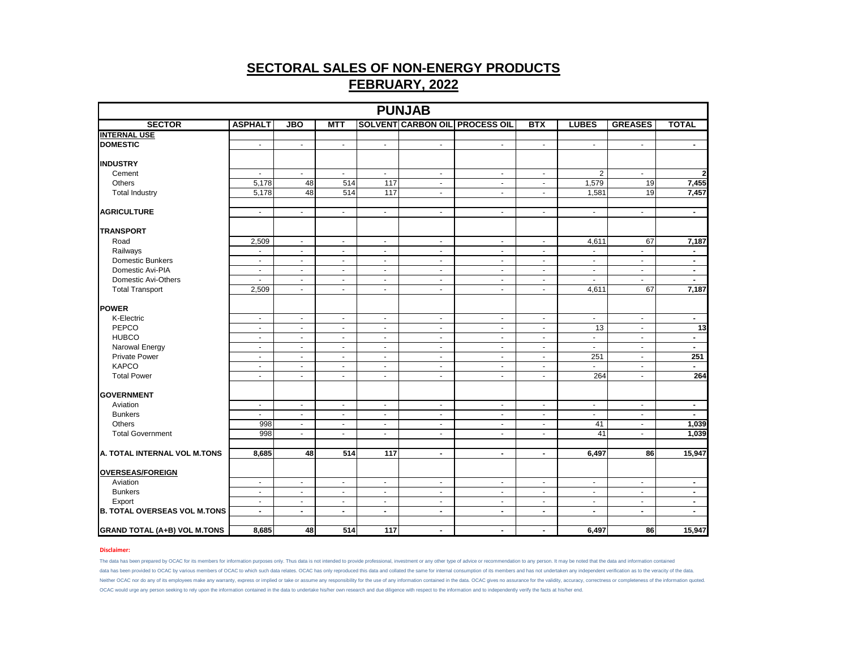| <b>PUNJAB</b>                       |                          |                |                |                          |                          |                                       |                          |                          |                          |                         |  |  |
|-------------------------------------|--------------------------|----------------|----------------|--------------------------|--------------------------|---------------------------------------|--------------------------|--------------------------|--------------------------|-------------------------|--|--|
| <b>SECTOR</b>                       | <b>ASPHALT</b>           | <b>JBO</b>     | <b>MTT</b>     |                          |                          | <b>SOLVENT CARBON OIL PROCESS OIL</b> | <b>BTX</b>               | <b>LUBES</b>             | <b>GREASES</b>           | <b>TOTAL</b>            |  |  |
| <b>INTERNAL USE</b>                 |                          |                |                |                          |                          |                                       |                          |                          |                          |                         |  |  |
| <b>DOMESTIC</b>                     | $\blacksquare$           | $\mathbf{r}$   | $\sim$         | $\blacksquare$           | $\omega$                 | $\omega$                              | $\blacksquare$           | $\sim$                   | $\omega$                 | $\sim$                  |  |  |
|                                     |                          |                |                |                          |                          |                                       |                          |                          |                          |                         |  |  |
| <b>INDUSTRY</b>                     |                          |                |                |                          |                          |                                       |                          |                          |                          |                         |  |  |
| Cement                              | $\sim$                   | $\sim$         | $\sim$         | $\blacksquare$           | $\sim$                   | $\sim$                                | $\blacksquare$           | 2                        | $\sim$                   | $\overline{\mathbf{c}}$ |  |  |
| Others                              | 5,178                    | 48             | 514            | 117                      | $\blacksquare$           | $\blacksquare$                        | $\blacksquare$           | 1,579                    | 19                       | 7,455                   |  |  |
| <b>Total Industry</b>               | 5,178                    | 48             | 514            | 117                      | $\blacksquare$           | ÷,                                    | $\blacksquare$           | 1,581                    | 19                       | 7,457                   |  |  |
|                                     |                          |                |                |                          |                          |                                       |                          |                          |                          |                         |  |  |
| <b>AGRICULTURE</b>                  | $\omega$                 | $\omega$       | $\omega$       | $\blacksquare$           | $\sim$                   | $\omega$                              | $\omega$                 | $\sim$                   | $\omega$                 | $\blacksquare$          |  |  |
| <b>TRANSPORT</b>                    |                          |                |                |                          |                          |                                       |                          |                          |                          |                         |  |  |
| Road                                | 2,509                    | $\blacksquare$ | $\sim$         | $\blacksquare$           | $\blacksquare$           | $\blacksquare$                        | $\blacksquare$           | 4,611                    | 67                       | 7,187                   |  |  |
| Railways                            | $\overline{\phantom{a}}$ | $\blacksquare$ | $\blacksquare$ | $\overline{\phantom{a}}$ | $\blacksquare$           | $\blacksquare$                        | $\overline{\phantom{a}}$ | $\blacksquare$           | $\blacksquare$           | $\blacksquare$          |  |  |
| <b>Domestic Bunkers</b>             | $\sim$                   | $\sim$         | $\sim$         | $\blacksquare$           | $\sim$                   | $\blacksquare$                        | $\sim$                   | $\sim$                   | $\blacksquare$           | $\blacksquare$          |  |  |
| Domestic Avi-PIA                    | $\sim$                   | $\blacksquare$ | $\blacksquare$ | $\blacksquare$           | $\blacksquare$           | $\blacksquare$                        | $\blacksquare$           | $\sim$                   | $\blacksquare$           | $\blacksquare$          |  |  |
| Domestic Avi-Others                 | ÷.                       | $\blacksquare$ | $\sim$         | $\blacksquare$           | $\mathbf{r}$             | $\sim$                                | $\blacksquare$           | $\sim$                   | ÷.                       | $\sim$                  |  |  |
| <b>Total Transport</b>              | 2,509                    | $\blacksquare$ | $\sim$         | $\blacksquare$           | $\sim$                   | $\sim$                                | $\blacksquare$           | 4,611                    | 67                       | 7,187                   |  |  |
|                                     |                          |                |                |                          |                          |                                       |                          |                          |                          |                         |  |  |
| <b>POWER</b>                        |                          |                |                |                          |                          |                                       |                          |                          |                          |                         |  |  |
| K-Electric                          | $\sim$                   | $\blacksquare$ | $\sim$         | $\blacksquare$           | $\blacksquare$           | $\blacksquare$                        | $\blacksquare$           | $\sim$                   | $\blacksquare$           | $\blacksquare$          |  |  |
| PEPCO                               | $\blacksquare$           | $\blacksquare$ | $\sim$         | $\blacksquare$           | $\blacksquare$           | $\blacksquare$                        | $\blacksquare$           | $\overline{13}$          | $\blacksquare$           | $\overline{13}$         |  |  |
| <b>HUBCO</b>                        | $\blacksquare$           | $\blacksquare$ | $\blacksquare$ | $\blacksquare$           | $\blacksquare$           | $\omega$                              | $\blacksquare$           | $\sim$                   | $\blacksquare$           | $\blacksquare$          |  |  |
| Narowal Energy                      | $\sim$                   | $\blacksquare$ | $\sim$         | $\blacksquare$           | $\sim$                   | $\blacksquare$                        | $\blacksquare$           | $\sim$                   | $\blacksquare$           | $\blacksquare$          |  |  |
| <b>Private Power</b>                | $\sim$                   | $\blacksquare$ | $\sim$         | $\blacksquare$           | $\sim$                   | $\sim$                                | $\blacksquare$           | 251                      | $\blacksquare$           | 251                     |  |  |
| <b>KAPCO</b>                        | $\omega$                 | ÷.             | $\sim$         | $\sim$                   | $\omega$                 | ÷.                                    | ÷                        | ÷.                       | $\sim$                   | $\overline{a}$          |  |  |
| <b>Total Power</b>                  | $\blacksquare$           | $\blacksquare$ | $\blacksquare$ | $\blacksquare$           | $\blacksquare$           | $\blacksquare$                        | $\blacksquare$           | 264                      | $\blacksquare$           | 264                     |  |  |
| <b>GOVERNMENT</b>                   |                          |                |                |                          |                          |                                       |                          |                          |                          |                         |  |  |
| Aviation                            | $\blacksquare$           | $\blacksquare$ | $\sim$         | $\blacksquare$           | $\blacksquare$           | $\blacksquare$                        | $\blacksquare$           | $\blacksquare$           | $\blacksquare$           | $\blacksquare$          |  |  |
| <b>Bunkers</b>                      | $\sim$                   | $\blacksquare$ | $\sim$         | $\blacksquare$           | $\sim$                   | $\blacksquare$                        | $\blacksquare$           | $\sim$                   | $\sim$                   | $\blacksquare$          |  |  |
| Others                              | 998                      | $\blacksquare$ | $\sim$         | $\blacksquare$           | $\blacksquare$           | $\sim$                                | $\blacksquare$           | 41                       | $\blacksquare$           | 1,039                   |  |  |
| <b>Total Government</b>             | 998                      | $\blacksquare$ | $\blacksquare$ | $\blacksquare$           | $\blacksquare$           | $\blacksquare$                        | $\blacksquare$           | 41                       | $\blacksquare$           | 1,039                   |  |  |
| A. TOTAL INTERNAL VOL M.TONS        | 8,685                    | 48             | 514            | 117                      | $\blacksquare$           | $\blacksquare$                        | $\blacksquare$           | 6,497                    | 86                       | 15,947                  |  |  |
|                                     |                          |                |                |                          |                          |                                       |                          |                          |                          |                         |  |  |
| <b>OVERSEAS/FOREIGN</b>             |                          |                |                |                          |                          |                                       |                          |                          |                          |                         |  |  |
| Aviation                            | $\sim$                   | $\omega$       | $\omega$       | $\mathbf{r}$             | $\sim$                   | $\omega$                              | $\omega$                 | $\omega$                 | $\omega$                 | $\blacksquare$          |  |  |
| <b>Bunkers</b>                      | $\blacksquare$           | $\blacksquare$ | $\sim$         | $\blacksquare$           | $\overline{\phantom{a}}$ | $\blacksquare$                        | $\blacksquare$           | $\overline{\phantom{a}}$ | $\blacksquare$           | $\blacksquare$          |  |  |
| Export                              | $\sim$                   | $\sim$         | $\sim$         | $\blacksquare$           | $\sim$                   | $\sim$                                | $\blacksquare$           | $\overline{\phantom{a}}$ | $\overline{\phantom{a}}$ | $\sim$                  |  |  |
| <b>B. TOTAL OVERSEAS VOL M.TONS</b> | $\blacksquare$           | $\blacksquare$ | $\sim$         | $\blacksquare$           | $\sim$                   | $\blacksquare$                        | $\blacksquare$           | $\blacksquare$           | $\blacksquare$           | $\sim$                  |  |  |
| <b>GRAND TOTAL (A+B) VOL M.TONS</b> | 8,685                    | 48             | 514            | 117                      | $\blacksquare$           | $\blacksquare$                        | $\blacksquare$           | 6,497                    | 86                       | 15,947                  |  |  |

### **Disclaimer:**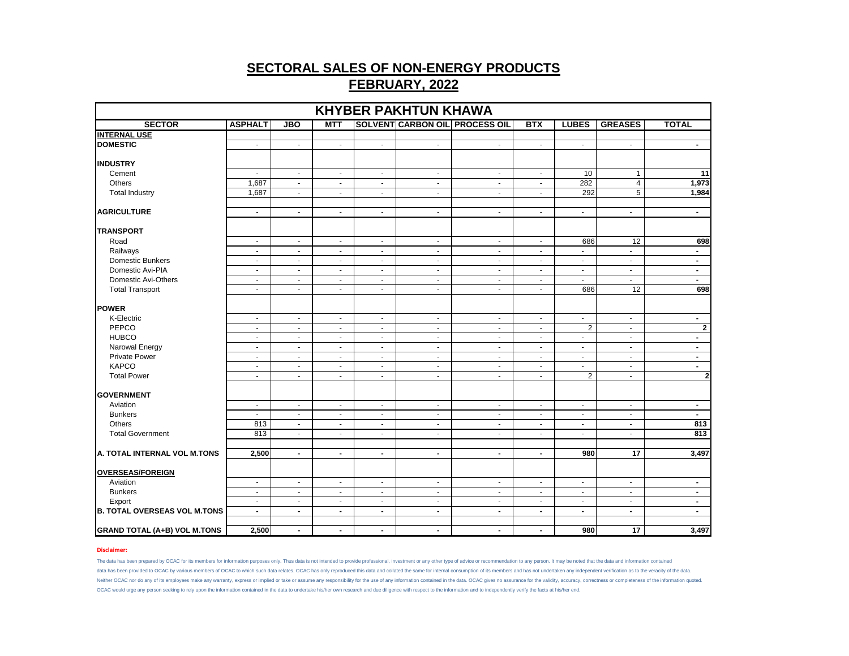| <b>KHYBER PAKHTUN KHAWA</b>         |                          |                |                          |                |                          |                                       |                |                         |                 |                          |
|-------------------------------------|--------------------------|----------------|--------------------------|----------------|--------------------------|---------------------------------------|----------------|-------------------------|-----------------|--------------------------|
| <b>SECTOR</b>                       | <b>ASPHALT</b>           | <b>JBO</b>     | <b>MTT</b>               |                |                          | <b>SOLVENT CARBON OIL PROCESS OIL</b> | <b>BTX</b>     | <b>LUBES</b>            | <b>GREASES</b>  | <b>TOTAL</b>             |
| <b>INTERNAL USE</b>                 |                          |                |                          |                |                          |                                       |                |                         |                 |                          |
| <b>DOMESTIC</b>                     | $\blacksquare$           | $\blacksquare$ | $\blacksquare$           | $\blacksquare$ | $\blacksquare$           | $\blacksquare$                        | $\blacksquare$ | $\blacksquare$          | $\blacksquare$  | $\overline{\phantom{a}}$ |
| <b>INDUSTRY</b>                     |                          |                |                          |                |                          |                                       |                |                         |                 |                          |
| Cement                              | $\overline{\phantom{a}}$ | $\blacksquare$ | $\blacksquare$           | $\blacksquare$ | $\blacksquare$           | $\blacksquare$                        | $\blacksquare$ | 10                      | $\mathbf{1}$    | 11                       |
| Others                              | 1,687                    | $\blacksquare$ | $\blacksquare$           | $\sim$         | $\sim$                   | $\sim$                                | $\sim$         | 282                     | 4               | 1,973                    |
| <b>Total Industry</b>               | 1,687                    | $\omega$       | $\sim$                   | $\sim$         | $\omega$                 | $\omega$                              | $\sim$         | 292                     | 5               | 1,984                    |
| <b>AGRICULTURE</b>                  | $\blacksquare$           | $\blacksquare$ | $\sim$                   | $\sim$         | $\sim$                   | $\sim$                                | $\sim$         | $\sim$                  | $\blacksquare$  | $\blacksquare$           |
| <b>TRANSPORT</b>                    |                          |                |                          |                |                          |                                       |                |                         |                 |                          |
| Road                                | $\blacksquare$           | $\blacksquare$ | $\overline{\phantom{a}}$ | $\sim$         | $\blacksquare$           | $\blacksquare$                        | $\sim$         | 686                     | 12              | 698                      |
| Railways                            | $\tilde{\phantom{a}}$    | $\sim$         | $\omega$                 | $\omega$       | $\overline{\phantom{a}}$ | $\omega$                              | $\omega$       | $\mathbf{r}$            | $\omega$        | $\blacksquare$           |
| Domestic Bunkers                    | $\blacksquare$           | $\blacksquare$ | $\blacksquare$           | $\blacksquare$ | $\sim$                   | $\blacksquare$                        | $\sim$         | $\blacksquare$          | $\blacksquare$  | $\blacksquare$           |
| Domestic Avi-PIA                    | $\blacksquare$           | $\blacksquare$ | $\overline{\phantom{a}}$ | $\blacksquare$ | $\sim$                   | $\sim$                                | $\sim$         | $\sim$                  | $\blacksquare$  | $\blacksquare$           |
| Domestic Avi-Others                 | $\overline{\phantom{a}}$ | $\blacksquare$ | $\blacksquare$           | $\omega$       | $\sim$                   | $\omega$                              | $\sim$         | $\mathbf{r}$            | $\omega$        | $\blacksquare$           |
| <b>Total Transport</b>              | $\blacksquare$           | $\blacksquare$ | $\blacksquare$           | $\blacksquare$ | $\blacksquare$           | $\blacksquare$                        | $\sim$         | 686                     | 12              | 698                      |
| <b>POWER</b>                        |                          |                |                          |                |                          |                                       |                |                         |                 |                          |
| K-Electric                          | $\blacksquare$           | $\blacksquare$ | $\blacksquare$           | $\blacksquare$ | $\blacksquare$           | $\blacksquare$                        | $\blacksquare$ | $\blacksquare$          | $\blacksquare$  | $\blacksquare$           |
| PEPCO                               | $\blacksquare$           | $\sim$         | $\overline{\phantom{a}}$ | $\blacksquare$ | $\sim$                   | $\sim$                                | $\sim$         | 2                       | $\omega$        | $\mathbf{2}$             |
| <b>HUBCO</b>                        | $\blacksquare$           | $\blacksquare$ | $\overline{\phantom{a}}$ | $\blacksquare$ | $\blacksquare$           | $\blacksquare$                        | $\sim$         | $\omega$                | $\blacksquare$  | $\blacksquare$           |
| Narowal Energy                      | $\blacksquare$           | $\blacksquare$ | $\blacksquare$           | $\blacksquare$ | $\blacksquare$           | $\blacksquare$                        | $\blacksquare$ | $\blacksquare$          | $\blacksquare$  | $\blacksquare$           |
| <b>Private Power</b>                | $\blacksquare$           | $\sim$         | $\blacksquare$           | $\sim$         | $\sim$                   | $\blacksquare$                        | $\sim$         | $\sim$                  | $\sim$          | $\blacksquare$           |
| <b>KAPCO</b>                        | $\blacksquare$           | $\sim$         | $\blacksquare$           | $\blacksquare$ | $\sim$                   | $\blacksquare$                        | $\sim$         | $\sim$                  | $\sim$          | $\sim$                   |
| <b>Total Power</b>                  | $\blacksquare$           | $\blacksquare$ | $\blacksquare$           | $\blacksquare$ | $\blacksquare$           | $\blacksquare$                        | $\blacksquare$ | $\overline{\mathbf{c}}$ | $\blacksquare$  | $\mathbf{2}$             |
| <b>GOVERNMENT</b>                   |                          |                |                          |                |                          |                                       |                |                         |                 |                          |
| Aviation                            | $\blacksquare$           | $\sim$         | $\blacksquare$           | $\blacksquare$ | $\sim$                   | $\blacksquare$                        | $\sim$         | $\sim$                  | $\blacksquare$  | $\blacksquare$           |
| <b>Bunkers</b>                      | $\blacksquare$           | $\blacksquare$ | $\blacksquare$           | $\sim$         | $\sim$                   | $\blacksquare$                        | $\sim$         | $\sim$                  | $\sim$          | $\blacksquare$           |
| Others                              | 813                      | $\blacksquare$ | $\blacksquare$           | $\sim$         | $\sim$                   | $\blacksquare$                        | $\sim$         | $\sim$                  | $\sim$          | 813                      |
| <b>Total Government</b>             | 813                      | $\blacksquare$ | $\blacksquare$           | $\blacksquare$ | $\blacksquare$           | $\blacksquare$                        | $\sim$         | $\blacksquare$          | $\sim$          | 813                      |
|                                     |                          |                |                          |                |                          |                                       |                |                         |                 |                          |
| A. TOTAL INTERNAL VOL M.TONS        | 2,500                    | $\sim$         | $\blacksquare$           | $\blacksquare$ | $\blacksquare$           | $\blacksquare$                        | $\sim$         | 980                     | 17              | 3,497                    |
| <b>OVERSEAS/FOREIGN</b>             |                          |                |                          |                |                          |                                       |                |                         |                 |                          |
| Aviation                            | $\overline{\phantom{a}}$ | $\blacksquare$ | $\blacksquare$           | $\blacksquare$ | $\blacksquare$           | $\sim$                                | $\sim$         | $\blacksquare$          | $\blacksquare$  | $\overline{\phantom{a}}$ |
| <b>Bunkers</b>                      | $\omega$                 | $\blacksquare$ | $\omega$                 | $\omega$       | $\mathbf{r}$             | $\sim$                                | $\blacksquare$ | $\sim$                  | $\omega$        | $\blacksquare$           |
| Export                              | $\blacksquare$           | $\sim$         | $\sim$                   | $\sim$         | $\sim$                   | $\blacksquare$                        | $\sim$         | $\sim$                  | $\sim$          | $\blacksquare$           |
| <b>B. TOTAL OVERSEAS VOL M.TONS</b> | $\overline{\phantom{a}}$ | $\blacksquare$ | $\blacksquare$           | $\blacksquare$ | $\blacksquare$           | $\blacksquare$                        | $\blacksquare$ | $\blacksquare$          | $\blacksquare$  | $\blacksquare$           |
| <b>GRAND TOTAL (A+B) VOL M.TONS</b> | 2,500                    | $\blacksquare$ | $\blacksquare$           | $\blacksquare$ | $\blacksquare$           | $\blacksquare$                        | $\sim$         | 980                     | $\overline{17}$ | 3,497                    |

### **Disclaimer:**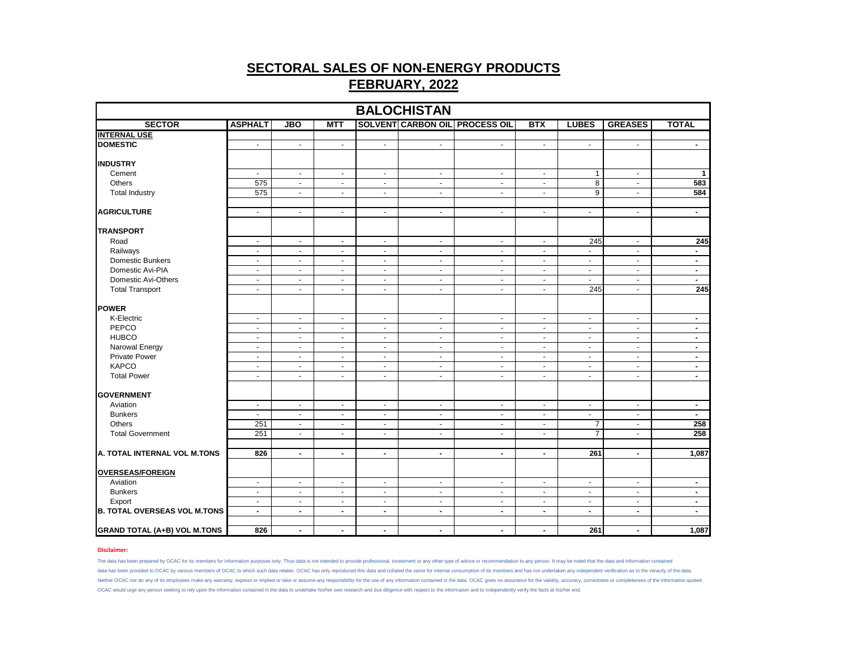| <b>BALOCHISTAN</b>                  |                |                |                          |                |                |                                       |                          |                |                |                          |
|-------------------------------------|----------------|----------------|--------------------------|----------------|----------------|---------------------------------------|--------------------------|----------------|----------------|--------------------------|
| <b>SECTOR</b>                       | <b>ASPHALT</b> | <b>JBO</b>     | MTT                      |                |                | <b>SOLVENT CARBON OIL PROCESS OIL</b> | <b>BTX</b>               | <b>LUBES</b>   | <b>GREASES</b> | <b>TOTAL</b>             |
| <b>INTERNAL USE</b>                 |                |                |                          |                |                |                                       |                          |                |                |                          |
| <b>DOMESTIC</b>                     | $\blacksquare$ | $\blacksquare$ | $\blacksquare$           | $\blacksquare$ | $\blacksquare$ | $\blacksquare$                        | $\overline{\phantom{a}}$ | $\blacksquare$ | $\blacksquare$ | $\blacksquare$           |
| <b>INDUSTRY</b>                     |                |                |                          |                |                |                                       |                          |                |                |                          |
| Cement                              | $\blacksquare$ | $\blacksquare$ | $\blacksquare$           | $\blacksquare$ | $\blacksquare$ | $\blacksquare$                        | $\blacksquare$           | $\mathbf{1}$   | $\blacksquare$ | $\mathbf{1}$             |
| <b>Others</b>                       | 575            | $\mathbf{r}$   | $\blacksquare$           | $\sim$         | $\blacksquare$ | $\sim$                                | $\blacksquare$           | $\overline{8}$ | $\sim$         | 583                      |
| <b>Total Industry</b>               | 575            | $\sim$         | $\sim$                   | $\sim$         | $\sim$         | $\sim$                                | $\blacksquare$           | $\overline{9}$ | $\sim$         | 584                      |
| <b>AGRICULTURE</b>                  | $\sim$         | $\omega$       | $\blacksquare$           | $\sim$         | $\blacksquare$ | $\sim$                                | $\blacksquare$           | $\blacksquare$ | $\omega$       | $\blacksquare$           |
| <b>TRANSPORT</b>                    |                |                |                          |                |                |                                       |                          |                |                |                          |
| Road                                | $\sim$         | $\sim$         | $\blacksquare$           | $\sim$         | $\omega$       | $\sim$                                | $\blacksquare$           | 245            | $\sim$         | 245                      |
| Railways                            | $\blacksquare$ | $\blacksquare$ | $\overline{\phantom{a}}$ | $\sim$         | $\omega$       | $\blacksquare$                        | $\blacksquare$           | $\omega$       | $\sim$         | $\overline{\phantom{a}}$ |
| Domestic Bunkers                    | $\sim$         | $\sim$         | $\sim$                   | $\sim$         | $\blacksquare$ | $\sim$                                | $\sim$                   | $\sim$         | $\blacksquare$ | $\blacksquare$           |
| Domestic Avi-PIA                    | $\sim$         | $\sim$         | $\sim$                   | $\sim$         | $\omega$       | $\sim$                                | $\blacksquare$           | $\sim$         | $\sim$         | $\blacksquare$           |
| Domestic Avi-Others                 | $\blacksquare$ | $\omega$       | $\blacksquare$           | $\sim$         | $\omega$       | $\sim$                                | $\blacksquare$           | $\sim$         | $\omega$       | $\blacksquare$           |
| <b>Total Transport</b>              | $\blacksquare$ | $\sim$         | $\sim$                   | $\sim$         | $\blacksquare$ | $\overline{\phantom{a}}$              | $\blacksquare$           | 245            | $\blacksquare$ | 245                      |
| <b>POWER</b>                        |                |                |                          |                |                |                                       |                          |                |                |                          |
| K-Electric                          | $\sim$         | $\sim$         | $\blacksquare$           | $\sim$         | $\sim$         | $\sim$                                | $\blacksquare$           | $\sim$         | $\sim$         | $\blacksquare$           |
| PEPCO                               | $\blacksquare$ | $\sim$         | $\sim$                   | $\sim$         | $\blacksquare$ | $\sim$                                | $\blacksquare$           | $\sim$         | $\blacksquare$ | $\blacksquare$           |
| <b>HUBCO</b>                        | $\blacksquare$ | $\blacksquare$ | $\sim$                   | $\sim$         | $\omega$       | $\blacksquare$                        | $\blacksquare$           | $\blacksquare$ | $\sim$         | $\overline{\phantom{a}}$ |
| Narowal Energy                      | $\sim$         | $\blacksquare$ | $\sim$                   | $\blacksquare$ | $\sim$         | $\sim$                                | $\blacksquare$           | $\blacksquare$ | $\sim$         | $\blacksquare$           |
| Private Power                       | $\sim$         | $\sim$         | $\blacksquare$           | $\sim$         | $\blacksquare$ | $\sim$                                | $\blacksquare$           | $\sim$         | $\sim$         | $\blacksquare$           |
| <b>KAPCO</b>                        | $\blacksquare$ | $\blacksquare$ | $\blacksquare$           | $\sim$         | $\blacksquare$ | $\blacksquare$                        | $\blacksquare$           | $\blacksquare$ | $\blacksquare$ | $\overline{\phantom{a}}$ |
| <b>Total Power</b>                  | $\omega$       | $\omega$       | $\blacksquare$           | $\omega$       | $\blacksquare$ | $\overline{\phantom{a}}$              | $\blacksquare$           | $\blacksquare$ | $\blacksquare$ | $\blacksquare$           |
| <b>GOVERNMENT</b>                   |                |                |                          |                |                |                                       |                          |                |                |                          |
| Aviation                            | $\blacksquare$ | $\bullet$      | $\blacksquare$           | $\sim$         | $\blacksquare$ | $\blacksquare$                        | $\blacksquare$           | $\blacksquare$ | $\blacksquare$ | $\blacksquare$           |
| <b>Bunkers</b>                      | $\sim$         | $\omega$       | $\sim$                   | $\sim$         | $\sim$         | $\sim$                                | $\blacksquare$           | $\omega$       | $\sim$         | $\blacksquare$           |
| Others                              | 251            | $\blacksquare$ | $\omega$                 | $\sim$         | $\omega$       | $\omega$                              | $\omega$                 | $\overline{7}$ | $\blacksquare$ | 258                      |
| <b>Total Government</b>             | 251            | $\sim$         | $\sim$                   | $\sim$         | $\bullet$      | $\sim$                                | $\blacksquare$           | $\overline{7}$ | $\sim$         | 258                      |
|                                     |                |                |                          |                |                |                                       |                          |                |                |                          |
| A. TOTAL INTERNAL VOL M.TONS        | 826            | $\blacksquare$ | $\blacksquare$           | $\blacksquare$ | $\blacksquare$ | $\blacksquare$                        | $\blacksquare$           | 261            | $\blacksquare$ | 1,087                    |
| <b>OVERSEAS/FOREIGN</b>             |                |                |                          |                |                |                                       |                          |                |                |                          |
| Aviation                            | $\sim$         | $\blacksquare$ | $\blacksquare$           | $\sim$         | $\omega$       | $\blacksquare$                        | $\blacksquare$           | $\blacksquare$ | $\omega$       | $\overline{\phantom{a}}$ |
| <b>Bunkers</b>                      | $\blacksquare$ | $\blacksquare$ | $\blacksquare$           | $\sim$         | $\blacksquare$ | $\sim$                                | $\blacksquare$           | $\blacksquare$ | $\blacksquare$ | $\blacksquare$           |
| Export                              | $\blacksquare$ | $\blacksquare$ | $\blacksquare$           | $\blacksquare$ | $\blacksquare$ | $\blacksquare$                        | $\blacksquare$           | $\blacksquare$ | $\blacksquare$ | $\blacksquare$           |
| <b>B. TOTAL OVERSEAS VOL M.TONS</b> | $\blacksquare$ | $\blacksquare$ | $\blacksquare$           | $\blacksquare$ | $\blacksquare$ | $\blacksquare$                        | $\blacksquare$           | $\blacksquare$ | $\blacksquare$ | $\overline{\phantom{a}}$ |
| <b>GRAND TOTAL (A+B) VOL M.TONS</b> | 826            | $\blacksquare$ | $\blacksquare$           | $\sim$         | $\blacksquare$ | $\blacksquare$                        | $\blacksquare$           | 261            | $\blacksquare$ | 1,087                    |

### **Disclaimer:**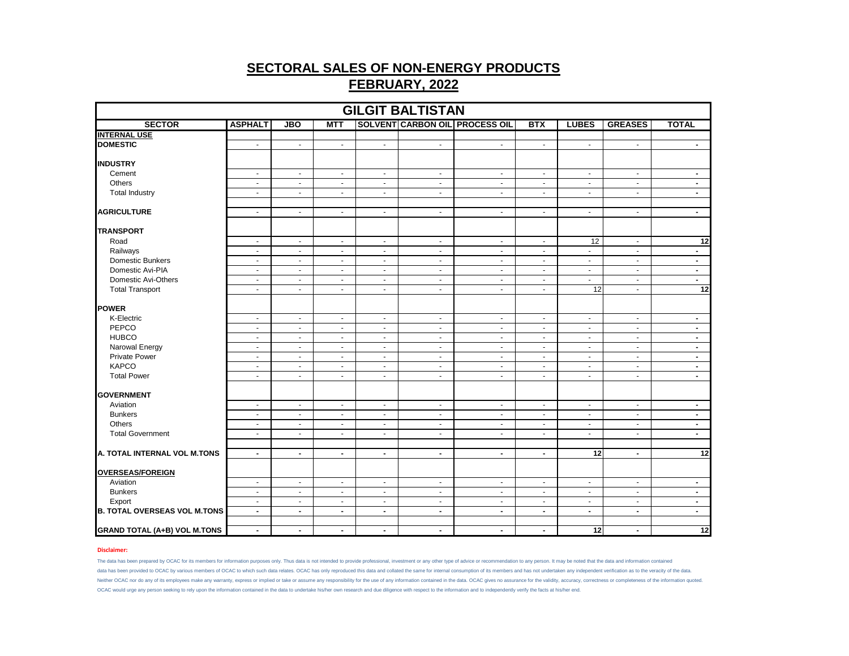| <b>GILGIT BALTISTAN</b>             |                |                |                |                             |                |                                       |                |                          |                |                          |
|-------------------------------------|----------------|----------------|----------------|-----------------------------|----------------|---------------------------------------|----------------|--------------------------|----------------|--------------------------|
| <b>SECTOR</b>                       | <b>ASPHALT</b> | <b>JBO</b>     | <b>MTT</b>     |                             |                | <b>SOLVENT CARBON OIL PROCESS OIL</b> | <b>BTX</b>     | <b>LUBES</b>             | <b>GREASES</b> | <b>TOTAL</b>             |
| <b>INTERNAL USE</b>                 |                |                |                |                             |                |                                       |                |                          |                |                          |
| <b>DOMESTIC</b>                     | $\blacksquare$ | $\blacksquare$ | $\blacksquare$ | $\sim$                      | $\sim$         | $\blacksquare$                        | $\blacksquare$ | $\blacksquare$           | $\bullet$      | $\sim$                   |
| <b>INDUSTRY</b>                     |                |                |                |                             |                |                                       |                |                          |                |                          |
| Cement                              | $\blacksquare$ | $\blacksquare$ | $\blacksquare$ | $\sim$                      | $\blacksquare$ | $\blacksquare$                        | $\blacksquare$ | $\blacksquare$           | $\blacksquare$ | $\blacksquare$           |
| Others                              | $\blacksquare$ | $\sim$         | $\omega$       | $\sim$                      | $\omega$       | $\omega$                              | $\blacksquare$ | ÷.                       | $\sim$         | $\blacksquare$           |
| <b>Total Industry</b>               | $\blacksquare$ | $\blacksquare$ | $\blacksquare$ | $\blacksquare$              | $\blacksquare$ | $\blacksquare$                        | $\blacksquare$ | $\blacksquare$           | $\blacksquare$ | $\blacksquare$           |
| <b>AGRICULTURE</b>                  | $\omega$       | $\sim$         | $\omega$       | $\sim$                      | $\omega$       | $\omega$                              | $\omega$       | ÷.                       | $\omega$       | $\blacksquare$           |
| <b>TRANSPORT</b>                    |                |                |                |                             |                |                                       |                |                          |                |                          |
| Road                                | $\blacksquare$ | $\sim$         | $\omega$       | $\sim$                      | $\omega$       | $\omega$                              | $\omega$       | 12                       | $\sim$         | 12                       |
| Railways                            | $\blacksquare$ | $\blacksquare$ | $\blacksquare$ | $\mathcal{L}_{\mathcal{C}}$ | $\blacksquare$ | $\blacksquare$                        | $\blacksquare$ | $\blacksquare$           | $\blacksquare$ | $\overline{\phantom{a}}$ |
| Domestic Bunkers                    | $\blacksquare$ | $\sim$         | $\blacksquare$ | $\sim$                      | $\sim$         | $\blacksquare$                        | $\sim$         | $\blacksquare$           | $\blacksquare$ | $\blacksquare$           |
| Domestic Avi-PIA                    | $\omega$       | $\sim$         | $\omega$       | $\sim$                      | $\omega$       | $\omega$                              | $\blacksquare$ | ÷.                       | $\sim$         | $\blacksquare$           |
| Domestic Avi-Others                 | $\blacksquare$ | $\blacksquare$ | $\blacksquare$ | $\blacksquare$              | $\blacksquare$ | $\blacksquare$                        | $\blacksquare$ | $\blacksquare$           | $\blacksquare$ | $\blacksquare$           |
| <b>Total Transport</b>              | $\blacksquare$ | $\sim$         | $\blacksquare$ | $\sim$                      | $\sim$         | $\blacksquare$                        | $\blacksquare$ | 12                       | $\blacksquare$ | $\overline{12}$          |
| <b>POWER</b>                        |                |                |                |                             |                |                                       |                |                          |                |                          |
| K-Electric                          | $\blacksquare$ | $\blacksquare$ | $\blacksquare$ | $\sim$                      | $\bullet$      | $\blacksquare$                        | $\blacksquare$ | $\blacksquare$           | $\blacksquare$ | $\blacksquare$           |
| PEPCO                               | $\blacksquare$ | $\sim$         | $\sim$         | $\sim$                      | $\omega$       | $\omega$                              | $\blacksquare$ | ÷.                       | $\sim$         | $\blacksquare$           |
| <b>HUBCO</b>                        | $\blacksquare$ | $\blacksquare$ | $\blacksquare$ | $\blacksquare$              | $\blacksquare$ | $\blacksquare$                        | $\blacksquare$ | $\blacksquare$           | $\blacksquare$ | $\blacksquare$           |
| Narowal Energy                      | $\blacksquare$ | $\sim$         | $\bullet$      | $\sim$                      | $\sim$         | $\blacksquare$                        | $\sim$         | $\sim$                   | $\blacksquare$ | $\sim$                   |
| <b>Private Power</b>                | $\omega$       | $\sim$         | $\sim$         | $\sim$                      | $\omega$       | $\blacksquare$                        | $\blacksquare$ | ÷.                       | $\sim$         | $\blacksquare$           |
| <b>KAPCO</b>                        | $\blacksquare$ | $\blacksquare$ | $\blacksquare$ | $\blacksquare$              | $\blacksquare$ | $\blacksquare$                        | $\blacksquare$ | $\blacksquare$           | $\blacksquare$ | $\blacksquare$           |
| <b>Total Power</b>                  | $\blacksquare$ | $\sim$         | $\bullet$      | $\sim$                      | $\blacksquare$ | $\blacksquare$                        | $\blacksquare$ | $\sim$                   | $\blacksquare$ | $\sim$                   |
| <b>GOVERNMENT</b>                   |                |                |                |                             |                |                                       |                |                          |                |                          |
| Aviation                            | $\blacksquare$ | $\blacksquare$ | $\blacksquare$ | $\sim$                      | $\blacksquare$ | $\blacksquare$                        | $\blacksquare$ | $\blacksquare$           | $\blacksquare$ | $\blacksquare$           |
| <b>Bunkers</b>                      | $\blacksquare$ | $\sim$         | $\sim$         | $\sim$                      | $\omega$       | $\blacksquare$                        | $\blacksquare$ | ÷.                       | $\sim$         | $\blacksquare$           |
| Others                              | $\blacksquare$ | $\blacksquare$ | $\blacksquare$ | $\sim$                      | $\blacksquare$ | $\blacksquare$                        | $\blacksquare$ | $\blacksquare$           | $\blacksquare$ | $\blacksquare$           |
| <b>Total Government</b>             | $\blacksquare$ | $\sim$         | $\blacksquare$ | $\sim$                      | $\sim$         | $\blacksquare$                        | $\blacksquare$ | $\blacksquare$           | $\blacksquare$ | $\sim$                   |
|                                     |                |                |                |                             |                |                                       |                |                          |                |                          |
| A. TOTAL INTERNAL VOL M.TONS        | $\blacksquare$ | $\blacksquare$ | $\blacksquare$ | $\blacksquare$              | $\blacksquare$ | $\blacksquare$                        | $\blacksquare$ | $\overline{12}$          | $\blacksquare$ | $\overline{12}$          |
| <b>OVERSEAS/FOREIGN</b>             |                |                |                |                             |                |                                       |                |                          |                |                          |
| Aviation                            | $\blacksquare$ | $\blacksquare$ | $\blacksquare$ | $\sim$                      | $\blacksquare$ | $\blacksquare$                        | $\sim$         | $\blacksquare$           | $\blacksquare$ | $\blacksquare$           |
| <b>Bunkers</b>                      | $\blacksquare$ | $\sim$         | $\blacksquare$ | $\sim$                      | $\sim$         | $\blacksquare$                        | $\sim$         | $\sim$                   | $\blacksquare$ | $\sim$                   |
| Export                              | $\blacksquare$ | $\sim$         | $\sim$         | $\sim$                      | $\omega$       | $\blacksquare$                        | $\blacksquare$ | ÷.                       | $\sim$         | $\blacksquare$           |
| <b>B. TOTAL OVERSEAS VOL M.TONS</b> | $\blacksquare$ | $\blacksquare$ | $\blacksquare$ | $\blacksquare$              | $\blacksquare$ | $\blacksquare$                        | $\blacksquare$ | $\overline{\phantom{a}}$ | $\blacksquare$ | $\blacksquare$           |
|                                     |                |                |                |                             |                |                                       |                |                          |                |                          |
| <b>GRAND TOTAL (A+B) VOL M.TONS</b> | $\blacksquare$ | $\sim$         | $\blacksquare$ | $\sim$                      | $\blacksquare$ | $\blacksquare$                        | $\blacksquare$ | $\overline{12}$          | $\blacksquare$ | 12                       |

### **Disclaimer:**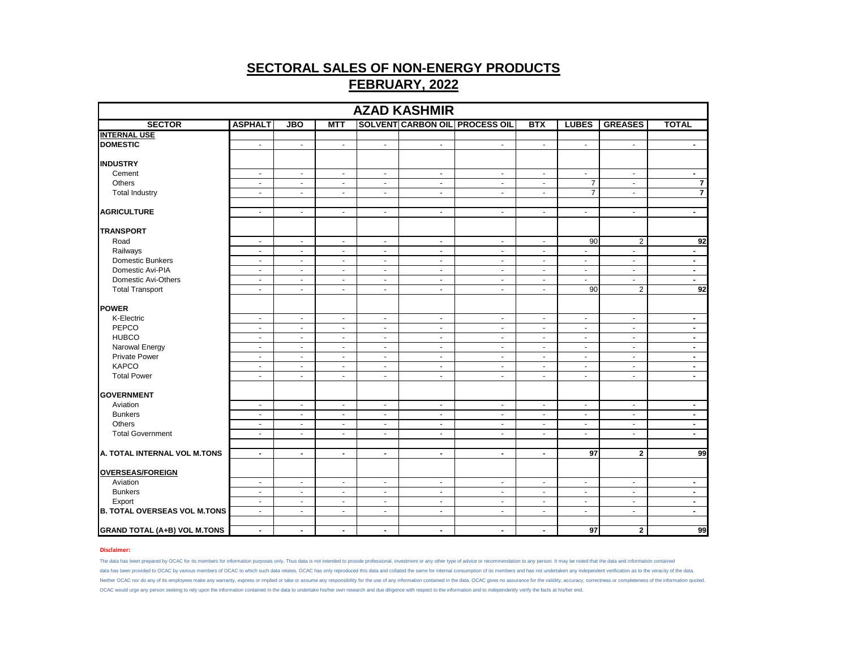| <b>SECTOR</b><br><b>SOLVENT CARBON OIL PROCESS OIL</b><br><b>ASPHALT</b><br><b>JBO</b><br><b>MTT</b><br><b>BTX</b><br><b>LUBES</b><br><b>GREASES</b><br><b>TOTAL</b><br>$\blacksquare$<br>$\sim$<br>$\sim$<br>$\sim$<br>$\sim$<br>$\mathcal{L}_{\mathcal{A}}$<br>$\sim$<br>$\sim$<br>$\sim$<br>$\sim$<br>Cement<br>$\blacksquare$<br>$\blacksquare$<br>$\sim$<br>$\sim$<br>$\sim$<br>$\sim$<br>$\blacksquare$<br>$\blacksquare$<br>$\sim$<br>$\blacksquare$<br>7<br>Others<br>$\overline{7}$<br>$\blacksquare$<br>$\sim$<br>$\sim$<br>$\blacksquare$<br>$\blacksquare$<br>$\blacksquare$<br>$\sim$<br>$\sim$<br>$\overline{\mathbf{r}}$<br>$\overline{7}$<br><b>Total Industry</b><br>$\overline{\phantom{a}}$<br>$\overline{\phantom{a}}$<br>$\blacksquare$<br>$\blacksquare$<br>$\blacksquare$<br>$\blacksquare$<br>$\blacksquare$<br>$\overline{a}$<br>$\omega$<br>$\blacksquare$<br>$\sim$<br>$\blacksquare$<br>$\blacksquare$<br>$\sim$<br>$\blacksquare$<br>$\blacksquare$<br>$\blacksquare$<br>$\blacksquare$<br>90<br>$\overline{2}$<br>92<br>Road<br>$\omega$<br>$\omega$<br>$\sim$<br>$\sim$<br>$\blacksquare$<br>$\sim$<br>$\blacksquare$<br>Railways<br>$\blacksquare$<br>$\blacksquare$<br>$\blacksquare$<br>$\blacksquare$<br>$\sim$<br>$\blacksquare$<br>$\blacksquare$<br>$\blacksquare$<br>$\sim$<br>$\blacksquare$<br>Domestic Bunkers<br>$\sim$<br>$\sim$<br>$\sim$<br>$\sim$<br>$\sim$<br>$\sim$<br>$\sim$<br>$\blacksquare$<br>$\sim$<br>$\sim$<br>Domestic Avi-PIA<br>$\omega$<br>$\omega$<br>$\omega$<br>$\blacksquare$<br>$\blacksquare$<br>$\blacksquare$<br>$\blacksquare$<br>$\blacksquare$<br>$\blacksquare$<br>$\sim$<br>Domestic Avi-Others<br>$\blacksquare$<br>$\blacksquare$<br>$\blacksquare$<br>$\blacksquare$<br>$\blacksquare$<br>$\blacksquare$<br>$\blacksquare$<br>$\blacksquare$<br>$\blacksquare$<br>$\blacksquare$<br>$\overline{2}$<br>92<br><b>Total Transport</b><br>$\overline{90}$<br>$\blacksquare$<br>$\sim$<br>$\sim$<br>$\sim$<br>$\mathcal{L}_{\mathcal{A}}$<br>$\blacksquare$<br>$\blacksquare$<br>K-Electric<br>$\blacksquare$<br>$\sim$<br>$\blacksquare$<br>$\sim$<br>$\blacksquare$<br>$\sim$<br>$\blacksquare$<br>$\sim$<br>$\blacksquare$<br>$\blacksquare$<br>PEPCO<br>$\blacksquare$<br>$\sim$<br>$\sim$<br>$\sim$<br>$\blacksquare$<br>$\blacksquare$<br>$\blacksquare$<br>$\sim$<br>$\blacksquare$<br>$\blacksquare$<br><b>HUBCO</b><br>$\blacksquare$<br>$\blacksquare$<br>$\blacksquare$<br>$\blacksquare$<br>$\blacksquare$<br>$\blacksquare$<br>$\blacksquare$<br>$\blacksquare$<br>$\blacksquare$<br>$\blacksquare$<br>Narowal Energy<br>$\sim$<br>$\blacksquare$<br>$\sim$<br>$\sim$<br>$\sim$<br>$\sim$<br>$\sim$<br>$\blacksquare$<br>$\sim$<br>$\sim$<br><b>Private Power</b><br>$\sim$<br>$\omega$<br>$\sim$<br>$\blacksquare$<br>$\blacksquare$<br>$\blacksquare$<br>$\blacksquare$<br>$\blacksquare$<br>$\sim$<br>$\blacksquare$<br><b>KAPCO</b><br>$\sim$<br>$\blacksquare$<br>$\sim$<br>$\blacksquare$<br>$\blacksquare$<br>$\sim$<br>$\blacksquare$<br>$\blacksquare$<br>$\blacksquare$<br>$\blacksquare$<br><b>Total Power</b><br>$\blacksquare$<br>$\blacksquare$<br>$\sim$<br>$\sim$<br>$\sim$<br>$\sim$<br>$\blacksquare$<br>$\sim$<br>$\sim$<br>$\blacksquare$<br>Aviation<br>$\blacksquare$<br>$\sim$<br>$\blacksquare$<br>$\mathcal{L}$<br>$\blacksquare$<br>$\blacksquare$<br>$\sim$<br>$\blacksquare$<br>$\blacksquare$<br>$\sim$<br><b>Bunkers</b><br>$\sim$<br>$\sim$<br>$\sim$<br>$\blacksquare$<br>$\blacksquare$<br>$\blacksquare$<br>$\sim$<br>$\blacksquare$<br>$\blacksquare$<br>$\overline{\phantom{a}}$<br><b>Others</b><br>$\overline{\phantom{a}}$<br>$\blacksquare$<br>$\blacksquare$<br>$\blacksquare$<br>$\blacksquare$<br>$\blacksquare$<br>$\blacksquare$<br>$\blacksquare$<br>$\overline{\phantom{a}}$<br>$\blacksquare$<br><b>Total Government</b><br>$\blacksquare$<br>$\blacksquare$<br>$\sim$<br>$\mathcal{L}_{\mathcal{A}}$<br>$\blacksquare$<br>$\sim$<br>$\sim$<br>$\blacksquare$<br>$\sim$<br>$\mathcal{L}_{\mathcal{C}}$<br>$\overline{97}$<br>$\mathbf{2}$<br>$\sim$<br>$\blacksquare$<br>$\blacksquare$<br>$\blacksquare$<br>$\blacksquare$<br>$\blacksquare$<br>$\blacksquare$<br>Aviation<br>$\blacksquare$<br>$\blacksquare$<br>$\sim$<br>$\blacksquare$<br>$\blacksquare$<br>$\overline{\phantom{a}}$<br>$\blacksquare$<br>$\blacksquare$<br>$\blacksquare$<br>$\blacksquare$<br><b>Bunkers</b><br>$\sim$<br>$\sim$<br>$\sim$<br>$\sim$<br>$\mathcal{L}_{\mathcal{A}}$<br>$\sim$<br>$\blacksquare$<br>$\mathcal{L}_{\mathcal{C}}$<br>$\sim$<br>$\blacksquare$<br>Export<br>$\sim$<br>$\sim$<br>$\sim$<br>$\blacksquare$<br>$\blacksquare$<br>$\blacksquare$<br>$\sim$<br>$\blacksquare$<br>$\sim$<br>$\blacksquare$<br>$\sim$<br>$\blacksquare$<br>$\blacksquare$<br>$\blacksquare$<br>$\blacksquare$<br>$\blacksquare$<br>$\blacksquare$<br>$\blacksquare$<br>$\overline{\phantom{a}}$<br>$\blacksquare$ |                                     |  |  | <b>AZAD KASHMIR</b> |  |  |  |    |  |  |  |  |  |
|------------------------------------------------------------------------------------------------------------------------------------------------------------------------------------------------------------------------------------------------------------------------------------------------------------------------------------------------------------------------------------------------------------------------------------------------------------------------------------------------------------------------------------------------------------------------------------------------------------------------------------------------------------------------------------------------------------------------------------------------------------------------------------------------------------------------------------------------------------------------------------------------------------------------------------------------------------------------------------------------------------------------------------------------------------------------------------------------------------------------------------------------------------------------------------------------------------------------------------------------------------------------------------------------------------------------------------------------------------------------------------------------------------------------------------------------------------------------------------------------------------------------------------------------------------------------------------------------------------------------------------------------------------------------------------------------------------------------------------------------------------------------------------------------------------------------------------------------------------------------------------------------------------------------------------------------------------------------------------------------------------------------------------------------------------------------------------------------------------------------------------------------------------------------------------------------------------------------------------------------------------------------------------------------------------------------------------------------------------------------------------------------------------------------------------------------------------------------------------------------------------------------------------------------------------------------------------------------------------------------------------------------------------------------------------------------------------------------------------------------------------------------------------------------------------------------------------------------------------------------------------------------------------------------------------------------------------------------------------------------------------------------------------------------------------------------------------------------------------------------------------------------------------------------------------------------------------------------------------------------------------------------------------------------------------------------------------------------------------------------------------------------------------------------------------------------------------------------------------------------------------------------------------------------------------------------------------------------------------------------------------------------------------------------------------------------------------------------------------------------------------------------------------------------------------------------------------------------------------------------------------------------------------------------------------------------------------------------------------------------------------------------------------------------------------------------------------------------------------------------------------------------------------------------------------------------------------------------------------------------------------------------------------------------------------------------------------------------------------------------------------------------------------------------------------------------------------------------------------------------------------------------------------------------------------------------------------------------------------------------------------------------------------------------------------------------------------------------------------------------------------------------------------------------------------------------------------------------------------------------------------------------------------------------------------|-------------------------------------|--|--|---------------------|--|--|--|----|--|--|--|--|--|
| <b>INTERNAL USE</b>                                                                                                                                                                                                                                                                                                                                                                                                                                                                                                                                                                                                                                                                                                                                                                                                                                                                                                                                                                                                                                                                                                                                                                                                                                                                                                                                                                                                                                                                                                                                                                                                                                                                                                                                                                                                                                                                                                                                                                                                                                                                                                                                                                                                                                                                                                                                                                                                                                                                                                                                                                                                                                                                                                                                                                                                                                                                                                                                                                                                                                                                                                                                                                                                                                                                                                                                                                                                                                                                                                                                                                                                                                                                                                                                                                                                                                                                                                                                                                                                                                                                                                                                                                                                                                                                                                                                                                                                                                                                                                                                                                                                                                                                                                                                                                                                                                                                                                                |                                     |  |  |                     |  |  |  |    |  |  |  |  |  |
|                                                                                                                                                                                                                                                                                                                                                                                                                                                                                                                                                                                                                                                                                                                                                                                                                                                                                                                                                                                                                                                                                                                                                                                                                                                                                                                                                                                                                                                                                                                                                                                                                                                                                                                                                                                                                                                                                                                                                                                                                                                                                                                                                                                                                                                                                                                                                                                                                                                                                                                                                                                                                                                                                                                                                                                                                                                                                                                                                                                                                                                                                                                                                                                                                                                                                                                                                                                                                                                                                                                                                                                                                                                                                                                                                                                                                                                                                                                                                                                                                                                                                                                                                                                                                                                                                                                                                                                                                                                                                                                                                                                                                                                                                                                                                                                                                                                                                                                                    |                                     |  |  |                     |  |  |  |    |  |  |  |  |  |
| <b>INDUSTRY</b><br><b>TRANSPORT</b><br><b>POWER</b><br><b>GOVERNMENT</b><br><b>OVERSEAS/FOREIGN</b><br><b>B. TOTAL OVERSEAS VOL M.TONS</b>                                                                                                                                                                                                                                                                                                                                                                                                                                                                                                                                                                                                                                                                                                                                                                                                                                                                                                                                                                                                                                                                                                                                                                                                                                                                                                                                                                                                                                                                                                                                                                                                                                                                                                                                                                                                                                                                                                                                                                                                                                                                                                                                                                                                                                                                                                                                                                                                                                                                                                                                                                                                                                                                                                                                                                                                                                                                                                                                                                                                                                                                                                                                                                                                                                                                                                                                                                                                                                                                                                                                                                                                                                                                                                                                                                                                                                                                                                                                                                                                                                                                                                                                                                                                                                                                                                                                                                                                                                                                                                                                                                                                                                                                                                                                                                                         | <b>DOMESTIC</b>                     |  |  |                     |  |  |  |    |  |  |  |  |  |
|                                                                                                                                                                                                                                                                                                                                                                                                                                                                                                                                                                                                                                                                                                                                                                                                                                                                                                                                                                                                                                                                                                                                                                                                                                                                                                                                                                                                                                                                                                                                                                                                                                                                                                                                                                                                                                                                                                                                                                                                                                                                                                                                                                                                                                                                                                                                                                                                                                                                                                                                                                                                                                                                                                                                                                                                                                                                                                                                                                                                                                                                                                                                                                                                                                                                                                                                                                                                                                                                                                                                                                                                                                                                                                                                                                                                                                                                                                                                                                                                                                                                                                                                                                                                                                                                                                                                                                                                                                                                                                                                                                                                                                                                                                                                                                                                                                                                                                                                    |                                     |  |  |                     |  |  |  |    |  |  |  |  |  |
|                                                                                                                                                                                                                                                                                                                                                                                                                                                                                                                                                                                                                                                                                                                                                                                                                                                                                                                                                                                                                                                                                                                                                                                                                                                                                                                                                                                                                                                                                                                                                                                                                                                                                                                                                                                                                                                                                                                                                                                                                                                                                                                                                                                                                                                                                                                                                                                                                                                                                                                                                                                                                                                                                                                                                                                                                                                                                                                                                                                                                                                                                                                                                                                                                                                                                                                                                                                                                                                                                                                                                                                                                                                                                                                                                                                                                                                                                                                                                                                                                                                                                                                                                                                                                                                                                                                                                                                                                                                                                                                                                                                                                                                                                                                                                                                                                                                                                                                                    |                                     |  |  |                     |  |  |  |    |  |  |  |  |  |
|                                                                                                                                                                                                                                                                                                                                                                                                                                                                                                                                                                                                                                                                                                                                                                                                                                                                                                                                                                                                                                                                                                                                                                                                                                                                                                                                                                                                                                                                                                                                                                                                                                                                                                                                                                                                                                                                                                                                                                                                                                                                                                                                                                                                                                                                                                                                                                                                                                                                                                                                                                                                                                                                                                                                                                                                                                                                                                                                                                                                                                                                                                                                                                                                                                                                                                                                                                                                                                                                                                                                                                                                                                                                                                                                                                                                                                                                                                                                                                                                                                                                                                                                                                                                                                                                                                                                                                                                                                                                                                                                                                                                                                                                                                                                                                                                                                                                                                                                    |                                     |  |  |                     |  |  |  |    |  |  |  |  |  |
|                                                                                                                                                                                                                                                                                                                                                                                                                                                                                                                                                                                                                                                                                                                                                                                                                                                                                                                                                                                                                                                                                                                                                                                                                                                                                                                                                                                                                                                                                                                                                                                                                                                                                                                                                                                                                                                                                                                                                                                                                                                                                                                                                                                                                                                                                                                                                                                                                                                                                                                                                                                                                                                                                                                                                                                                                                                                                                                                                                                                                                                                                                                                                                                                                                                                                                                                                                                                                                                                                                                                                                                                                                                                                                                                                                                                                                                                                                                                                                                                                                                                                                                                                                                                                                                                                                                                                                                                                                                                                                                                                                                                                                                                                                                                                                                                                                                                                                                                    |                                     |  |  |                     |  |  |  |    |  |  |  |  |  |
|                                                                                                                                                                                                                                                                                                                                                                                                                                                                                                                                                                                                                                                                                                                                                                                                                                                                                                                                                                                                                                                                                                                                                                                                                                                                                                                                                                                                                                                                                                                                                                                                                                                                                                                                                                                                                                                                                                                                                                                                                                                                                                                                                                                                                                                                                                                                                                                                                                                                                                                                                                                                                                                                                                                                                                                                                                                                                                                                                                                                                                                                                                                                                                                                                                                                                                                                                                                                                                                                                                                                                                                                                                                                                                                                                                                                                                                                                                                                                                                                                                                                                                                                                                                                                                                                                                                                                                                                                                                                                                                                                                                                                                                                                                                                                                                                                                                                                                                                    |                                     |  |  |                     |  |  |  |    |  |  |  |  |  |
|                                                                                                                                                                                                                                                                                                                                                                                                                                                                                                                                                                                                                                                                                                                                                                                                                                                                                                                                                                                                                                                                                                                                                                                                                                                                                                                                                                                                                                                                                                                                                                                                                                                                                                                                                                                                                                                                                                                                                                                                                                                                                                                                                                                                                                                                                                                                                                                                                                                                                                                                                                                                                                                                                                                                                                                                                                                                                                                                                                                                                                                                                                                                                                                                                                                                                                                                                                                                                                                                                                                                                                                                                                                                                                                                                                                                                                                                                                                                                                                                                                                                                                                                                                                                                                                                                                                                                                                                                                                                                                                                                                                                                                                                                                                                                                                                                                                                                                                                    | <b>AGRICULTURE</b>                  |  |  |                     |  |  |  |    |  |  |  |  |  |
|                                                                                                                                                                                                                                                                                                                                                                                                                                                                                                                                                                                                                                                                                                                                                                                                                                                                                                                                                                                                                                                                                                                                                                                                                                                                                                                                                                                                                                                                                                                                                                                                                                                                                                                                                                                                                                                                                                                                                                                                                                                                                                                                                                                                                                                                                                                                                                                                                                                                                                                                                                                                                                                                                                                                                                                                                                                                                                                                                                                                                                                                                                                                                                                                                                                                                                                                                                                                                                                                                                                                                                                                                                                                                                                                                                                                                                                                                                                                                                                                                                                                                                                                                                                                                                                                                                                                                                                                                                                                                                                                                                                                                                                                                                                                                                                                                                                                                                                                    |                                     |  |  |                     |  |  |  |    |  |  |  |  |  |
|                                                                                                                                                                                                                                                                                                                                                                                                                                                                                                                                                                                                                                                                                                                                                                                                                                                                                                                                                                                                                                                                                                                                                                                                                                                                                                                                                                                                                                                                                                                                                                                                                                                                                                                                                                                                                                                                                                                                                                                                                                                                                                                                                                                                                                                                                                                                                                                                                                                                                                                                                                                                                                                                                                                                                                                                                                                                                                                                                                                                                                                                                                                                                                                                                                                                                                                                                                                                                                                                                                                                                                                                                                                                                                                                                                                                                                                                                                                                                                                                                                                                                                                                                                                                                                                                                                                                                                                                                                                                                                                                                                                                                                                                                                                                                                                                                                                                                                                                    |                                     |  |  |                     |  |  |  |    |  |  |  |  |  |
|                                                                                                                                                                                                                                                                                                                                                                                                                                                                                                                                                                                                                                                                                                                                                                                                                                                                                                                                                                                                                                                                                                                                                                                                                                                                                                                                                                                                                                                                                                                                                                                                                                                                                                                                                                                                                                                                                                                                                                                                                                                                                                                                                                                                                                                                                                                                                                                                                                                                                                                                                                                                                                                                                                                                                                                                                                                                                                                                                                                                                                                                                                                                                                                                                                                                                                                                                                                                                                                                                                                                                                                                                                                                                                                                                                                                                                                                                                                                                                                                                                                                                                                                                                                                                                                                                                                                                                                                                                                                                                                                                                                                                                                                                                                                                                                                                                                                                                                                    |                                     |  |  |                     |  |  |  |    |  |  |  |  |  |
|                                                                                                                                                                                                                                                                                                                                                                                                                                                                                                                                                                                                                                                                                                                                                                                                                                                                                                                                                                                                                                                                                                                                                                                                                                                                                                                                                                                                                                                                                                                                                                                                                                                                                                                                                                                                                                                                                                                                                                                                                                                                                                                                                                                                                                                                                                                                                                                                                                                                                                                                                                                                                                                                                                                                                                                                                                                                                                                                                                                                                                                                                                                                                                                                                                                                                                                                                                                                                                                                                                                                                                                                                                                                                                                                                                                                                                                                                                                                                                                                                                                                                                                                                                                                                                                                                                                                                                                                                                                                                                                                                                                                                                                                                                                                                                                                                                                                                                                                    |                                     |  |  |                     |  |  |  |    |  |  |  |  |  |
|                                                                                                                                                                                                                                                                                                                                                                                                                                                                                                                                                                                                                                                                                                                                                                                                                                                                                                                                                                                                                                                                                                                                                                                                                                                                                                                                                                                                                                                                                                                                                                                                                                                                                                                                                                                                                                                                                                                                                                                                                                                                                                                                                                                                                                                                                                                                                                                                                                                                                                                                                                                                                                                                                                                                                                                                                                                                                                                                                                                                                                                                                                                                                                                                                                                                                                                                                                                                                                                                                                                                                                                                                                                                                                                                                                                                                                                                                                                                                                                                                                                                                                                                                                                                                                                                                                                                                                                                                                                                                                                                                                                                                                                                                                                                                                                                                                                                                                                                    |                                     |  |  |                     |  |  |  |    |  |  |  |  |  |
|                                                                                                                                                                                                                                                                                                                                                                                                                                                                                                                                                                                                                                                                                                                                                                                                                                                                                                                                                                                                                                                                                                                                                                                                                                                                                                                                                                                                                                                                                                                                                                                                                                                                                                                                                                                                                                                                                                                                                                                                                                                                                                                                                                                                                                                                                                                                                                                                                                                                                                                                                                                                                                                                                                                                                                                                                                                                                                                                                                                                                                                                                                                                                                                                                                                                                                                                                                                                                                                                                                                                                                                                                                                                                                                                                                                                                                                                                                                                                                                                                                                                                                                                                                                                                                                                                                                                                                                                                                                                                                                                                                                                                                                                                                                                                                                                                                                                                                                                    |                                     |  |  |                     |  |  |  |    |  |  |  |  |  |
|                                                                                                                                                                                                                                                                                                                                                                                                                                                                                                                                                                                                                                                                                                                                                                                                                                                                                                                                                                                                                                                                                                                                                                                                                                                                                                                                                                                                                                                                                                                                                                                                                                                                                                                                                                                                                                                                                                                                                                                                                                                                                                                                                                                                                                                                                                                                                                                                                                                                                                                                                                                                                                                                                                                                                                                                                                                                                                                                                                                                                                                                                                                                                                                                                                                                                                                                                                                                                                                                                                                                                                                                                                                                                                                                                                                                                                                                                                                                                                                                                                                                                                                                                                                                                                                                                                                                                                                                                                                                                                                                                                                                                                                                                                                                                                                                                                                                                                                                    |                                     |  |  |                     |  |  |  |    |  |  |  |  |  |
|                                                                                                                                                                                                                                                                                                                                                                                                                                                                                                                                                                                                                                                                                                                                                                                                                                                                                                                                                                                                                                                                                                                                                                                                                                                                                                                                                                                                                                                                                                                                                                                                                                                                                                                                                                                                                                                                                                                                                                                                                                                                                                                                                                                                                                                                                                                                                                                                                                                                                                                                                                                                                                                                                                                                                                                                                                                                                                                                                                                                                                                                                                                                                                                                                                                                                                                                                                                                                                                                                                                                                                                                                                                                                                                                                                                                                                                                                                                                                                                                                                                                                                                                                                                                                                                                                                                                                                                                                                                                                                                                                                                                                                                                                                                                                                                                                                                                                                                                    |                                     |  |  |                     |  |  |  |    |  |  |  |  |  |
|                                                                                                                                                                                                                                                                                                                                                                                                                                                                                                                                                                                                                                                                                                                                                                                                                                                                                                                                                                                                                                                                                                                                                                                                                                                                                                                                                                                                                                                                                                                                                                                                                                                                                                                                                                                                                                                                                                                                                                                                                                                                                                                                                                                                                                                                                                                                                                                                                                                                                                                                                                                                                                                                                                                                                                                                                                                                                                                                                                                                                                                                                                                                                                                                                                                                                                                                                                                                                                                                                                                                                                                                                                                                                                                                                                                                                                                                                                                                                                                                                                                                                                                                                                                                                                                                                                                                                                                                                                                                                                                                                                                                                                                                                                                                                                                                                                                                                                                                    |                                     |  |  |                     |  |  |  |    |  |  |  |  |  |
|                                                                                                                                                                                                                                                                                                                                                                                                                                                                                                                                                                                                                                                                                                                                                                                                                                                                                                                                                                                                                                                                                                                                                                                                                                                                                                                                                                                                                                                                                                                                                                                                                                                                                                                                                                                                                                                                                                                                                                                                                                                                                                                                                                                                                                                                                                                                                                                                                                                                                                                                                                                                                                                                                                                                                                                                                                                                                                                                                                                                                                                                                                                                                                                                                                                                                                                                                                                                                                                                                                                                                                                                                                                                                                                                                                                                                                                                                                                                                                                                                                                                                                                                                                                                                                                                                                                                                                                                                                                                                                                                                                                                                                                                                                                                                                                                                                                                                                                                    |                                     |  |  |                     |  |  |  |    |  |  |  |  |  |
|                                                                                                                                                                                                                                                                                                                                                                                                                                                                                                                                                                                                                                                                                                                                                                                                                                                                                                                                                                                                                                                                                                                                                                                                                                                                                                                                                                                                                                                                                                                                                                                                                                                                                                                                                                                                                                                                                                                                                                                                                                                                                                                                                                                                                                                                                                                                                                                                                                                                                                                                                                                                                                                                                                                                                                                                                                                                                                                                                                                                                                                                                                                                                                                                                                                                                                                                                                                                                                                                                                                                                                                                                                                                                                                                                                                                                                                                                                                                                                                                                                                                                                                                                                                                                                                                                                                                                                                                                                                                                                                                                                                                                                                                                                                                                                                                                                                                                                                                    |                                     |  |  |                     |  |  |  |    |  |  |  |  |  |
|                                                                                                                                                                                                                                                                                                                                                                                                                                                                                                                                                                                                                                                                                                                                                                                                                                                                                                                                                                                                                                                                                                                                                                                                                                                                                                                                                                                                                                                                                                                                                                                                                                                                                                                                                                                                                                                                                                                                                                                                                                                                                                                                                                                                                                                                                                                                                                                                                                                                                                                                                                                                                                                                                                                                                                                                                                                                                                                                                                                                                                                                                                                                                                                                                                                                                                                                                                                                                                                                                                                                                                                                                                                                                                                                                                                                                                                                                                                                                                                                                                                                                                                                                                                                                                                                                                                                                                                                                                                                                                                                                                                                                                                                                                                                                                                                                                                                                                                                    |                                     |  |  |                     |  |  |  |    |  |  |  |  |  |
|                                                                                                                                                                                                                                                                                                                                                                                                                                                                                                                                                                                                                                                                                                                                                                                                                                                                                                                                                                                                                                                                                                                                                                                                                                                                                                                                                                                                                                                                                                                                                                                                                                                                                                                                                                                                                                                                                                                                                                                                                                                                                                                                                                                                                                                                                                                                                                                                                                                                                                                                                                                                                                                                                                                                                                                                                                                                                                                                                                                                                                                                                                                                                                                                                                                                                                                                                                                                                                                                                                                                                                                                                                                                                                                                                                                                                                                                                                                                                                                                                                                                                                                                                                                                                                                                                                                                                                                                                                                                                                                                                                                                                                                                                                                                                                                                                                                                                                                                    |                                     |  |  |                     |  |  |  |    |  |  |  |  |  |
|                                                                                                                                                                                                                                                                                                                                                                                                                                                                                                                                                                                                                                                                                                                                                                                                                                                                                                                                                                                                                                                                                                                                                                                                                                                                                                                                                                                                                                                                                                                                                                                                                                                                                                                                                                                                                                                                                                                                                                                                                                                                                                                                                                                                                                                                                                                                                                                                                                                                                                                                                                                                                                                                                                                                                                                                                                                                                                                                                                                                                                                                                                                                                                                                                                                                                                                                                                                                                                                                                                                                                                                                                                                                                                                                                                                                                                                                                                                                                                                                                                                                                                                                                                                                                                                                                                                                                                                                                                                                                                                                                                                                                                                                                                                                                                                                                                                                                                                                    |                                     |  |  |                     |  |  |  |    |  |  |  |  |  |
|                                                                                                                                                                                                                                                                                                                                                                                                                                                                                                                                                                                                                                                                                                                                                                                                                                                                                                                                                                                                                                                                                                                                                                                                                                                                                                                                                                                                                                                                                                                                                                                                                                                                                                                                                                                                                                                                                                                                                                                                                                                                                                                                                                                                                                                                                                                                                                                                                                                                                                                                                                                                                                                                                                                                                                                                                                                                                                                                                                                                                                                                                                                                                                                                                                                                                                                                                                                                                                                                                                                                                                                                                                                                                                                                                                                                                                                                                                                                                                                                                                                                                                                                                                                                                                                                                                                                                                                                                                                                                                                                                                                                                                                                                                                                                                                                                                                                                                                                    |                                     |  |  |                     |  |  |  |    |  |  |  |  |  |
|                                                                                                                                                                                                                                                                                                                                                                                                                                                                                                                                                                                                                                                                                                                                                                                                                                                                                                                                                                                                                                                                                                                                                                                                                                                                                                                                                                                                                                                                                                                                                                                                                                                                                                                                                                                                                                                                                                                                                                                                                                                                                                                                                                                                                                                                                                                                                                                                                                                                                                                                                                                                                                                                                                                                                                                                                                                                                                                                                                                                                                                                                                                                                                                                                                                                                                                                                                                                                                                                                                                                                                                                                                                                                                                                                                                                                                                                                                                                                                                                                                                                                                                                                                                                                                                                                                                                                                                                                                                                                                                                                                                                                                                                                                                                                                                                                                                                                                                                    |                                     |  |  |                     |  |  |  |    |  |  |  |  |  |
|                                                                                                                                                                                                                                                                                                                                                                                                                                                                                                                                                                                                                                                                                                                                                                                                                                                                                                                                                                                                                                                                                                                                                                                                                                                                                                                                                                                                                                                                                                                                                                                                                                                                                                                                                                                                                                                                                                                                                                                                                                                                                                                                                                                                                                                                                                                                                                                                                                                                                                                                                                                                                                                                                                                                                                                                                                                                                                                                                                                                                                                                                                                                                                                                                                                                                                                                                                                                                                                                                                                                                                                                                                                                                                                                                                                                                                                                                                                                                                                                                                                                                                                                                                                                                                                                                                                                                                                                                                                                                                                                                                                                                                                                                                                                                                                                                                                                                                                                    |                                     |  |  |                     |  |  |  |    |  |  |  |  |  |
|                                                                                                                                                                                                                                                                                                                                                                                                                                                                                                                                                                                                                                                                                                                                                                                                                                                                                                                                                                                                                                                                                                                                                                                                                                                                                                                                                                                                                                                                                                                                                                                                                                                                                                                                                                                                                                                                                                                                                                                                                                                                                                                                                                                                                                                                                                                                                                                                                                                                                                                                                                                                                                                                                                                                                                                                                                                                                                                                                                                                                                                                                                                                                                                                                                                                                                                                                                                                                                                                                                                                                                                                                                                                                                                                                                                                                                                                                                                                                                                                                                                                                                                                                                                                                                                                                                                                                                                                                                                                                                                                                                                                                                                                                                                                                                                                                                                                                                                                    |                                     |  |  |                     |  |  |  |    |  |  |  |  |  |
|                                                                                                                                                                                                                                                                                                                                                                                                                                                                                                                                                                                                                                                                                                                                                                                                                                                                                                                                                                                                                                                                                                                                                                                                                                                                                                                                                                                                                                                                                                                                                                                                                                                                                                                                                                                                                                                                                                                                                                                                                                                                                                                                                                                                                                                                                                                                                                                                                                                                                                                                                                                                                                                                                                                                                                                                                                                                                                                                                                                                                                                                                                                                                                                                                                                                                                                                                                                                                                                                                                                                                                                                                                                                                                                                                                                                                                                                                                                                                                                                                                                                                                                                                                                                                                                                                                                                                                                                                                                                                                                                                                                                                                                                                                                                                                                                                                                                                                                                    |                                     |  |  |                     |  |  |  |    |  |  |  |  |  |
|                                                                                                                                                                                                                                                                                                                                                                                                                                                                                                                                                                                                                                                                                                                                                                                                                                                                                                                                                                                                                                                                                                                                                                                                                                                                                                                                                                                                                                                                                                                                                                                                                                                                                                                                                                                                                                                                                                                                                                                                                                                                                                                                                                                                                                                                                                                                                                                                                                                                                                                                                                                                                                                                                                                                                                                                                                                                                                                                                                                                                                                                                                                                                                                                                                                                                                                                                                                                                                                                                                                                                                                                                                                                                                                                                                                                                                                                                                                                                                                                                                                                                                                                                                                                                                                                                                                                                                                                                                                                                                                                                                                                                                                                                                                                                                                                                                                                                                                                    |                                     |  |  |                     |  |  |  |    |  |  |  |  |  |
|                                                                                                                                                                                                                                                                                                                                                                                                                                                                                                                                                                                                                                                                                                                                                                                                                                                                                                                                                                                                                                                                                                                                                                                                                                                                                                                                                                                                                                                                                                                                                                                                                                                                                                                                                                                                                                                                                                                                                                                                                                                                                                                                                                                                                                                                                                                                                                                                                                                                                                                                                                                                                                                                                                                                                                                                                                                                                                                                                                                                                                                                                                                                                                                                                                                                                                                                                                                                                                                                                                                                                                                                                                                                                                                                                                                                                                                                                                                                                                                                                                                                                                                                                                                                                                                                                                                                                                                                                                                                                                                                                                                                                                                                                                                                                                                                                                                                                                                                    |                                     |  |  |                     |  |  |  |    |  |  |  |  |  |
|                                                                                                                                                                                                                                                                                                                                                                                                                                                                                                                                                                                                                                                                                                                                                                                                                                                                                                                                                                                                                                                                                                                                                                                                                                                                                                                                                                                                                                                                                                                                                                                                                                                                                                                                                                                                                                                                                                                                                                                                                                                                                                                                                                                                                                                                                                                                                                                                                                                                                                                                                                                                                                                                                                                                                                                                                                                                                                                                                                                                                                                                                                                                                                                                                                                                                                                                                                                                                                                                                                                                                                                                                                                                                                                                                                                                                                                                                                                                                                                                                                                                                                                                                                                                                                                                                                                                                                                                                                                                                                                                                                                                                                                                                                                                                                                                                                                                                                                                    |                                     |  |  |                     |  |  |  |    |  |  |  |  |  |
|                                                                                                                                                                                                                                                                                                                                                                                                                                                                                                                                                                                                                                                                                                                                                                                                                                                                                                                                                                                                                                                                                                                                                                                                                                                                                                                                                                                                                                                                                                                                                                                                                                                                                                                                                                                                                                                                                                                                                                                                                                                                                                                                                                                                                                                                                                                                                                                                                                                                                                                                                                                                                                                                                                                                                                                                                                                                                                                                                                                                                                                                                                                                                                                                                                                                                                                                                                                                                                                                                                                                                                                                                                                                                                                                                                                                                                                                                                                                                                                                                                                                                                                                                                                                                                                                                                                                                                                                                                                                                                                                                                                                                                                                                                                                                                                                                                                                                                                                    |                                     |  |  |                     |  |  |  |    |  |  |  |  |  |
|                                                                                                                                                                                                                                                                                                                                                                                                                                                                                                                                                                                                                                                                                                                                                                                                                                                                                                                                                                                                                                                                                                                                                                                                                                                                                                                                                                                                                                                                                                                                                                                                                                                                                                                                                                                                                                                                                                                                                                                                                                                                                                                                                                                                                                                                                                                                                                                                                                                                                                                                                                                                                                                                                                                                                                                                                                                                                                                                                                                                                                                                                                                                                                                                                                                                                                                                                                                                                                                                                                                                                                                                                                                                                                                                                                                                                                                                                                                                                                                                                                                                                                                                                                                                                                                                                                                                                                                                                                                                                                                                                                                                                                                                                                                                                                                                                                                                                                                                    | A. TOTAL INTERNAL VOL M.TONS        |  |  |                     |  |  |  | 99 |  |  |  |  |  |
|                                                                                                                                                                                                                                                                                                                                                                                                                                                                                                                                                                                                                                                                                                                                                                                                                                                                                                                                                                                                                                                                                                                                                                                                                                                                                                                                                                                                                                                                                                                                                                                                                                                                                                                                                                                                                                                                                                                                                                                                                                                                                                                                                                                                                                                                                                                                                                                                                                                                                                                                                                                                                                                                                                                                                                                                                                                                                                                                                                                                                                                                                                                                                                                                                                                                                                                                                                                                                                                                                                                                                                                                                                                                                                                                                                                                                                                                                                                                                                                                                                                                                                                                                                                                                                                                                                                                                                                                                                                                                                                                                                                                                                                                                                                                                                                                                                                                                                                                    |                                     |  |  |                     |  |  |  |    |  |  |  |  |  |
|                                                                                                                                                                                                                                                                                                                                                                                                                                                                                                                                                                                                                                                                                                                                                                                                                                                                                                                                                                                                                                                                                                                                                                                                                                                                                                                                                                                                                                                                                                                                                                                                                                                                                                                                                                                                                                                                                                                                                                                                                                                                                                                                                                                                                                                                                                                                                                                                                                                                                                                                                                                                                                                                                                                                                                                                                                                                                                                                                                                                                                                                                                                                                                                                                                                                                                                                                                                                                                                                                                                                                                                                                                                                                                                                                                                                                                                                                                                                                                                                                                                                                                                                                                                                                                                                                                                                                                                                                                                                                                                                                                                                                                                                                                                                                                                                                                                                                                                                    |                                     |  |  |                     |  |  |  |    |  |  |  |  |  |
|                                                                                                                                                                                                                                                                                                                                                                                                                                                                                                                                                                                                                                                                                                                                                                                                                                                                                                                                                                                                                                                                                                                                                                                                                                                                                                                                                                                                                                                                                                                                                                                                                                                                                                                                                                                                                                                                                                                                                                                                                                                                                                                                                                                                                                                                                                                                                                                                                                                                                                                                                                                                                                                                                                                                                                                                                                                                                                                                                                                                                                                                                                                                                                                                                                                                                                                                                                                                                                                                                                                                                                                                                                                                                                                                                                                                                                                                                                                                                                                                                                                                                                                                                                                                                                                                                                                                                                                                                                                                                                                                                                                                                                                                                                                                                                                                                                                                                                                                    |                                     |  |  |                     |  |  |  |    |  |  |  |  |  |
|                                                                                                                                                                                                                                                                                                                                                                                                                                                                                                                                                                                                                                                                                                                                                                                                                                                                                                                                                                                                                                                                                                                                                                                                                                                                                                                                                                                                                                                                                                                                                                                                                                                                                                                                                                                                                                                                                                                                                                                                                                                                                                                                                                                                                                                                                                                                                                                                                                                                                                                                                                                                                                                                                                                                                                                                                                                                                                                                                                                                                                                                                                                                                                                                                                                                                                                                                                                                                                                                                                                                                                                                                                                                                                                                                                                                                                                                                                                                                                                                                                                                                                                                                                                                                                                                                                                                                                                                                                                                                                                                                                                                                                                                                                                                                                                                                                                                                                                                    |                                     |  |  |                     |  |  |  |    |  |  |  |  |  |
|                                                                                                                                                                                                                                                                                                                                                                                                                                                                                                                                                                                                                                                                                                                                                                                                                                                                                                                                                                                                                                                                                                                                                                                                                                                                                                                                                                                                                                                                                                                                                                                                                                                                                                                                                                                                                                                                                                                                                                                                                                                                                                                                                                                                                                                                                                                                                                                                                                                                                                                                                                                                                                                                                                                                                                                                                                                                                                                                                                                                                                                                                                                                                                                                                                                                                                                                                                                                                                                                                                                                                                                                                                                                                                                                                                                                                                                                                                                                                                                                                                                                                                                                                                                                                                                                                                                                                                                                                                                                                                                                                                                                                                                                                                                                                                                                                                                                                                                                    |                                     |  |  |                     |  |  |  |    |  |  |  |  |  |
|                                                                                                                                                                                                                                                                                                                                                                                                                                                                                                                                                                                                                                                                                                                                                                                                                                                                                                                                                                                                                                                                                                                                                                                                                                                                                                                                                                                                                                                                                                                                                                                                                                                                                                                                                                                                                                                                                                                                                                                                                                                                                                                                                                                                                                                                                                                                                                                                                                                                                                                                                                                                                                                                                                                                                                                                                                                                                                                                                                                                                                                                                                                                                                                                                                                                                                                                                                                                                                                                                                                                                                                                                                                                                                                                                                                                                                                                                                                                                                                                                                                                                                                                                                                                                                                                                                                                                                                                                                                                                                                                                                                                                                                                                                                                                                                                                                                                                                                                    |                                     |  |  |                     |  |  |  |    |  |  |  |  |  |
| 99<br>97<br>$\mathbf{2}$<br>$\blacksquare$<br>$\blacksquare$<br>$\blacksquare$<br>$\blacksquare$<br>$\blacksquare$<br>$\blacksquare$<br>$\blacksquare$                                                                                                                                                                                                                                                                                                                                                                                                                                                                                                                                                                                                                                                                                                                                                                                                                                                                                                                                                                                                                                                                                                                                                                                                                                                                                                                                                                                                                                                                                                                                                                                                                                                                                                                                                                                                                                                                                                                                                                                                                                                                                                                                                                                                                                                                                                                                                                                                                                                                                                                                                                                                                                                                                                                                                                                                                                                                                                                                                                                                                                                                                                                                                                                                                                                                                                                                                                                                                                                                                                                                                                                                                                                                                                                                                                                                                                                                                                                                                                                                                                                                                                                                                                                                                                                                                                                                                                                                                                                                                                                                                                                                                                                                                                                                                                             | <b>GRAND TOTAL (A+B) VOL M.TONS</b> |  |  |                     |  |  |  |    |  |  |  |  |  |

### **Disclaimer:**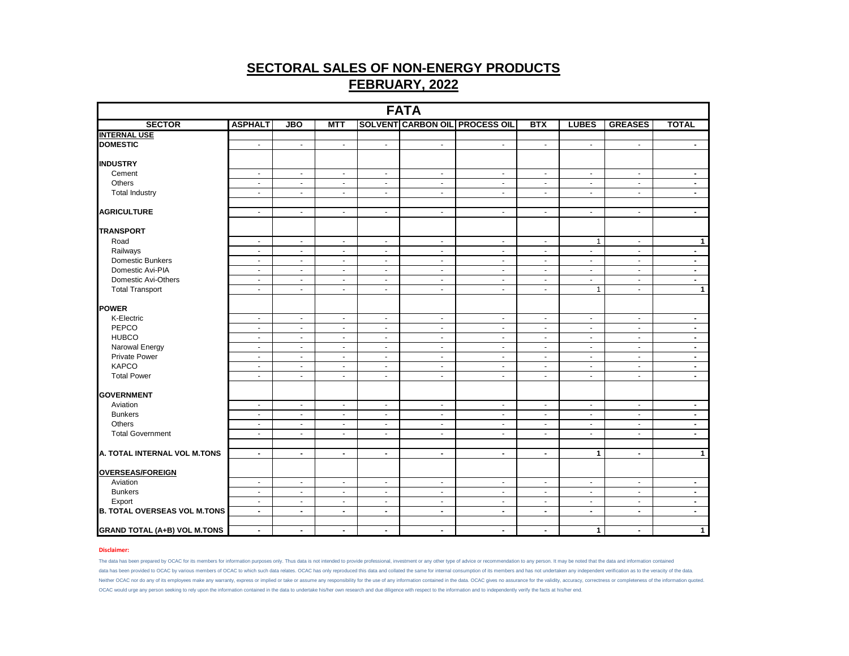| <b>FATA</b>                         |                |                          |                |                |                |                                       |                |                |                |                |
|-------------------------------------|----------------|--------------------------|----------------|----------------|----------------|---------------------------------------|----------------|----------------|----------------|----------------|
| <b>SECTOR</b>                       | <b>ASPHALT</b> | <b>JBO</b>               | <b>MTT</b>     |                |                | <b>SOLVENT CARBON OIL PROCESS OIL</b> | <b>BTX</b>     | <b>LUBES</b>   | <b>GREASES</b> | <b>TOTAL</b>   |
| <b>INTERNAL USE</b>                 |                |                          |                |                |                |                                       |                |                |                |                |
| <b>DOMESTIC</b>                     | $\sim$         | $\blacksquare$           | $\blacksquare$ | $\sim$         | $\sim$         | $\blacksquare$                        | $\blacksquare$ | $\blacksquare$ | $\sim$         | $\blacksquare$ |
| <b>INDUSTRY</b>                     |                |                          |                |                |                |                                       |                |                |                |                |
| Cement                              | $\sim$         | $\omega$                 | $\sim$         | $\blacksquare$ | $\sim$         | $\omega$                              | $\omega$       | $\sim$         | $\sim$         | $\blacksquare$ |
| Others                              | $\sim$         | $\blacksquare$           | $\blacksquare$ | $\blacksquare$ | $\blacksquare$ | $\blacksquare$                        | $\blacksquare$ | $\blacksquare$ | $\sim$         | $\sim$         |
| <b>Total Industry</b>               | $\blacksquare$ | $\blacksquare$           | $\omega$       | $\sim$         | $\blacksquare$ | $\blacksquare$                        | $\blacksquare$ | $\blacksquare$ | $\omega$       | $\blacksquare$ |
| <b>AGRICULTURE</b>                  | $\sim$         | $\blacksquare$           | $\blacksquare$ | $\blacksquare$ | $\blacksquare$ | $\blacksquare$                        | $\blacksquare$ | $\blacksquare$ | $\omega$       | $\blacksquare$ |
| <b>TRANSPORT</b>                    |                |                          |                |                |                |                                       |                |                |                |                |
| Road                                | $\blacksquare$ | $\blacksquare$           | $\sim$         | $\blacksquare$ | $\sim$         | $\blacksquare$                        | $\blacksquare$ | $\mathbf{1}$   | $\sim$         | $\mathbf{1}$   |
| Railways                            | $\blacksquare$ | $\blacksquare$           | $\blacksquare$ | $\blacksquare$ | $\omega$       | $\blacksquare$                        | $\omega$       | $\blacksquare$ | $\blacksquare$ | $\blacksquare$ |
| Domestic Bunkers                    | $\sim$         | $\blacksquare$           | $\blacksquare$ | $\blacksquare$ | $\blacksquare$ | $\overline{\phantom{a}}$              | $\blacksquare$ | $\blacksquare$ | $\sim$         | $\sim$         |
| Domestic Avi-PIA                    | $\sim$         | $\blacksquare$           | $\sim$         | $\sim$         | $\sim$         | $\blacksquare$                        | $\sim$         | $\blacksquare$ | $\sim$         | $\sim$         |
| Domestic Avi-Others                 | $\blacksquare$ | $\blacksquare$           | $\blacksquare$ | $\blacksquare$ | $\blacksquare$ | $\blacksquare$                        | $\omega$       | $\blacksquare$ | $\sim$         | $\blacksquare$ |
| <b>Total Transport</b>              | $\blacksquare$ | $\blacksquare$           | $\sim$         | $\blacksquare$ | $\blacksquare$ | $\blacksquare$                        | $\sim$         | $\mathbf{1}$   | $\sim$         | $\mathbf{1}$   |
| <b>POWER</b>                        |                |                          |                |                |                |                                       |                |                |                |                |
| K-Electric                          | $\sim$         | $\blacksquare$           | $\blacksquare$ | $\sim$         | $\sim$         | $\blacksquare$                        | $\blacksquare$ | $\blacksquare$ | $\sim$         | $\sim$         |
| PEPCO                               | $\sim$         | $\blacksquare$           | $\blacksquare$ | $\blacksquare$ | $\sim$         | $\overline{\phantom{a}}$              | $\blacksquare$ | $\blacksquare$ | $\sim$         | $\sim$         |
| <b>HUBCO</b>                        | $\sim$         | $\blacksquare$           | $\sim$         | $\blacksquare$ | $\sim$         | $\overline{\phantom{a}}$              | $\blacksquare$ | $\blacksquare$ | $\sim$         | $\blacksquare$ |
| Narowal Energy                      | $\sim$         | $\blacksquare$           | $\blacksquare$ | $\blacksquare$ | $\sim$         | $\blacksquare$                        | $\blacksquare$ | $\blacksquare$ | $\sim$         | $\blacksquare$ |
| Private Power                       | $\sim$         | $\blacksquare$           | $\sim$         | $\sim$         | $\sim$         | $\overline{\phantom{a}}$              | $\sim$         | $\sim$         | $\sim$         | $\blacksquare$ |
| <b>KAPCO</b>                        | $\sim$         | $\blacksquare$           | $\sim$         | $\sim$         | $\sim$         | $\overline{\phantom{a}}$              | $\sim$         | $\blacksquare$ | $\sim$         | $\sim$         |
| <b>Total Power</b>                  | $\blacksquare$ | $\overline{\phantom{a}}$ | $\blacksquare$ | $\blacksquare$ | $\blacksquare$ | $\blacksquare$                        | $\blacksquare$ | $\blacksquare$ | $\sim$         | $\blacksquare$ |
| <b>GOVERNMENT</b>                   |                |                          |                |                |                |                                       |                |                |                |                |
| Aviation                            | $\blacksquare$ | $\overline{\phantom{a}}$ | $\blacksquare$ | $\blacksquare$ | $\blacksquare$ | $\blacksquare$                        | $\blacksquare$ | $\blacksquare$ | $\blacksquare$ | $\blacksquare$ |
| <b>Bunkers</b>                      | $\sim$         | $\blacksquare$           | $\sim$         | $\sim$         | $\sim$         | $\blacksquare$                        | $\sim$         | $\blacksquare$ | $\sim$         | $\sim$         |
| Others                              | $\sim$         | $\blacksquare$           | $\sim$         | $\sim$         | $\sim$         | $\blacksquare$                        | $\blacksquare$ | $\blacksquare$ | $\sim$         | $\blacksquare$ |
| <b>Total Government</b>             | $\blacksquare$ | $\overline{\phantom{a}}$ | $\blacksquare$ | $\blacksquare$ | $\blacksquare$ | $\sim$                                | $\blacksquare$ | $\blacksquare$ | $\sim$         | $\blacksquare$ |
| A. TOTAL INTERNAL VOL M.TONS        | $\blacksquare$ | $\blacksquare$           | $\blacksquare$ | $\blacksquare$ | $\blacksquare$ | $\blacksquare$                        | $\blacksquare$ | $\mathbf{1}$   | $\blacksquare$ | $\mathbf{1}$   |
|                                     |                |                          |                |                |                |                                       |                |                |                |                |
| OVERSEAS/FOREIGN                    |                |                          |                |                |                |                                       |                |                |                |                |
| Aviation                            | $\sim$         | $\blacksquare$           | $\sim$         | $\sim$         | $\omega$       | $\blacksquare$                        | $\sim$         | $\omega$       | $\sim$         | $\blacksquare$ |
| <b>Bunkers</b>                      | $\sim$         | $\overline{\phantom{a}}$ | $\blacksquare$ | $\blacksquare$ | $\sim$         | $\blacksquare$                        | $\blacksquare$ | $\blacksquare$ | $\sim$         | $\blacksquare$ |
| Export                              | $\sim$         | $\blacksquare$           | $\sim$         | $\sim$         | $\sim$         | $\blacksquare$                        | $\sim$         | $\blacksquare$ | $\sim$         | $\blacksquare$ |
| <b>B. TOTAL OVERSEAS VOL M.TONS</b> | $\sim$         | $\blacksquare$           | $\blacksquare$ | $\blacksquare$ | $\blacksquare$ | $\blacksquare$                        | $\blacksquare$ | $\blacksquare$ | $\sim$         | $\blacksquare$ |
| <b>GRAND TOTAL (A+B) VOL M.TONS</b> | $\blacksquare$ | ۰.                       | $\blacksquare$ | $\blacksquare$ | $\blacksquare$ | $\blacksquare$                        | $\blacksquare$ | $\mathbf{1}$   | $\blacksquare$ | $\mathbf{1}$   |

### **Disclaimer:**